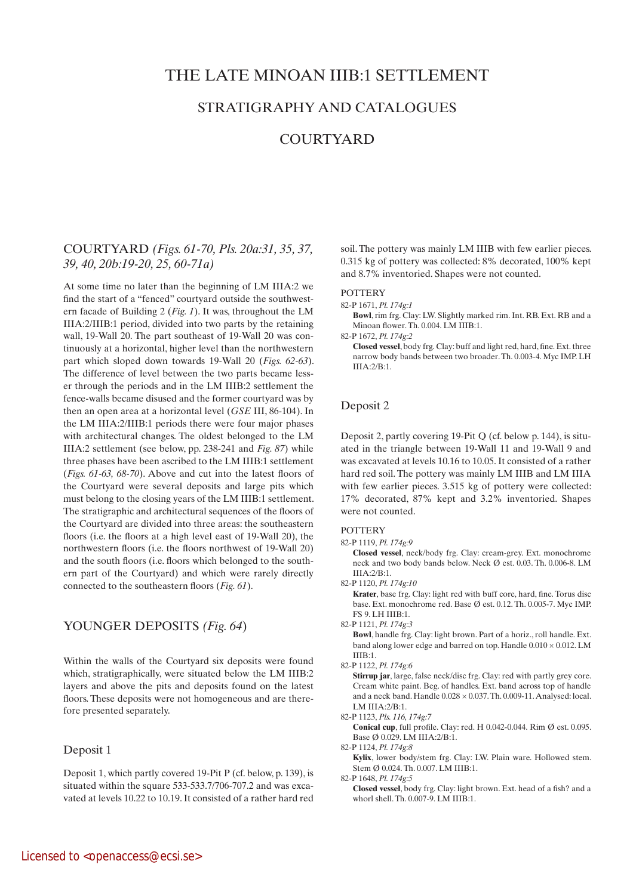## THE LATE MINOAN IIIB:1 SETTLEMEnT

## STRATIGRAPHY AND CATALOGUES

## **COURTYARD**

## COURTYARD *(Figs. 61-70, Pls. 20a:31, 35, 37, 39, 40, 20b:19-20, 25, 60-71a)*

At some time no later than the beginning of LM IIIA:2 we find the start of a "fenced" courtyard outside the southwestern facade of Building 2 (*Fig. 1*). It was, throughout the LM IIIA:2/IIIB:1 period, divided into two parts by the retaining wall, 19-Wall 20. The part southeast of 19-Wall 20 was continuously at a horizontal, higher level than the northwestern part which sloped down towards 19-Wall 20 (*Figs. 62-63*). The difference of level between the two parts became lesser through the periods and in the LM IIIB:2 settlement the fence-walls became disused and the former courtyard was by then an open area at a horizontal level (*GSE* III, 86-104). In the LM IIIA:2/IIIB:1 periods there were four major phases with architectural changes. The oldest belonged to the LM IIIA:2 settlement (see below, pp. 238-241 and *Fig. 87*) while three phases have been ascribed to the LM IIIB:1 settlement (*Figs. 61-63, 68-70*). Above and cut into the latest floors of the Courtyard were several deposits and large pits which must belong to the closing years of the LM IIIB:1 settlement. The stratigraphic and architectural sequences of the floors of the Courtyard are divided into three areas: the southeastern floors (i.e. the floors at a high level east of 19-Wall 20), the northwestern floors (i.e. the floors northwest of 19-Wall 20) and the south floors (i.e. floors which belonged to the southern part of the Courtyard) and which were rarely directly connected to the southeastern floors (*Fig. 61*).

## YOUNGER DEPOSITS *(Fig. 64*)

Within the walls of the Courtyard six deposits were found which, stratigraphically, were situated below the LM IIIB:2 layers and above the pits and deposits found on the latest floors. These deposits were not homogeneous and are therefore presented separately.

## Deposit 1

Deposit 1, which partly covered 19-Pit P (cf. below, p. 139), is situated within the square 533-533.7/706-707.2 and was excavated at levels 10.22 to 10.19. It consisted of a rather hard red

soil. The pottery was mainly LM IIIB with few earlier pieces. 0.315 kg of pottery was collected: 8% decorated, 100% kept and 8.7% inventoried. Shapes were not counted.

#### **POTTERY**

82-P 1671, *Pl. 174g:1*

 **Bowl**, rim frg. Clay: LW. Slightly marked rim. Int. RB. Ext. RB and a Minoan flower. Th. 0.004. LM IIIB:1.

82-P 1672, *Pl. 174g:2*

 **Closed vessel**, body frg. Clay: buff and light red, hard, fine. Ext. three narrow body bands between two broader. Th. 0.003-4. Myc IMP. LH IIIA:2/B:1.

## Deposit 2

Deposit 2, partly covering 19-Pit Q (cf. below p. 144), is situated in the triangle between 19-Wall 11 and 19-Wall 9 and was excavated at levels 10.16 to 10.05. It consisted of a rather hard red soil. The pottery was mainly LM IIIB and LM IIIA with few earlier pieces. 3.515 kg of pottery were collected: 17% decorated, 87% kept and 3.2% inventoried. Shapes were not counted.

#### **POTTERY**

82-P 1119, *Pl. 174g:9*

 **Closed vessel**, neck/body frg. Clay: cream-grey. Ext. monochrome neck and two body bands below. Neck Ø est. 0.03. Th. 0.006-8. LM IIIA:2/B:1.

82-P 1120, *Pl. 174g:10*

**Krater**, base frg. Clay: light red with buff core, hard, fine. Torus disc base. Ext. monochrome red. Base Ø est. 0.12. Th. 0.005-7. Myc IMP. FS 9. LH IIIB:1.

82-P 1121, *Pl. 174g:3*

 **Bowl**, handle frg. Clay: light brown. Part of a horiz., roll handle. Ext. band along lower edge and barred on top. Handle 0.010 × 0.012. LM IIIB:1.

82-P 1122, *Pl. 174g:6*

 **Stirrup jar**, large, false neck/disc frg. Clay: red with partly grey core. Cream white paint. Beg. of handles. Ext. band across top of handle and a neck band. Handle 0.028 × 0.037. Th. 0.009-11. Analysed: local. LM IIIA:2/B:1.

82-P 1123, *Pls. 116, 174g:7*

 **Conical cup**, full profile. Clay: red. H 0.042-0.044. Rim Ø est. 0.095. Base Ø 0.029. LM IIIA:2/B:1.

82-P 1124, *Pl. 174g:8*  **Kylix**, lower body/stem frg. Clay: LW. Plain ware. Hollowed stem.

Stem Ø 0.024. Th. 0.007. LM IIIB:1.

82-P 1648, *Pl. 174g:5*

 **Closed vessel**, body frg. Clay: light brown. Ext. head of a fish? and a whorl shell. Th. 0.007-9. LM IIIB:1.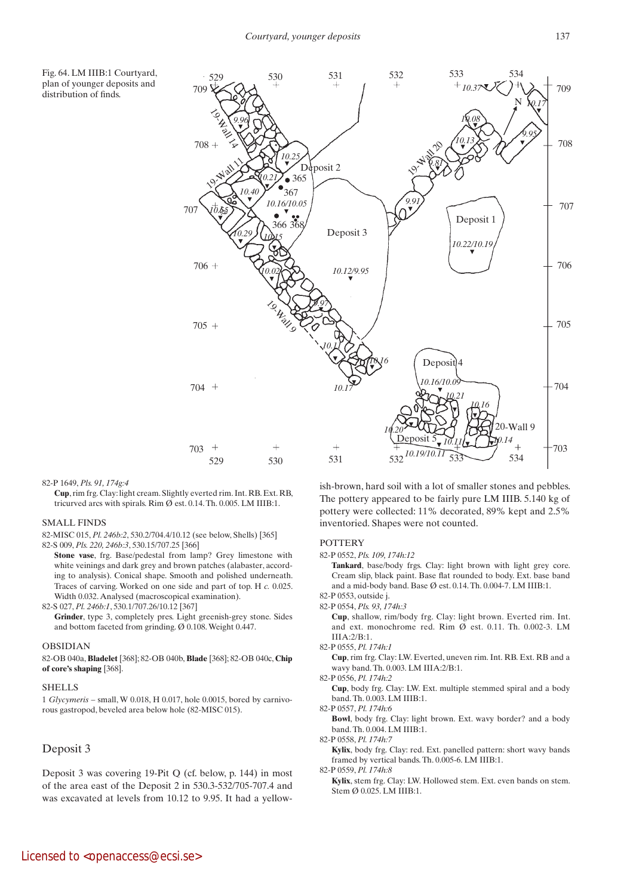



82-P 1649, *Pls. 91, 174g:4*

 **Cup**, rim frg. Clay: light cream. Slightly everted rim. Int. RB. Ext. RB, tricurved arcs with spirals. Rim Ø est. 0.14. Th. 0.005. LM IIIB:1.

#### SMALL FINDS

- 82-MISC 015, *Pl. 246b:2*, 530.2/704.4/10.12 (see below, Shells) [365]
- 82-S 009, *Pls. 220, 246b:3*, 530.15/707.25 [366] **Stone** vase, frg. Base/pedestal from lamp? Grey limestone with white veinings and dark grey and brown patches (alabaster, according to analysis). Conical shape. Smooth and polished underneath. Traces of carving. Worked on one side and part of top. H *c.* 0.025. Width 0.032. Analysed (macroscopical examination).

82-S 027, *Pl. 246b:1*, 530.1/707.26/10.12 [367]

Grinder, type 3, completely pres. Light greenish-grey stone. Sides and bottom faceted from grinding. Ø 0.108. Weight 0.447.

## OBSIDIAN

82-OB 040a, **Bladelet** [368]; 82-OB 040b, **Blade** [368]; 82-OB 040c, **Chip of core's shaping** [368].

#### SHELLS

1 *Glycymeris* – small, W 0.018, H 0.017, hole 0.0015, bored by carnivorous gastropod, beveled area below hole (82-MISC 015).

## Deposit 3

Deposit 3 was covering 19-Pit Q (cf. below, p. 144) in most of the area east of the Deposit 2 in 530.3-532/705-707.4 and was excavated at levels from 10.12 to 9.95. It had a yellowish-brown, hard soil with a lot of smaller stones and pebbles. The pottery appeared to be fairly pure LM IIIB. 5.140 kg of pottery were collected: 11% decorated, 89% kept and 2.5% inventoried. Shapes were not counted.

## **POTTERY**

82-P 0552, *Pls. 109, 174h:12*

Tankard, base/body frgs. Clay: light brown with light grey core. Cream slip, black paint. Base flat rounded to body. Ext. base band and a mid-body band. Base  $\emptyset$  est. 0.14. Th. 0.004-7. LM IIIB:1.

82-P 0553, outside j. 82-P 0554, *Pls. 93, 174h:3*

> **Cup**, shallow, rim/body frg. Clay: light brown. Everted rim. Int. and ext. monochrome red. Rim Ø est. 0.11. Th. 0.002-3. LM IIIA:2/B:1.

82-P 0555, *Pl. 174h:1*

 **Cup**, rim frg. Clay: LW. Everted, uneven rim. Int. RB. Ext. RB and a wavy band. Th. 0.003. LM IIIA:2/B:1.

82-P 0556, *Pl. 174h:2*

 **Cup**, body frg. Clay: LW. Ext. multiple stemmed spiral and a body band. Th. 0.003. LM IIIB:1.

82-P 0557, *Pl. 174h:6*

**Bowl**, body frg. Clay: light brown. Ext. wavy border? and a body band. Th. 0.004. LM IIIB:1.

82-P 0558, *Pl. 174h:7*

 **Kylix**, body frg. Clay: red. Ext. panelled pattern: short wavy bands framed by vertical bands. Th. 0.005-6. LM IIIB:1. 82-P 0559, *Pl. 174h:8*

 **Kylix**, stem frg. Clay: LW. Hollowed stem. Ext. even bands on stem. Stem Ø 0.025. LM IIIB:1.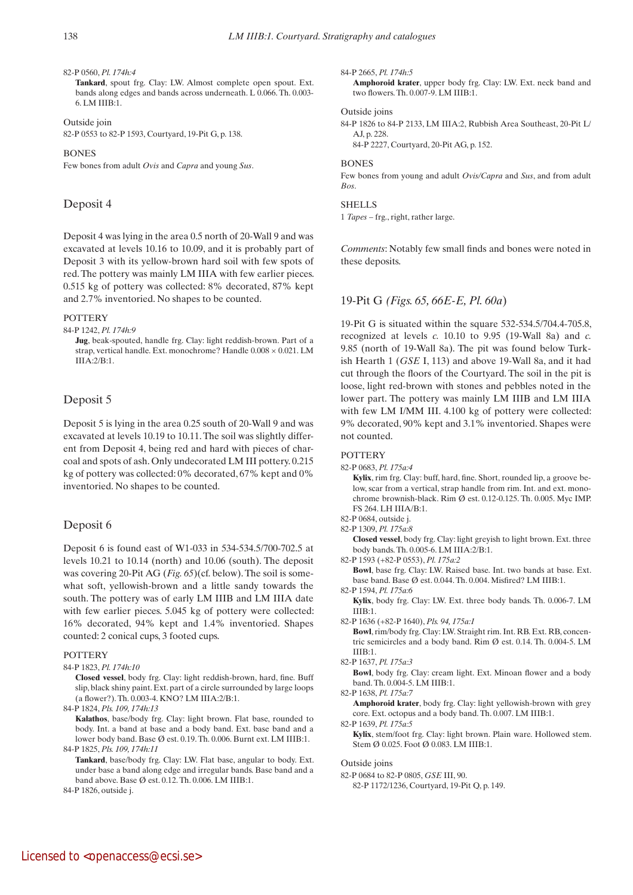82-P 0560, *Pl. 174h:4*  **Tankard**, spout frg. Clay: LW. Almost complete open spout. Ext. bands along edges and bands across underneath. L 0.066. Th. 0.003- 6. LM IIIB:1.

Outside join 82-P 0553 to 82-P 1593, Courtyard, 19-Pit G, p. 138.

**BONES** 

Few bones from adult *Ovis* and *Capra* and young *Sus*.

## Deposit 4

Deposit 4 was lying in the area 0.5 north of 20-Wall 9 and was excavated at levels 10.16 to 10.09, and it is probably part of Deposit 3 with its yellow-brown hard soil with few spots of red. The pottery was mainly LM IIIA with few earlier pieces. 0.515 kg of pottery was collected: 8% decorated, 87% kept and 2.7% inventoried. No shapes to be counted.

#### **POTTERY**

84-P 1242, *Pl. 174h:9*

**Jug**, beak-spouted, handle frg. Clay: light reddish-brown. Part of a strap, vertical handle. Ext. monochrome? Handle 0.008 × 0.021. LM IIIA:2/B:1.

## Deposit 5

Deposit 5 is lying in the area 0.25 south of 20-Wall 9 and was excavated at levels 10.19 to 10.11. The soil was slightly different from Deposit 4, being red and hard with pieces of charcoal and spots of ash. Only undecorated LM III pottery. 0.215 kg of pottery was collected: 0% decorated, 67% kept and 0% inventoried. No shapes to be counted.

## Deposit 6

Deposit 6 is found east of W1-033 in 534-534.5/700-702.5 at levels 10.21 to 10.14 (north) and 10.06 (south). The deposit was covering 20-Pit AG (*Fig. 65*)(cf. below). The soil is somewhat soft, yellowish-brown and a little sandy towards the south. The pottery was of early LM IIIB and LM IIIA date with few earlier pieces. 5.045 kg of pottery were collected: 16% decorated, 94% kept and 1.4% inventoried. Shapes counted: 2 conical cups, 3 footed cups.

#### **POTTERY**

84-P 1823, *Pl. 174h:10*

 **Closed vessel**, body frg. Clay: light reddish-brown, hard, fine. Buff slip, black shiny paint. Ext. part of a circle surrounded by large loops (a flower?). Th. 0.003-4. KNO? LM IIIA:2/B:1.

84-P 1824, *Pls. 109, 174h:13*

 **Kalathos**, base/body frg. Clay: light brown. Flat base, rounded to body. Int. a band at base and a body band. Ext. base band and a lower body band. Base Ø est. 0.19. Th. 0.006. Burnt ext. LM IIIB:1. 84-P 1825, *Pls. 109, 174h:11*

 **Tankard**, base/body frg. Clay: LW. Flat base, angular to body. Ext. under base a band along edge and irregular bands. Base band and a band above. Base Ø est. 0.12. Th. 0.006. LM IIIB:1. 84-P 1826, outside j.

84-P 2665, *Pl. 174h:5*

 **Amphoroid krater**, upper body frg. Clay: LW. Ext. neck band and two flowers. Th. 0.007-9. LM IIIB:1.

Outside joins

84-P 1826 to 84-P 2133, LM IIIA:2, Rubbish Area Southeast, 20-Pit L/ AJ, p. 228.

84-P 2227, Courtyard, 20-Pit AG, p. 152.

**BONES** 

Few bones from young and adult *Ovis/Capra* and *Sus*, and from adult *Bos*.

### **SHELLS**

1 *Tapes* – frg., right, rather large.

*Comments*: Notably few small finds and bones were noted in these deposits.

## 19-Pit G *(Figs. 65, 66E-E, Pl. 60a*)

19-Pit G is situated within the square 532-534.5/704.4-705.8, recognized at levels *c.* 10.10 to 9.95 (19-Wall 8a) and *c.*  9.85 (north of 19-Wall 8a). The pit was found below Turkish Hearth 1 (*GSE* I, 113) and above 19-Wall 8a, and it had cut through the floors of the Courtyard. The soil in the pit is loose, light red-brown with stones and pebbles noted in the lower part. The pottery was mainly LM IIIB and LM IIIA with few LM I/MM III. 4.100 kg of pottery were collected: 9% decorated, 90% kept and 3.1% inventoried. Shapes were not counted.

#### **POTTERY**

82-P 0683, *Pl. 175a:4*

**Kylix**, rim frg. Clay: buff, hard, fine. Short, rounded lip, a groove below, scar from a vertical, strap handle from rim. Int. and ext. monochrome brownish-black. Rim Ø est. 0.12-0.125. Th. 0.005. Myc IMP. FS 264. LH IIIA/B:1.

- 82-P 0684, outside j.
- 82-P 1309, *Pl. 175a:8*

 **Closed vessel**, body frg. Clay: light greyish to light brown. Ext. three body bands. Th. 0.005-6. LM IIIA:2/B:1.

82-P 1593 (+82-P 0553), *Pl. 175a:2*

 **Bowl**, base frg. Clay: LW. Raised base. Int. two bands at base. Ext. base band. Base Ø est. 0.044. Th. 0.004. Misfired? LM IIIB:1.

82-P 1594, *Pl. 175a:6*

 **Kylix**, body frg. Clay: LW. Ext. three body bands. Th. 0.006-7. LM IIIB:1.

82-P 1636 (+82-P 1640), *Pls. 94, 175a:1*

 **Bowl**, rim/body frg. Clay: LW. Straight rim. Int. RB. Ext. RB, concentric semicircles and a body band. Rim Ø est. 0.14. Th. 0.004-5. LM IIIB:1.

82-P 1637, *Pl. 175a:3*

Bowl, body frg. Clay: cream light. Ext. Minoan flower and a body band. Th. 0.004-5. LM IIIB:1.

82-P 1638, *Pl. 175a:7*  **Amphoroid krater**, body frg. Clay: light yellowish-brown with grey core. Ext. octopus and a body band. Th. 0.007. LM IIIB:1.

82-P 1639, *Pl. 175a:5*

 **Kylix**, stem/foot frg. Clay: light brown. Plain ware. Hollowed stem. Stem Ø 0.025. Foot Ø 0.083. LM IIIB:1.

Outside joins

82-P 0684 to 82-P 0805, *GSE* III, 90.

82-P 1172/1236, Courtyard, 19-Pit Q, p. 149.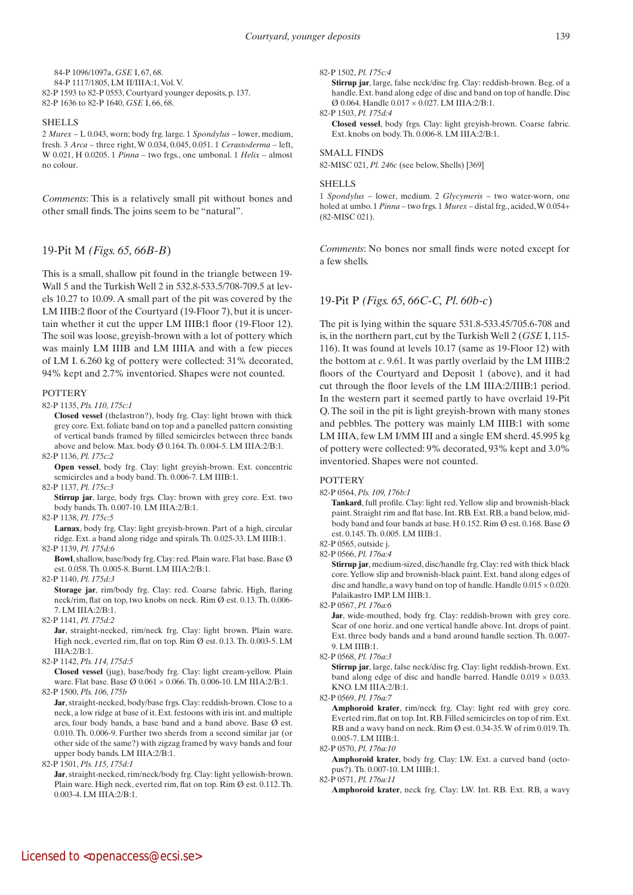#### **SHELLS**

2 *Murex* – L 0.043, worn; body frg. large. 1 *Spondylus* – lower, medium, fresh. 3 *Arca* – three right, W 0.034, 0.045, 0.051. 1 *Cerastoderma* – left, W 0.021, H 0.0205. 1 *Pinna* – two frgs., one umbonal. 1 *Helix* – almost no colour.

*Comments*: This is a relatively small pit without bones and other small finds. The joins seem to be "natural".

## 19-Pit M *(Figs. 65, 66B-B*)

This is a small, shallow pit found in the triangle between 19- Wall 5 and the Turkish Well 2 in 532.8-533.5/708-709.5 at levels 10.27 to 10.09. A small part of the pit was covered by the LM IIIB:2 floor of the Courtyard (19-Floor 7), but it is uncertain whether it cut the upper LM IIIB:1 floor (19-Floor 12). The soil was loose, greyish-brown with a lot of pottery which was mainly LM IIIB and LM IIIIA and with a few pieces of LM I. 6.260 kg of pottery were collected: 31% decorated, 94% kept and 2.7% inventoried. Shapes were not counted.

#### **POTTERY**

82-P 1135, *Pls. 110, 175c:1*

 **Closed vessel** (thelastron?), body frg. Clay: light brown with thick grey core. Ext. foliate band on top and a panelled pattern consisting of vertical bands framed by filled semicircles between three bands above and below. Max. body Ø 0.164. Th. 0.004-5. LM IIIA:2/B:1.

82-P 1136, *Pl. 175c:2*

 **Open vessel**, body frg. Clay: light greyish-brown. Ext. concentric semicircles and a body band. Th. 0.006-7. LM IIIB:1.

82-P 1137, *Pl. 175c:3*

 **Stirrup jar**, large, body frgs. Clay: brown with grey core. Ext. two body bands. Th. 0.007-10. LM IIIA:2/B:1.

82-P 1138, *Pl. 175c:5*

Larnax, body frg. Clay: light greyish-brown. Part of a high, circular ridge. Ext. a band along ridge and spirals. Th. 0.025-33. LM IIIB:1. 82-P 1139, *Pl. 175d:6*

 **Bowl**, shallow, base/body frg. Clay: red. Plain ware. Flat base. Base Ø est. 0.058. Th. 0.005-8. Burnt. LM IIIA:2/B:1.

82-P 1140, *Pl. 175d:3*

 **Storage jar**, rim/body frg. Clay: red. Coarse fabric. High, flaring neck/rim, flat on top, two knobs on neck. Rim Ø est. 0.13. Th. 0.006- 7. LM IIIA:2/B:1.

82-P 1141, *Pl. 175d:2*

Jar, straight-necked, rim/neck frg. Clay: light brown. Plain ware. High neck, everted rim, flat on top. Rim Ø est. 0.13. Th. 0.003-5. LM  $IIIA:2/B:1$ .

82-P 1142, *Pls. 114, 175d:5*

 **Closed vessel** (jug), base/body frg. Clay: light cream-yellow. Plain ware. Flat base. Base Ø 0.061 × 0.066. Th. 0.006-10. LM IIIA:2/B:1. 82-P 1500, *Pls. 106, 175b*

Jar, straight-necked, body/base frgs. Clay: reddish-brown. Close to a neck, a low ridge at base of it. Ext. festoons with iris int. and multiple arcs, four body bands, a base band and a band above. Base  $\emptyset$  est. 0.010. Th. 0.006-9. Further two sherds from a second similar jar (or other side of the same?) with zigzag framed by wavy bands and four upper body bands. LM IIIA:2/B:1.

82-P 1501, *Pls. 115, 175d:1*

 **Jar**, straight-necked, rim/neck/body frg. Clay: light yellowish-brown. Plain ware. High neck, everted rim, flat on top. Rim Ø est. 0.112. Th. 0.003-4. LM IIIA:2/B:1.

82-P 1502, *Pl. 175c:4*

 **Stirrup jar**, large, false neck/disc frg. Clay: reddish-brown. Beg. of a handle. Ext. band along edge of disc and band on top of handle. Disc Ø 0.064. Handle 0.017 × 0.027. LM IIIA:2/B:1.

82-P 1503, *Pl. 175d:4*

 **Closed vessel**, body frgs. Clay: light greyish-brown. Coarse fabric. Ext. knobs on body. Th. 0.006-8. LM IIIA:2/B:1.

#### SMALL FINDS

82-MISC 021, *Pl. 246c* (see below, Shells) [369]

#### **SHELLS**

1 *Spondylus* – lower, medium. 2 *Glycymeris* – two water-worn, one holed at umbo. 1 *Pinna* – two frgs. 1 *Murex* – distal frg., acided, W 0.054+ (82-MISC 021).

*Comments*: No bones nor small finds were noted except for a few shells.

## 19-Pit P *(Figs. 65, 66C-C, Pl. 60b-c*)

The pit is lying within the square 531.8-533.45/705.6-708 and is, in the northern part, cut by the Turkish Well 2 (*GSE* I, 115- 116). It was found at levels 10.17 (same as 19-Floor 12) with the bottom at *c*. 9.61. It was partly overlaid by the LM IIIB:2 floors of the Courtyard and Deposit 1 (above), and it had cut through the floor levels of the LM IIIA:2/IIIB:1 period. In the western part it seemed partly to have overlaid 19-Pit Q. The soil in the pit is light greyish-brown with many stones and pebbles. The pottery was mainly LM IIIB:1 with some LM IIIA, few LM I/MM III and a single EM sherd. 45.995 kg of pottery were collected: 9% decorated, 93% kept and 3.0% inventoried. Shapes were not counted.

## **POTTERY**

82-P 0564, *Pls. 109, 176b:1*

 **Tankard**, full profile. Clay: light red. Yellow slip and brownish-black paint. Straight rim and flat base. Int. RB. Ext. RB, a band below, midbody band and four bands at base. H 0.152. Rim Ø est. 0.168. Base Ø est. 0.145. Th. 0.005. LM IIIB:1.

- 82-P 0565, outside j.
- 82-P 0566, *Pl. 176a:4*

 **Stirrup jar**, medium-sized, disc/handle frg. Clay: red with thick black core. Yellow slip and brownish-black paint. Ext. band along edges of disc and handle, a wavy band on top of handle. Handle 0.015 × 0.020. Palaikastro IMP. LM IIIB:1.

82-P 0567, *Pl. 176a:6*

Jar, wide-mouthed, body frg. Clay: reddish-brown with grey core. Scar of one horiz. and one vertical handle above. Int. drops of paint. Ext. three body bands and a band around handle section. Th. 0.007- 9. LM IIIB:1.

 **Stirrup jar**, large, false neck/disc frg. Clay: light reddish-brown. Ext. band along edge of disc and handle barred. Handle  $0.019 \times 0.033$ . KNO. LM IIIA:2/B:1.

```
82-P 0569, Pl. 176a:7
```
 **Amphoroid krater**, rim/neck frg. Clay: light red with grey core. Everted rim, flat on top. Int. RB. Filled semicircles on top of rim. Ext. RB and a wavy band on neck. Rim Ø est. 0.34-35. W of rim 0.019. Th. 0.005-7. LM IIIB:1.

82-P 0570, *Pl. 176a:10*

 **Amphoroid krater**, body frg. Clay: LW. Ext. a curved band (octopus?). Th. 0.007-10. LM IIIB:1.

82-P 0571, *Pl. 176a:11*

 **Amphoroid krater**, neck frg. Clay: LW. Int. RB. Ext. RB, a wavy

<sup>82-</sup>P 0568, *Pl. 176a:3*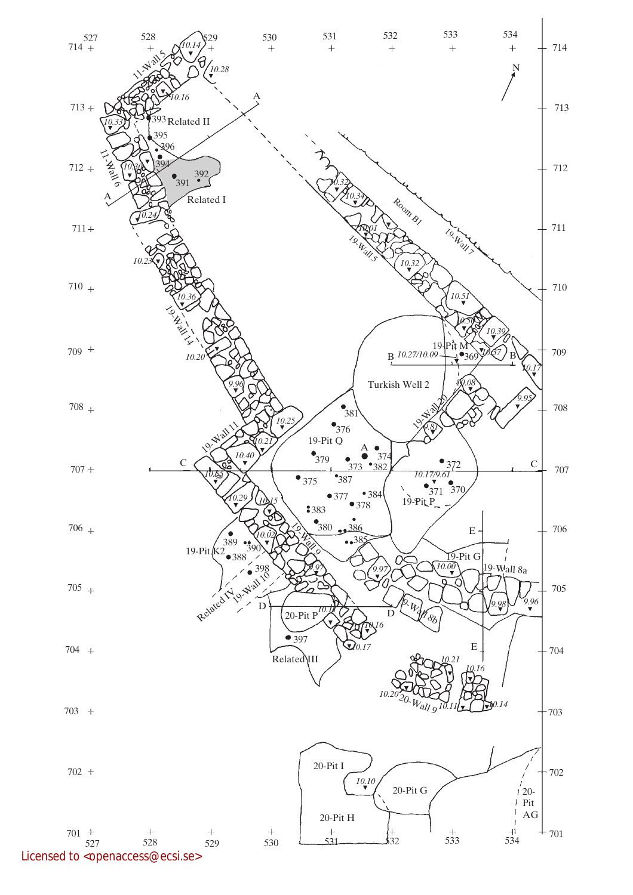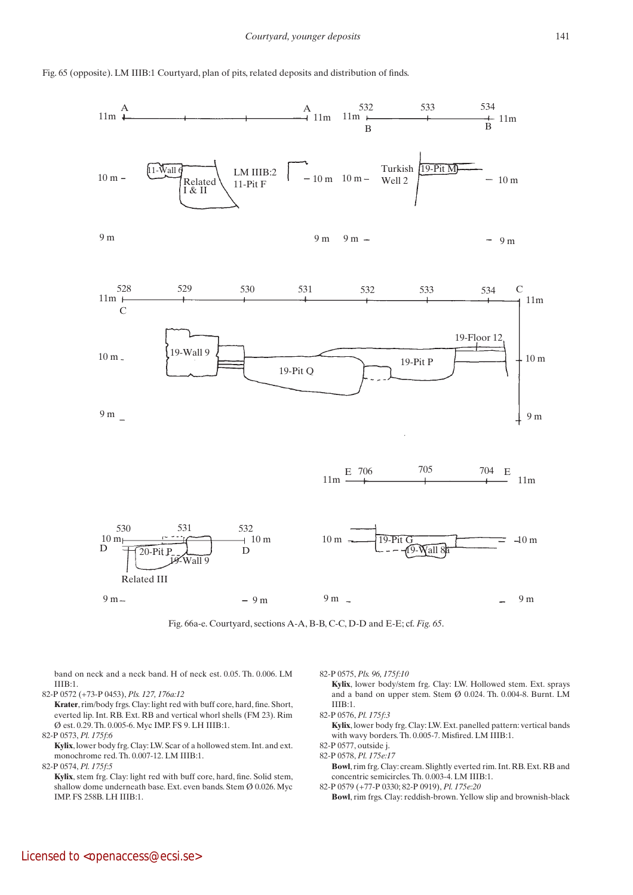



Fig. 66a-e. Courtyard, sections A-A, B-B, C-C, D-D and E-E; cf. *Fig. 65*.

band on neck and a neck band. H of neck est. 0.05. Th. 0.006. LM  $IIIB:1$ .

82-P 0572 (+73-P 0453), *Pls. 127, 176a:12*

 **Krater**, rim/body frgs. Clay: light red with buff core, hard, fine. Short, everted lip. Int. RB. Ext. RB and vertical whorl shells (FM 23). Rim Ø est. 0.29. Th. 0.005-6. Myc IMP. FS 9. LH IIIB:1.

82-P 0573, *Pl. 175f:6*

**Kylix**, lower body frg. Clay: LW. Scar of a hollowed stem. Int. and ext. monochrome red. Th. 0.007-12. LM IIIB:1.

82-P 0574, *Pl. 175f:5*

 **Kylix**, stem frg. Clay: light red with buff core, hard, fine. Solid stem, shallow dome underneath base. Ext. even bands. Stem Ø 0.026. Myc IMP. FS 258B. LH IIIB:1.

82-P 0575, *Pls. 96, 175f:10* 

 **Kylix**, lower body/stem frg. Clay: LW. Hollowed stem. Ext. sprays and a band on upper stem. Stem Ø 0.024. Th. 0.004-8. Burnt. LM IIIB:1.

82-P 0576, *Pl. 175f:3*

 **Kylix**, lower body frg. Clay: LW. Ext. panelled pattern: vertical bands with wavy borders. Th. 0.005-7. Misfired. LM IIIB:1.

82-P 0577, outside j.

82-P 0578, *Pl. 175e:17*

 **Bowl**, rim frg. Clay: cream. Slightly everted rim. Int. RB. Ext. RB and concentric semicircles. Th. 0.003-4. LM IIIB:1.

82-P 0579 (+77-P 0330; 82-P 0919), *Pl. 175e:20*  **Bowl**, rim frgs. Clay: reddish-brown. Yellow slip and brownish-black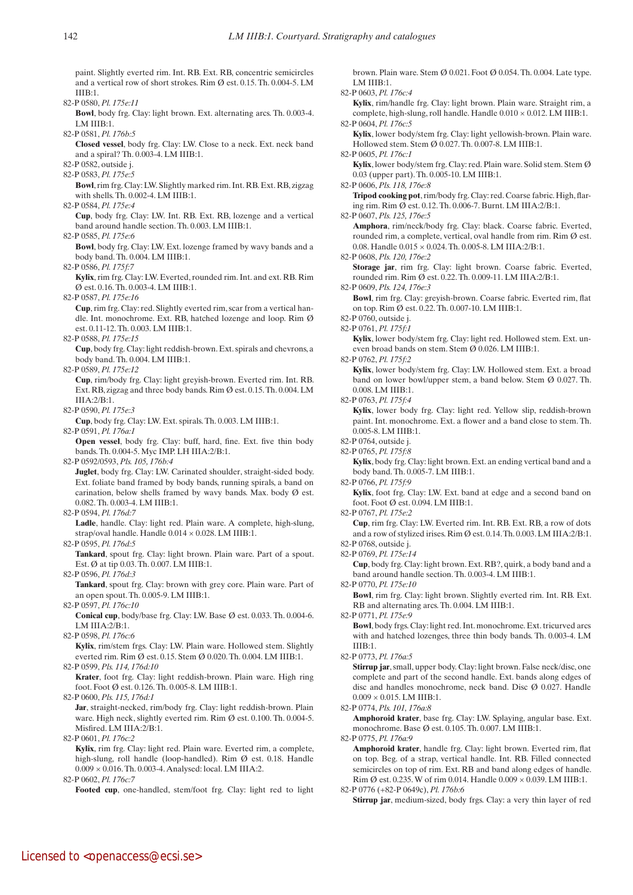paint. Slightly everted rim. Int. RB. Ext. RB, concentric semicircles and a vertical row of short strokes. Rim Ø est. 0.15. Th. 0.004-5. LM  $I I I R·1.$ 

82-P 0580, *Pl. 175e:11*

 **Bowl**, body frg. Clay: light brown. Ext. alternating arcs. Th. 0.003-4. LM IIIB:1.

- 82-P 0581, *Pl. 176b:5*  **Closed vessel**, body frg. Clay: LW. Close to a neck. Ext. neck band and a spiral? Th. 0.003-4. LM IIIB:1.
- 82-P 0582, outside j.

82-P 0583, *Pl. 175e:5*  **Bowl**, rim frg. Clay: LW. Slightly marked rim. Int. RB. Ext. RB, zigzag with shells. Th. 0.002-4. LM IIIB:1.

82-P 0584, *Pl. 175e:4*

 **Cup**, body frg. Clay: LW. Int. RB. Ext. RB, lozenge and a vertical band around handle section. Th. 0.003. LM IIIB:1.

82-P 0585, *Pl. 175e:6*

 **Bowl**, body frg. Clay: LW. Ext. lozenge framed by wavy bands and a body band. Th. 0.004. LM IIIB:1.

82-P 0586, *Pl. 175f:7*

 **Kylix**, rim frg. Clay: LW. Everted, rounded rim. Int. and ext. RB. Rim Ø est. 0.16. Th. 0.003-4. LM IIIB:1.

82-P 0587, *Pl. 175e:16*

 **Cup**, rim frg. Clay: red. Slightly everted rim, scar from a vertical handle. Int. monochrome. Ext. RB, hatched lozenge and loop. Rim Ø est. 0.11-12. Th. 0.003. LM IIIB:1.

82-P 0588, *Pl. 175e:15*

 **Cup**, body frg. Clay: light reddish-brown. Ext. spirals and chevrons, a body band. Th. 0.004. LM IIIB:1.

82-P 0589, *Pl. 175e:12*

 **Cup**, rim/body frg. Clay: light greyish-brown. Everted rim. Int. RB. Ext. RB, zigzag and three body bands. Rim Ø est. 0.15. Th. 0.004. LM IIIA:2/B:1.

82-P 0590, *Pl. 175e:3*

 **Cup**, body frg. Clay: LW. Ext. spirals. Th. 0.003. LM IIIB:1.

82-P 0591, *Pl. 176a:1*

**Open vessel**, body frg. Clay: buff, hard, fine. Ext. five thin body bands. Th. 0.004-5. Myc IMP. LH IIIA:2/B:1.

82-P 0592/0593, *Pls. 105, 176b:4*

 **Juglet**, body frg. Clay: LW. Carinated shoulder, straight-sided body. Ext. foliate band framed by body bands, running spirals, a band on carination, below shells framed by wavy bands. Max. body  $\emptyset$  est. 0.082. Th. 0.003-4. LM IIIB:1.

82-P 0594, *Pl. 176d:7*

Ladle, handle. Clay: light red. Plain ware. A complete, high-slung, strap/oval handle. Handle 0.014 × 0.028. LM IIIB:1.

82-P 0595, *Pl. 176d:5*

Tankard, spout frg. Clay: light brown. Plain ware. Part of a spout. Est. Ø at tip 0.03. Th. 0.007. LM IIIB:1.

82-P 0596, *Pl. 176d:3*

Tankard, spout frg. Clay: brown with grey core. Plain ware. Part of an open spout. Th. 0.005-9. LM IIIB:1.

82-P 0597, *Pl. 176c:10*

 **Conical cup**, body/base frg. Clay: LW. Base Ø est. 0.033. Th. 0.004-6. LM IIIA:2/B:1.

82-P 0598, *Pl. 176c:6*

 **Kylix**, rim/stem frgs. Clay: LW. Plain ware. Hollowed stem. Slightly everted rim. Rim Ø est. 0.15. Stem Ø 0.020. Th. 0.004. LM IIIB:1. 82-P 0599, *Pls. 114, 176d:10*

 **Krater**, foot frg. Clay: light reddish-brown. Plain ware. High ring foot. Foot Ø est. 0.126. Th. 0.005-8. LM IIIB:1.

82-P 0600, *Pls. 115, 176d:1*

Jar, straight-necked, rim/body frg. Clay: light reddish-brown. Plain ware. High neck, slightly everted rim. Rim Ø est. 0.100. Th. 0.004-5. Misfired. LM IIIA:2/B:1.

82-P 0601, *Pl. 176c:2*

 **Kylix**, rim frg. Clay: light red. Plain ware. Everted rim, a complete, high-slung, roll handle (loop-handled). Rim Ø est. 0.18. Handle 0.009 × 0.016. Th. 0.003-4. Analysed: local. LM IIIA:2.

82-P 0602, *Pl. 176c:7*

 **Footed cup**, one-handled, stem/foot frg. Clay: light red to light

brown. Plain ware. Stem  $\emptyset$  0.021. Foot  $\emptyset$  0.054. Th. 0.004. Late type. LM IIIB:1.

82-P 0603, *Pl. 176c:4*

 **Kylix**, rim/handle frg. Clay: light brown. Plain ware. Straight rim, a complete, high-slung, roll handle. Handle  $0.010 \times 0.012$ . LM IIIB:1. 82-P 0604, *Pl. 176c:5*

 **Kylix**, lower body/stem frg. Clay: light yellowish-brown. Plain ware. Hollowed stem. Stem Ø 0.027. Th. 0.007-8. LM IIIB:1.

82-P 0605, *Pl. 176c:1*

 **Kylix**, lower body/stem frg. Clay: red. Plain ware. Solid stem. Stem Ø 0.03 (upper part). Th. 0.005-10. LM IIIB:1.

82-P 0606, *Pls. 118, 176e:8*  **Tripod cooking pot**, rim/body frg. Clay: red. Coarse fabric. High, flaring rim. Rim Ø est. 0.12. Th. 0.006-7. Burnt. LM IIIA:2/B:1.

82-P 0607, *Pls. 125, 176e:5*

 **Amphora**, rim/neck/body frg. Clay: black. Coarse fabric. Everted, rounded rim, a complete, vertical, oval handle from rim. Rim Ø est. 0.08. Handle 0.015 × 0.024. Th. 0.005-8. LM IIIA:2/B:1.

82-P 0608, *Pls. 120, 176e:2*

 **Storage jar**, rim frg. Clay: light brown. Coarse fabric. Everted, rounded rim. Rim Ø est. 0.22. Th. 0.009-11. LM IIIA:2/B:1.

82-P 0609, *Pls. 124, 176e:3*

 **Bowl**, rim frg. Clay: greyish-brown. Coarse fabric. Everted rim, flat on top. Rim Ø est. 0.22. Th. 0.007-10. LM IIIB:1.

82-P 0760, outside j.

82-P 0761, *Pl. 175f:1*

 **Kylix**, lower body/stem frg. Clay: light red. Hollowed stem. Ext. uneven broad bands on stem. Stem Ø 0.026. LM IIIB:1.

82-P 0762, *Pl. 175f:2*  **Kylix**, lower body/stem frg. Clay: LW. Hollowed stem. Ext. a broad band on lower bowl/upper stem, a band below. Stem Ø 0.027. Th.

0.008. LM IIIB:1. 82-P 0763, *Pl. 175f:4*

> **Kylix**, lower body frg. Clay: light red. Yellow slip, reddish-brown paint. Int. monochrome. Ext. a flower and a band close to stem. Th. 0.005-8. LM IIIB:1.

82-P 0764, outside j.

82-P 0765, *Pl. 175f:8*

 **Kylix**, body frg. Clay: light brown. Ext. an ending vertical band and a body band. Th. 0.005-7. LM IIIB:1.

82-P 0766, *Pl. 175f:9*

 **Kylix**, foot frg. Clay: LW. Ext. band at edge and a second band on foot. Foot Ø est. 0.094. LM IIIB:1.

82-P 0767, *Pl. 175e:2*

 **Cup**, rim frg. Clay: LW. Everted rim. Int. RB. Ext. RB, a row of dots and a row of stylized irises. Rim Ø est. 0.14. Th. 0.003. LM IIIA:2/B:1. 82-P 0768, outside j.

82-P 0769, *Pl. 175e:14*

 **Cup**, body frg. Clay: light brown. Ext. RB?, quirk, a body band and a band around handle section. Th. 0.003-4. LM IIIB:1.

82-P 0770, *Pl. 175e:10*

 **Bowl**, rim frg. Clay: light brown. Slightly everted rim. Int. RB. Ext. RB and alternating arcs. Th. 0.004. LM IIIB:1.

82-P 0771, *Pl. 175e:9*

 **Bowl**, body frgs. Clay: light red. Int. monochrome. Ext. tricurved arcs with and hatched lozenges, three thin body bands. Th. 0.003-4. LM IIIB:1.

 **Stirrup jar**, small, upper body. Clay: light brown. False neck/disc, one complete and part of the second handle. Ext. bands along edges of disc and handles monochrome, neck band. Disc Ø 0.027. Handle  $0.009 \times 0.015$ . LM IIIB:1.

82-P 0774, *Pls. 101, 176a:8*

 **Amphoroid krater**, base frg. Clay: LW. Splaying, angular base. Ext. monochrome. Base Ø est. 0.105. Th. 0.007. LM IIIB:1.

82-P 0775, *Pl. 176a:9*

 **Amphoroid krater**, handle frg. Clay: light brown. Everted rim, flat on top. Beg. of a strap, vertical handle. Int. RB. Filled connected semicircles on top of rim. Ext. RB and band along edges of handle. Rim  $\emptyset$  est. 0.235. W of rim 0.014. Handle 0.009  $\times$  0.039. LM IIIB:1.

82-P 0776 (+82-P 0649c), *Pl. 176b:6*

**Stirrup** jar, medium-sized, body frgs. Clay: a very thin layer of red

<sup>82-</sup>P 0773, *Pl. 176a:5*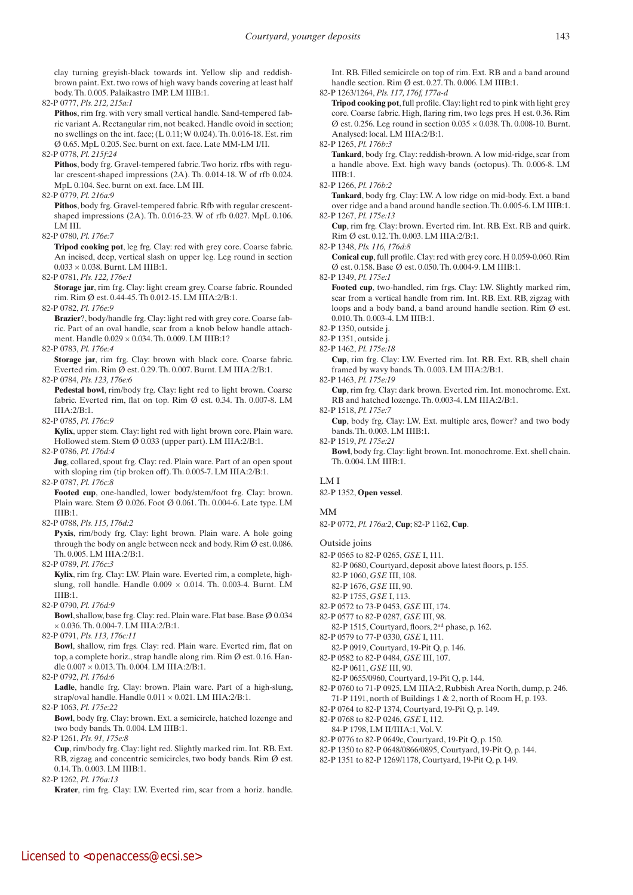clay turning greyish-black towards int. Yellow slip and reddishbrown paint. Ext. two rows of high wavy bands covering at least half body. Th. 0.005. Palaikastro IMP. LM IIIB:1.

82-P 0777, *Pls. 212, 215a:1*

Pithos, rim frg. with very small vertical handle. Sand-tempered fabric variant A. Rectangular rim, not beaked. Handle ovoid in section; no swellings on the int. face; (L 0.11; W 0.024). Th. 0.016-18. Est. rim Ø 0.65. MpL 0.205. Sec. burnt on ext. face. Late MM-LM I/II.

82-P 0778, *Pl. 215f:24*

Pithos, body frg. Gravel-tempered fabric. Two horiz. rfbs with regular crescent-shaped impressions (2A). Th. 0.014-18. W of rfb 0.024. MpL 0.104. Sec. burnt on ext. face. LM III.

82-P 0779, *Pl. 216a:9*

 **Pithos**, body frg. Gravel-tempered fabric. Rfb with regular crescentshaped impressions (2A). Th. 0.016-23. W of rfb 0.027. MpL 0.106. LM III.

#### 82-P 0780, *Pl. 176e:7*

 **Tripod cooking pot**, leg frg. Clay: red with grey core. Coarse fabric. An incised, deep, vertical slash on upper leg. Leg round in section  $0.033 \times 0.038$ . Burnt. LM IIIB:1.

82-P 0781, *Pls. 122, 176e:1*

 **Storage jar**, rim frg. Clay: light cream grey. Coarse fabric. Rounded rim. Rim Ø est. 0.44-45. Th 0.012-15. LM IIIA:2/B:1.

82-P 0782, *Pl. 176e:9*

 **Brazier**?, body/handle frg. Clay: light red with grey core. Coarse fabric. Part of an oval handle, scar from a knob below handle attachment. Handle 0.029 × 0.034. Th. 0.009. LM IIIB:1?

82-P 0783, *Pl. 176e:4*

**Storage** jar, rim frg. Clay: brown with black core. Coarse fabric. Everted rim. Rim Ø est. 0.29. Th. 0.007. Burnt. LM IIIA:2/B:1.

82-P 0784, *Pls. 123, 176e:6*

 **Pedestal bowl**, rim/body frg. Clay: light red to light brown. Coarse fabric. Everted rim, flat on top. Rim Ø est. 0.34. Th. 0.007-8. LM IIIA:2/B:1.

82-P 0785, *Pl. 176c:9*

**Kylix**, upper stem. Clay: light red with light brown core. Plain ware. Hollowed stem. Stem Ø 0.033 (upper part). LM IIIA:2/B:1.

82-P 0786, *Pl. 176d:4*

Jug, collared, spout frg. Clay: red. Plain ware. Part of an open spout with sloping rim (tip broken off). Th. 0.005-7. LM IIIA:2/B:1.

82-P 0787, *Pl. 176c:8*

 **Footed cup**, one-handled, lower body/stem/foot frg. Clay: brown. Plain ware. Stem Ø 0.026. Foot Ø 0.061. Th. 0.004-6. Late type. LM IIIB:1.

82-P 0788, *Pls. 115, 176d:2*

Pyxis, rim/body frg. Clay: light brown. Plain ware. A hole going through the body on angle between neck and body. Rim Ø est. 0.086. Th. 0.005. LM IIIA:2/B:1.

82-P 0789, *Pl. 176c:3*

 **Kylix**, rim frg. Clay: LW. Plain ware. Everted rim, a complete, highslung, roll handle. Handle  $0.009 \times 0.014$ . Th. 0.003-4. Burnt. LM  $I I I R·1.$ 

82-P 0790, *Pl. 176d:9*

 **Bowl**, shallow, base frg. Clay: red. Plain ware. Flat base. Base Ø 0.034  $\times$  0.036. Th. 0.004-7. LM IIIA:2/B:1.

82-P 0791, *Pls. 113, 176c:11*

 **Bowl**, shallow, rim frgs. Clay: red. Plain ware. Everted rim, flat on top, a complete horiz., strap handle along rim. Rim  $\emptyset$  est. 0.16. Handle 0.007 × 0.013. Th. 0.004. LM IIIA:2/B:1.

82-P 0792, *Pl. 176d:6*

Ladle, handle frg. Clay: brown. Plain ware. Part of a high-slung, strap/oval handle. Handle  $0.011 \times 0.021$ . LM IIIA:2/B:1.

82-P 1063, *Pl. 175e:22*

 **Bowl**, body frg. Clay: brown. Ext. a semicircle, hatched lozenge and two body bands. Th. 0.004. LM IIIB:1.

82-P 1261, *Pls. 91, 175e:8*

 **Cup**, rim/body frg. Clay: light red. Slightly marked rim. Int. RB. Ext. RB, zigzag and concentric semicircles, two body bands. Rim Ø est. 0.14. Th. 0.003. LM IIIB:1.

82-P 1262, *Pl. 176a:13*

 **Krater**, rim frg. Clay: LW. Everted rim, scar from a horiz. handle.

Int. RB. Filled semicircle on top of rim. Ext. RB and a band around handle section. Rim Ø est. 0.27. Th. 0.006. LM IIIB:1.

82-P 1263/1264, *Pls. 117, 176f, 177a-d*

 **Tripod cooking pot**, full profile. Clay: light red to pink with light grey core. Coarse fabric. High, flaring rim, two legs pres. H est. 0.36. Rim  $\varnothing$  est. 0.256. Leg round in section 0.035  $\times$  0.038. Th. 0.008-10. Burnt. Analysed: local. LM IIIA:2/B:1.

82-P 1265, *Pl. 176b:3*

Tankard, body frg. Clay: reddish-brown. A low mid-ridge, scar from a handle above. Ext. high wavy bands (octopus). Th. 0.006-8. LM IIIB:1.

82-P 1266, *Pl. 176b:2*

 **Tankard**, body frg. Clay: LW. A low ridge on mid-body. Ext. a band over ridge and a band around handle section. Th. 0.005-6. LM IIIB:1. 82-P 1267, *Pl. 175e:13*

 **Cup**, rim frg. Clay: brown. Everted rim. Int. RB. Ext. RB and quirk. Rim Ø est. 0.12. Th. 0.003. LM IIIA:2/B:1.

82-P 1348, *Pls. 116, 176d:8* 

 **Conical cup**, full profile. Clay: red with grey core. H 0.059-0.060. Rim Ø est. 0.158. Base Ø est. 0.050. Th. 0.004-9. LM IIIB:1.

82-P 1349, *Pl. 175e:1*

 **Footed cup**, two-handled, rim frgs. Clay: LW. Slightly marked rim, scar from a vertical handle from rim. Int. RB. Ext. RB, zigzag with loops and a body band, a band around handle section. Rim Ø est. 0.010. Th. 0.003-4. LM IIIB:1.

82-P 1350, outside j.

- 82-P 1351, outside j.
- 82-P 1462, *Pl. 175e:18*

 **Cup**, rim frg. Clay: LW. Everted rim. Int. RB. Ext. RB, shell chain framed by wavy bands. Th. 0.003. LM IIIA:2/B:1.

82-P 1463, *Pl. 175e:19*

 **Cup**, rim frg. Clay: dark brown. Everted rim. Int. monochrome. Ext. RB and hatched lozenge. Th. 0.003-4. LM IIIA:2/B:1.

82-P 1518, *Pl. 175e:7*

 **Cup**, body frg. Clay: LW. Ext. multiple arcs, flower? and two body bands. Th. 0.003. LM IIIB:1.

82-P 1519, *Pl. 175e:21*

 **Bowl**, body frg. Clay: light brown. Int. monochrome. Ext. shell chain. Th. 0.004. LM IIIB:1.

## LM I

82-P 1352, **Open vessel**.

#### MM

82-P 0772, *Pl. 176a:2*, **Cup**; 82-P 1162, **Cup**.

Outside joins

82-P 0565 to 82-P 0265, *GSE* I, 111.

82-P 0680, Courtyard, deposit above latest floors, p. 155.

82-P 1060, *GSE* III, 108.

82-P 1676, *GSE* III, 90. 82-P 1755, *GSE* I, 113.

82-P 0572 to 73-P 0453, *GSE* III, 174.

82-P 0577 to 82-P 0287, *GSE* III, 98. 82-P 1515, Courtyard, floors, 2nd phase, p. 162.

82-P 0579 to 77-P 0330, *GSE* I, 111.

82-P 0919, Courtyard, 19-Pit Q, p. 146.

82-P 0582 to 82-P 0484, *GSE* III, 107.

82-P 0611, *GSE* III, 90.

82-P 0655/0960, Courtyard, 19-Pit Q, p. 144.

82-P 0760 to 71-P 0925, LM IIIA:2, Rubbish Area North, dump, p. 246. 71-P 1191, north of Buildings 1 & 2, north of Room H, p. 193.

82-P 0764 to 82-P 1374, Courtyard, 19-Pit Q, p. 149.

82-P 0768 to 82-P 0246, *GSE* I, 112.

84-P 1798, LM II/IIIA:1, Vol. V.

- 82-P 0776 to 82-P 0649c, Courtyard, 19-Pit Q, p. 150.
- 82-P 1350 to 82-P 0648/0866/0895, Courtyard, 19-Pit Q, p. 144.
- 82-P 1351 to 82-P 1269/1178, Courtyard, 19-Pit Q, p. 149.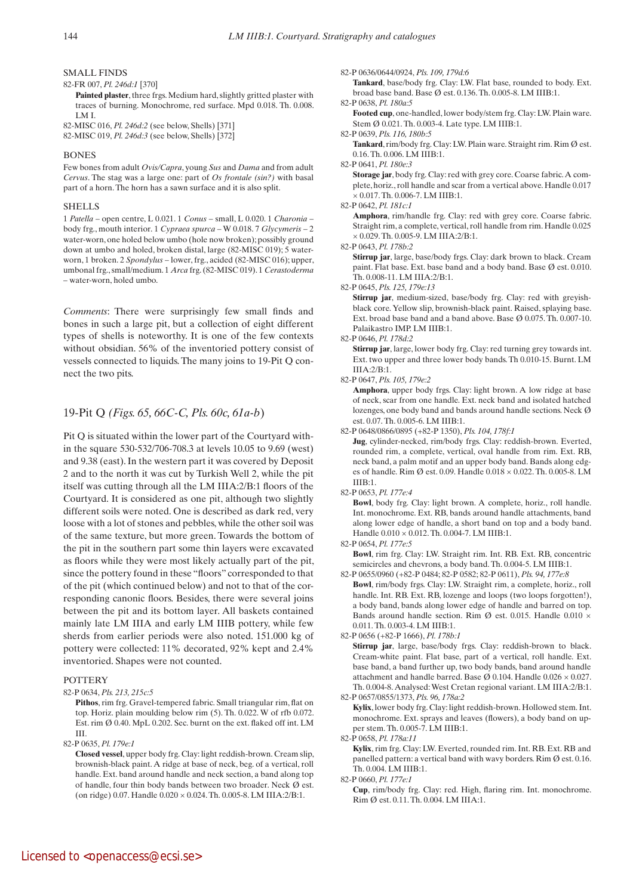SMALL FINDS

82-FR 007, *Pl. 246d:1* [370]

 **Painted plaster**, three frgs. Medium hard, slightly gritted plaster with traces of burning. Monochrome, red surface. Mpd 0.018. Th. 0.008. LM I.

82-MISC 016, *Pl. 246d:2* (see below, Shells) [371]

82-MISC 019, *Pl. 246d:3* (see below, Shells) [372]

## BONES

Few bones from adult *Ovis/Capra*, young *Sus* and *Dama* and from adult *Cervus*. The stag was a large one: part of *Os frontale (sin?)* with basal part of a horn. The horn has a sawn surface and it is also split.

## **SHELLS**

1 *Patella* – open centre, L 0.021. 1 *Conus* – small, L 0.020. 1 *Charonia* – body frg., mouth interior. 1 *Cypraea spurca* – W 0.018. 7 *Glycymeris* – 2 water-worn, one holed below umbo (hole now broken); possibly ground down at umbo and holed, broken distal, large (82-MISC 019); 5 waterworn, 1 broken. 2 *Spondylus* – lower, frg., acided (82-MISC 016); upper, umbonal frg., small/medium. 1 *Arca* frg. (82-MISC 019). 1 *Cerastoderma* – water-worn, holed umbo.

*Comments*: There were surprisingly few small finds and bones in such a large pit, but a collection of eight different types of shells is noteworthy. It is one of the few contexts without obsidian. 56% of the inventoried pottery consist of vessels connected to liquids. The many joins to 19-Pit Q connect the two pits.

## 19-Pit Q *(Figs. 65, 66C-C, Pls. 60c, 61a-b*)

Pit Q is situated within the lower part of the Courtyard within the square 530-532/706-708.3 at levels 10.05 to 9.69 (west) and 9.38 (east). In the western part it was covered by Deposit 2 and to the north it was cut by Turkish Well 2, while the pit itself was cutting through all the LM IIIA:2/B:1 floors of the Courtyard. It is considered as one pit, although two slightly different soils were noted. One is described as dark red, very loose with a lot of stones and pebbles, while the other soil was of the same texture, but more green. Towards the bottom of the pit in the southern part some thin layers were excavated as floors while they were most likely actually part of the pit, since the pottery found in these "floors" corresponded to that of the pit (which continued below) and not to that of the corresponding canonic floors. Besides, there were several joins between the pit and its bottom layer. All baskets contained mainly late LM IIIA and early LM IIIB pottery, while few sherds from earlier periods were also noted. 151.000 kg of pottery were collected: 11% decorated, 92% kept and 2.4% inventoried. Shapes were not counted.

## **POTTERY**

## 82-P 0634, *Pls. 213, 215c:5*

Pithos, rim frg. Gravel-tempered fabric. Small triangular rim, flat on top. Horiz. plain moulding below rim (5). Th. 0.022. W of rfb 0.072. Est. rim Ø 0.40. MpL 0.202. Sec. burnt on the ext. flaked off int. LM III.

82-P 0635, *Pl. 179e:1*

 **Closed vessel**, upper body frg. Clay: light reddish-brown. Cream slip, brownish-black paint. A ridge at base of neck, beg. of a vertical, roll handle. Ext. band around handle and neck section, a band along top of handle, four thin body bands between two broader. Neck  $\emptyset$  est. (on ridge) 0.07. Handle 0.020 × 0.024. Th. 0.005-8. LM IIIA:2/B:1.

82-P 0636/0644/0924, *Pls. 109, 179d:6*

Tankard, base/body frg. Clay: LW. Flat base, rounded to body. Ext. broad base band. Base Ø est. 0.136. Th. 0.005-8. LM IIIB:1. 82-P 0638, *Pl. 180a:5*

 **Footed cup**, one-handled, lower body/stem frg. Clay: LW. Plain ware. Stem Ø 0.021. Th. 0.003-4. Late type. LM IIIB:1.

82-P 0639, *Pls. 116, 180b:5*  **Tankard**, rim/body frg. Clay: LW. Plain ware. Straight rim. Rim Ø est. 0.16. Th. 0.006. LM IIIB:1.

82-P 0641, *Pl. 180e:3*

 **Storage jar**, body frg. Clay: red with grey core. Coarse fabric. A complete, horiz., roll handle and scar from a vertical above. Handle 0.017  $\times$  0.017. Th. 0.006-7. LM IIIB:1.

```
82-P 0642, Pl. 181c:1
```
 **Amphora**, rim/handle frg. Clay: red with grey core. Coarse fabric. Straight rim, a complete, vertical, roll handle from rim. Handle 0.025 × 0.029. Th. 0.005-9. LM IIIA:2/B:1.

82-P 0643, *Pl. 178b:2*

 **Stirrup jar**, large, base/body frgs. Clay: dark brown to black. Cream paint. Flat base. Ext. base band and a body band. Base Ø est. 0.010. Th. 0.008-11. LM IIIA:2/B:1.

82-P 0645, *Pls. 125, 179e:13*

**Stirrup** jar, medium-sized, base/body frg. Clay: red with greyishblack core. Yellow slip, brownish-black paint. Raised, splaying base. Ext. broad base band and a band above. Base Ø 0.075. Th. 0.007-10. Palaikastro IMP. LM IIIB:1.

82-P 0646, *Pl. 178d:2*

**Stirrup jar**, large, lower body frg. Clay: red turning grey towards int. Ext. two upper and three lower body bands. Th 0.010-15. Burnt. LM IIIA:2/B:1.

82-P 0647, *Pls. 105, 179e:2*

 **Amphora**, upper body frgs. Clay: light brown. A low ridge at base of neck, scar from one handle. Ext. neck band and isolated hatched lozenges, one body band and bands around handle sections. Neck Ø est. 0.07. Th. 0.005-6. LM IIIB:1.

82-P 0648/0866/0895 (+82-P 1350), *Pls. 104, 178f:1*

 **Jug**, cylinder-necked, rim/body frgs. Clay: reddish-brown. Everted, rounded rim, a complete, vertical, oval handle from rim. Ext. RB, neck band, a palm motif and an upper body band. Bands along edges of handle. Rim Ø est. 0.09. Handle 0.018 × 0.022. Th. 0.005-8. LM IIIB:1.

82-P 0653, *Pl. 177e:4*

 **Bowl**, body frg. Clay: light brown. A complete, horiz., roll handle. Int. monochrome. Ext. RB, bands around handle attachments, band along lower edge of handle, a short band on top and a body band. Handle 0.010 × 0.012. Th. 0.004-7. LM IIIB:1.

82-P 0654, *Pl. 177e:5*

 **Bowl**, rim frg. Clay: LW. Straight rim. Int. RB. Ext. RB, concentric semicircles and chevrons, a body band. Th. 0.004-5. LM IIIB:1.

- 82-P 0655/0960 (+82-P 0484; 82-P 0582; 82-P 0611), *Pls. 94, 177e:8*  **Bowl**, rim/body frgs. Clay: LW. Straight rim, a complete, horiz., roll handle. Int. RB. Ext. RB, lozenge and loops (two loops forgotten!), a body band, bands along lower edge of handle and barred on top. Bands around handle section. Rim  $\emptyset$  est. 0.015. Handle 0.010  $\times$ 0.011. Th. 0.003-4. LM IIIB:1.
- 82-P 0656 (+82-P 1666), *Pl. 178b:1*
- **Stirrup** jar, large, base/body frgs. Clay: reddish-brown to black. Cream-white paint. Flat base, part of a vertical, roll handle. Ext. base band, a band further up, two body bands, band around handle attachment and handle barred. Base Ø 0.104. Handle  $0.026 \times 0.027$ . Th. 0.004-8. Analysed: West Cretan regional variant. LM IIIA:2/B:1. 82-P 0657/0855/1373, *Pls. 96, 178a:2*

 **Kylix**, lower body frg. Clay: light reddish-brown. Hollowed stem. Int. monochrome. Ext. sprays and leaves (flowers), a body band on upper stem. Th. 0.005-7. LM IIIB:1.

82-P 0658, *Pl. 178a:11*

 **Kylix**, rim frg. Clay: LW. Everted, rounded rim. Int. RB. Ext. RB and panelled pattern: a vertical band with wavy borders. Rim Ø est. 0.16. Th. 0.004. LM IIIB:1.

82-P 0660, *Pl. 177e:1*  **Cup**, rim/body frg. Clay: red. High, flaring rim. Int. monochrome. Rim Ø est. 0.11. Th. 0.004. LM IIIA:1.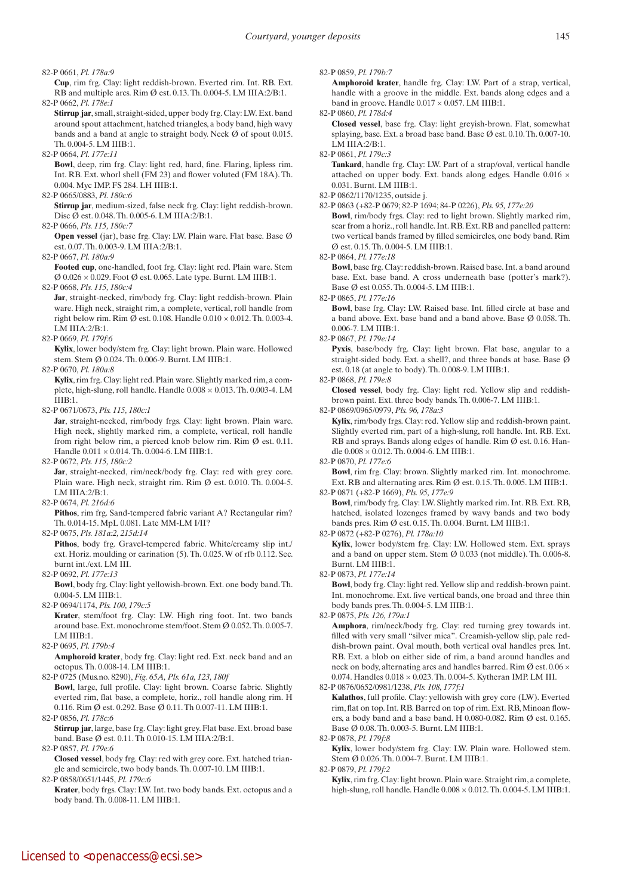#### 82-P 0661, *Pl. 178a:9*

 **Cup**, rim frg. Clay: light reddish-brown. Everted rim. Int. RB. Ext. RB and multiple arcs. Rim Ø est. 0.13. Th. 0.004-5. LM IIIA:2/B:1. 82-P 0662, *Pl. 178e:1*

 **Stirrup jar**, small, straight-sided, upper body frg. Clay: LW. Ext. band around spout attachment, hatched triangles, a body band, high wavy bands and a band at angle to straight body. Neck Ø of spout 0.015. Th. 0.004-5. LM IIIB:1.

82-P 0664, *Pl. 177e:11*

 **Bowl**, deep, rim frg. Clay: light red, hard, fine. Flaring, lipless rim. Int. RB. Ext. whorl shell (FM 23) and flower voluted (FM 18A). Th. 0.004. Myc IMP. FS 284. LH IIIB:1.

82-P 0665/0883, *Pl. 180c:6*

 **Stirrup jar**, medium-sized, false neck frg. Clay: light reddish-brown. Disc Ø est. 0.048. Th. 0.005-6. LM IIIA:2/B:1.

82-P 0666, *Pls. 115, 180c:7*

 **Open vessel** (jar), base frg. Clay: LW. Plain ware. Flat base. Base Ø est. 0.07. Th. 0.003-9. LM IIIA:2/B:1.

82-P 0667, *Pl. 180a:9*

 **Footed cup**, one-handled, foot frg. Clay: light red. Plain ware. Stem  $\varnothing$  0.026 × 0.029. Foot  $\varnothing$  est. 0.065. Late type. Burnt. LM IIIB:1. 82-P 0668, *Pls. 115, 180c:4*

Jar, straight-necked, rim/body frg. Clay: light reddish-brown. Plain ware. High neck, straight rim, a complete, vertical, roll handle from right below rim. Rim Ø est. 0.108. Handle  $0.010 \times 0.012$ . Th. 0.003-4. LM IIIA:2/B:1.

82-P 0669, *Pl. 179f:6*

 **Kylix**, lower body/stem frg. Clay: light brown. Plain ware. Hollowed stem. Stem Ø 0.024. Th. 0.006-9. Burnt. LM IIIB:1.

82-P 0670, *Pl. 180a:8*

**Kylix**, rim frg. Clay: light red. Plain ware. Slightly marked rim, a complete, high-slung, roll handle. Handle 0.008 × 0.013. Th. 0.003-4. LM IIIB:1.

82-P 0671/0673, *Pls. 115, 180c:1*

Jar, straight-necked, rim/body frgs. Clay: light brown. Plain ware. High neck, slightly marked rim, a complete, vertical, roll handle from right below rim, a pierced knob below rim. Rim Ø est. 0.11. Handle 0.011 × 0.014. Th. 0.004-6. LM IIIB:1.

82-P 0672, *Pls. 115, 180c:2*

Jar, straight-necked, rim/neck/body frg. Clay: red with grey core. Plain ware. High neck, straight rim. Rim Ø est. 0.010. Th. 0.004-5. LM IIIA:2/B:1.

82-P 0674, *Pl. 216d:6*

Pithos, rim frg. Sand-tempered fabric variant A? Rectangular rim? Th. 0.014-15. MpL 0.081. Late MM-LM I/II?

82-P 0675, *Pls. 181a:2, 215d:14*

 **Pithos**, body frg. Gravel-tempered fabric. White/creamy slip int./ ext. Horiz. moulding or carination (5). Th. 0.025. W of rfb 0.112. Sec. burnt int./ext. LM III.

82-P 0692, *Pl. 177e:13*

 **Bowl**, body frg. Clay: light yellowish-brown. Ext. one body band. Th. 0.004-5. LM IIIB:1.

82-P 0694/1174, *Pls. 100, 179c:5*

 **Krater**, stem/foot frg. Clay: LW. High ring foot. Int. two bands around base. Ext. monochrome stem/foot. Stem Ø 0.052. Th. 0.005-7. LM IIIB:1.

82-P 0695, *Pl. 179b:4*

 **Amphoroid krater**, body frg. Clay: light red. Ext. neck band and an octopus. Th. 0.008-14. LM IIIB:1.

82-P 0725 (Mus.no. 8290), *Fig. 65A, Pls. 61a, 123, 180f*

 **Bowl**, large, full profile. Clay: light brown. Coarse fabric. Slightly everted rim, flat base, a complete, horiz., roll handle along rim. H 0.116. Rim Ø est. 0.292. Base Ø 0.11. Th 0.007-11. LM IIIB:1.

82-P 0856, *Pl. 178c:6*

**Stirrup jar**, large, base frg. Clay: light grey. Flat base. Ext. broad base band. Base Ø est. 0.11. Th 0.010-15. LM IIIA:2/B:1.

82-P 0857, *Pl. 179e:6*

 **Closed vessel**, body frg. Clay: red with grey core. Ext. hatched triangle and semicircle, two body bands. Th. 0.007-10. LM IIIB:1.

82-P 0858/0651/1445, *Pl. 179c:6*

 **Krater**, body frgs. Clay: LW. Int. two body bands. Ext. octopus and a body band. Th. 0.008-11. LM IIIB:1.

82-P 0859, *Pl. 179b:7*

 **Amphoroid krater**, handle frg. Clay: LW. Part of a strap, vertical, handle with a groove in the middle. Ext. bands along edges and a band in groove. Handle  $0.017 \times 0.057$ . LM IIIB:1.

82-P 0860, *Pl. 178d:4*

 **Closed vessel**, base frg. Clay: light greyish-brown. Flat, somewhat splaying, base. Ext. a broad base band. Base Ø est. 0.10. Th. 0.007-10. LM IIIA:2/B:1.

82-P 0861, *Pl. 179c:3*

 **Tankard**, handle frg. Clay: LW. Part of a strap/oval, vertical handle attached on upper body. Ext. bands along edges. Handle 0.016 × 0.031. Burnt. LM IIIB:1.

82-P 0862/1170/1235, outside j.

82-P 0863 (+82-P 0679; 82-P 1694; 84-P 0226), *Pls. 95, 177e:20*

 **Bowl**, rim/body frgs. Clay: red to light brown. Slightly marked rim, scar from a horiz., roll handle. Int. RB. Ext. RB and panelled pattern: two vertical bands framed by filled semicircles, one body band. Rim Ø est. 0.15. Th. 0.004-5. LM IIIB:1.

82-P 0864, *Pl. 177e:18*

 **Bowl**, base frg. Clay: reddish-brown. Raised base. Int. a band around base. Ext. base band. A cross underneath base (potter's mark?). Base Ø est 0.055. Th. 0.004-5. LM IIIB:1.

82-P 0865, *Pl. 177e:16*

 **Bowl**, base frg. Clay: LW. Raised base. Int. filled circle at base and a band above. Ext. base band and a band above. Base Ø 0.058. Th. 0.006-7. LM IIIB:1.

82-P 0867, *Pl. 179e:14*

Pyxis, base/body frg. Clay: light brown. Flat base, angular to a straight-sided body. Ext. a shell?, and three bands at base. Base Ø est. 0.18 (at angle to body). Th. 0.008-9. LM IIIB:1.

82-P 0868, *Pl. 179e:8*

 **Closed vessel**, body frg. Clay: light red. Yellow slip and reddishbrown paint. Ext. three body bands. Th. 0.006-7. LM IIIB:1.

82-P 0869/0965/0979, *Pls. 96, 178a:3*

 **Kylix**, rim/body frgs. Clay: red. Yellow slip and reddish-brown paint. Slightly everted rim, part of a high-slung, roll handle. Int. RB. Ext. RB and sprays. Bands along edges of handle. Rim Ø est. 0.16. Handle  $0.008 \times 0.012$ . Th. 0.004-6. LM IIIB:1.

82-P 0870, *Pl. 177e:6*

**Bowl**, rim frg. Clay: brown. Slightly marked rim. Int. monochrome. Ext. RB and alternating arcs. Rim Ø est. 0.15. Th. 0.005. LM IIIB:1. 82-P 0871 (+82-P 1669), *Pls. 95, 177e:9*

 **Bowl**, rim/body frg. Clay: LW. Slightly marked rim. Int. RB. Ext. RB, hatched, isolated lozenges framed by wavy bands and two body bands pres. Rim Ø est. 0.15. Th. 0.004. Burnt. LM IIIB:1.

82-P 0872 (+82-P 0276), *Pl. 178a:10*

 **Kylix**, lower body/stem frg. Clay: LW. Hollowed stem. Ext. sprays and a band on upper stem. Stem Ø 0.033 (not middle). Th. 0.006-8. Burnt. LM IIIB:1.

82-P 0873, *Pl. 177e:14*

 **Bowl**, body frg. Clay: light red. Yellow slip and reddish-brown paint. Int. monochrome. Ext. five vertical bands, one broad and three thin body bands pres. Th. 0.004-5. LM IIIB:1.

82-P 0875, *Pls. 126, 179a:1*

 **Amphora**, rim/neck/body frg. Clay: red turning grey towards int. filled with very small "silver mica". Creamish-yellow slip, pale reddish-brown paint. Oval mouth, both vertical oval handles pres. Int. RB. Ext. a blob on either side of rim, a band around handles and neck on body, alternating arcs and handles barred. Rim Ø est. 0.06 × 0.074. Handles 0.018 × 0.023. Th. 0.004-5. Kytheran IMP. LM III.

82-P 0876/0652/0981/1238, *Pls. 108, 177f:1*

 **Kalathos**, full profile. Clay: yellowish with grey core (LW). Everted rim, flat on top. Int. RB. Barred on top of rim. Ext. RB, Minoan flowers, a body band and a base band. H 0.080-0.082. Rim Ø est. 0.165. Base Ø 0.08. Th. 0.003-5. Burnt. LM IIIB:1.

82-P 0878, *Pl. 179f:8*

 **Kylix**, lower body/stem frg. Clay: LW. Plain ware. Hollowed stem. Stem Ø 0.026. Th. 0.004-7. Burnt. LM IIIB:1.

82-P 0879, *Pl. 179f:2*

 **Kylix**, rim frg. Clay: light brown. Plain ware. Straight rim, a complete, high-slung, roll handle. Handle 0.008 × 0.012. Th. 0.004-5. LM IIIB:1.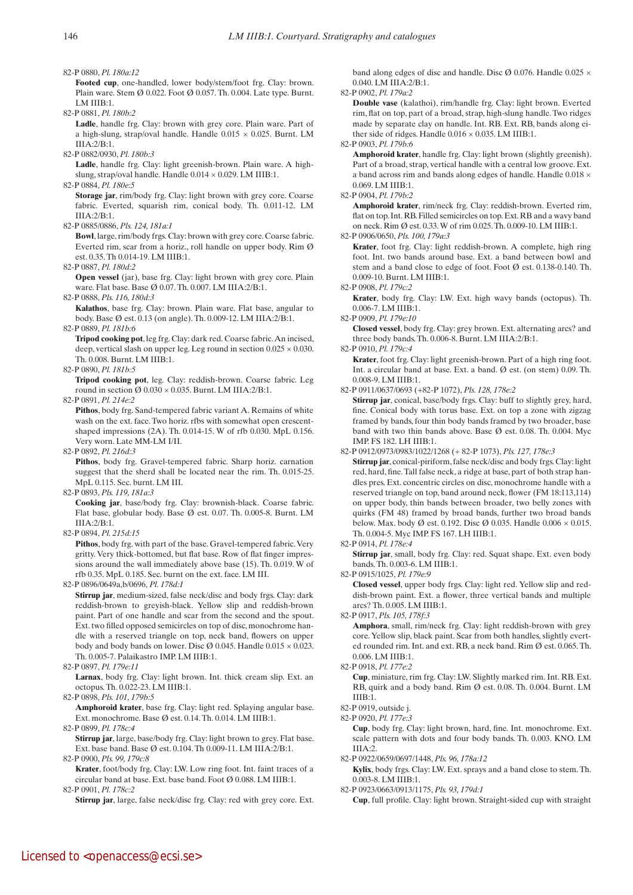82-P 0880, *Pl. 180a:12*

Footed cup, one-handled, lower body/stem/foot frg. Clay: brown. Plain ware. Stem Ø 0.022. Foot Ø 0.057. Th. 0.004. Late type. Burnt. LM IIIB:1.

82-P 0881, *Pl. 180b:2*

Ladle, handle frg. Clay: brown with grey core. Plain ware. Part of a high-slung, strap/oval handle. Handle 0.015 × 0.025. Burnt. LM  $IIIA:2/B:1$ .

82-P 0882/0930, *Pl. 180b:3*

Ladle, handle frg. Clay: light greenish-brown. Plain ware. A highslung, strap/oval handle. Handle 0.014 × 0.029. LM IIIB:1.

82-P 0884, *Pl. 180e:5*

 **Storage jar**, rim/body frg. Clay: light brown with grey core. Coarse fabric. Everted, squarish rim, conical body. Th. 0.011-12. LM  $IIIA:2/B:1$ .

82-P 0885/0886, *Pls. 124, 181a:1*

 **Bowl**, large, rim/body frgs. Clay: brown with grey core. Coarse fabric. Everted rim, scar from a horiz., roll handle on upper body. Rim Ø est. 0.35. Th 0.014-19. LM IIIB:1.

82-P 0887, *Pl. 180d:2*

**Open vessel** (jar), base frg. Clay: light brown with grey core. Plain ware. Flat base. Base Ø 0.07. Th. 0.007. LM IIIA:2/B:1.

82-P 0888, *Pls. 116, 180d:3*

 **Kalathos**, base frg. Clay: brown. Plain ware. Flat base, angular to body. Base Ø est. 0.13 (on angle). Th. 0.009-12. LM IIIA:2/B:1.

82-P 0889, *Pl. 181b:6*

 **Tripod cooking pot**, leg frg. Clay: dark red. Coarse fabric. An incised, deep, vertical slash on upper leg. Leg round in section  $0.025 \times 0.030$ . Th. 0.008. Burnt. LM IIIB:1.

82-P 0890, *Pl. 181b:5*

 **Tripod cooking pot**, leg. Clay: reddish-brown. Coarse fabric. Leg round in section  $\varnothing$  0.030  $\times$  0.035. Burnt. LM IIIA:2/B:1.

82-P 0891, *Pl. 214e:2*

 **Pithos**, body frg. Sand-tempered fabric variant A. Remains of white wash on the ext. face. Two horiz. rfbs with somewhat open crescentshaped impressions (2A). Th. 0.014-15. W of rfb 0.030. MpL 0.156. Very worn. Late MM-LM I/II.

82-P 0892, *Pl. 216d:3*

 **Pithos**, body frg. Gravel-tempered fabric. Sharp horiz. carnation suggest that the sherd shall be located near the rim. Th. 0.015-25. MpL 0.115. Sec. burnt. LM III.

82-P 0893, *Pls. 119, 181a:3*

 **Cooking jar**, base/body frg. Clay: brownish-black. Coarse fabric. Flat base, globular body. Base Ø est. 0.07. Th. 0.005-8. Burnt. LM  $IIIA.2/R.1$ 

82-P 0894, *Pl. 215d:15*

Pithos, body frg. with part of the base. Gravel-tempered fabric. Very gritty. Very thick-bottomed, but flat base. Row of flat finger impressions around the wall immediately above base (15). Th. 0.019. W of rfb 0.35. MpL 0.185. Sec. burnt on the ext. face. LM III.

82-P 0896/0649a,b/0696, *Pl. 178d:1*

 **Stirrup jar**, medium-sized, false neck/disc and body frgs. Clay: dark reddish-brown to greyish-black. Yellow slip and reddish-brown paint. Part of one handle and scar from the second and the spout. Ext. two filled opposed semicircles on top of disc, monochrome handle with a reserved triangle on top, neck band, flowers on upper body and body bands on lower. Disc  $\varnothing$  0.045. Handle 0.015  $\times$  0.023. Th. 0.005-7. Palaikastro IMP. LM IIIB:1.

82-P 0897, *Pl. 179e:11*

Larnax, body frg. Clay: light brown. Int. thick cream slip. Ext. an octopus. Th. 0.022-23. LM IIIB:1.

82-P 0898, *Pls. 101, 179b:5*

 **Amphoroid krater**, base frg. Clay: light red. Splaying angular base. Ext. monochrome. Base Ø est. 0.14. Th. 0.014. LM IIIB:1.

82-P 0899, *Pl. 178c:4*

 **Stirrup jar**, large, base/body frg. Clay: light brown to grey. Flat base. Ext. base band. Base Ø est. 0.104. Th 0.009-11. LM IIIA:2/B:1. 82-P 0900, *Pls. 99, 179c:8*

 **Krater**, foot/body frg. Clay: LW. Low ring foot. Int. faint traces of a circular band at base. Ext. base band. Foot Ø 0.088. LM IIIB:1. 82-P 0901, *Pl. 178c:2*

**Stirrup** jar, large, false neck/disc frg. Clay: red with grey core. Ext.

band along edges of disc and handle. Disc  $\emptyset$  0.076. Handle 0.025  $\times$ 0.040. LM IIIA:2/B:1.

## 82-P 0902, *Pl. 179a:2*

 **Double vase** (kalathoi), rim/handle frg. Clay: light brown. Everted rim, flat on top, part of a broad, strap, high-slung handle. Two ridges made by separate clay on handle. Int. RB. Ext. RB, bands along either side of ridges. Handle  $0.016 \times 0.035$ . LM IIIB:1.

82-P 0903, *Pl. 179b:6*

 **Amphoroid krater**, handle frg. Clay: light brown (slightly greenish). Part of a broad, strap, vertical handle with a central low groove. Ext. a band across rim and bands along edges of handle. Handle 0.018 × 0.069. LM IIIB:1.

#### 82-P 0904, *Pl. 179b:2*

 **Amphoroid krater**, rim/neck frg. Clay: reddish-brown. Everted rim, flat on top. Int. RB. Filled semicircles on top. Ext. RB and a wavy band on neck. Rim Ø est. 0.33. W of rim 0.025. Th. 0.009-10. LM IIIB:1.

## 82-P 0906/0650, *Pls. 100, 179a:3*

 **Krater**, foot frg. Clay: light reddish-brown. A complete, high ring foot. Int. two bands around base. Ext. a band between bowl and stem and a band close to edge of foot. Foot Ø est. 0.138-0.140. Th. 0.009-10. Burnt. LM IIIB:1.

#### 82-P 0908, *Pl. 179c:2*

 **Krater**, body frg. Clay: LW. Ext. high wavy bands (octopus). Th. 0.006-7. LM IIIB:1.

82-P 0909, *Pl. 179e:10*

 **Closed vessel**, body frg. Clay: grey brown. Ext. alternating arcs? and three body bands. Th. 0.006-8. Burnt. LM IIIA:2/B:1.

## 82-P 0910, *Pl. 179c:4*

 **Krater**, foot frg. Clay: light greenish-brown. Part of a high ring foot. Int. a circular band at base. Ext. a band. Ø est. (on stem) 0.09. Th. 0.008-9. LM IIIB:1.

## 82-P 0911/0637/0693 (+82-P 1072), *Pls. 128, 178e:2*

 **Stirrup jar**, conical, base/body frgs. Clay: buff to slightly grey, hard, fine. Conical body with torus base. Ext. on top a zone with zigzag framed by bands, four thin body bands framed by two broader, base band with two thin bands above. Base Ø est. 0.08. Th. 0.004. Myc IMP. FS 182. LH IIIB:1.

## 82-P 0912/0973/0983/1022/1268 (+ 82-P 1073), *Pls. 127, 178e:3*

 **Stirrup jar**, conical-piriform, false neck/disc and body frgs. Clay: light red, hard, fine. Tall false neck, a ridge at base, part of both strap handles pres. Ext. concentric circles on disc, monochrome handle with a reserved triangle on top, band around neck, flower (FM 18:113,114) on upper body, thin bands between broader, two belly zones with quirks (FM 48) framed by broad bands, further two broad bands below. Max. body  $\emptyset$  est. 0.192. Disc  $\emptyset$  0.035. Handle 0.006  $\times$  0.015. Th. 0.004-5. Myc IMP. FS 167. LH IIIB:1.

## 82-P 0914, *Pl. 178e:4*

 **Stirrup jar**, small, body frg. Clay: red. Squat shape. Ext. even body bands. Th. 0.003-6. LM IIIB:1.

## 82-P 0915/1025, *Pl. 179e:9*

 **Closed vessel**, upper body frgs. Clay: light red. Yellow slip and reddish-brown paint. Ext. a flower, three vertical bands and multiple arcs? Th. 0.005. LM IIIB:1.

## 82-P 0917, *Pls. 105, 178f:3*

 **Amphora**, small, rim/neck frg. Clay: light reddish-brown with grey core. Yellow slip, black paint. Scar from both handles, slightly everted rounded rim. Int. and ext. RB, a neck band. Rim Ø est. 0.065. Th. 0.006. LM IIIB:1.

## 82-P 0918, *Pl. 177e:2*

 **Cup**, miniature, rim frg. Clay: LW. Slightly marked rim. Int. RB. Ext. RB, quirk and a body band. Rim Ø est. 0.08. Th. 0.004. Burnt. LM IIIB:1.

82-P 0919, outside j.

## 82-P 0920, *Pl. 177e:3*

 **Cup**, body frg. Clay: light brown, hard, fine. Int. monochrome. Ext. scale pattern with dots and four body bands. Th. 0.003. KNO. LM IIIA:2.

82-P 0922/0659/0697/1448, *Pls. 96, 178a:12*

 **Kylix**, body frgs. Clay: LW. Ext. sprays and a band close to stem. Th. 0.003-8. LM IIIB:1.

82-P 0923/0663/0913/1175, *Pls. 93, 179d:1*

 **Cup**, full profile. Clay: light brown. Straight-sided cup with straight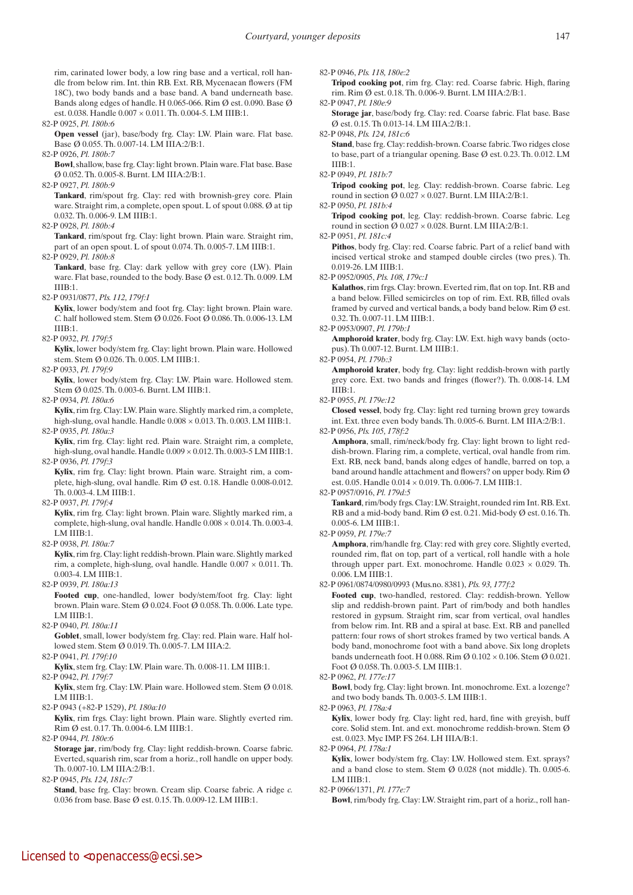rim, carinated lower body, a low ring base and a vertical, roll handle from below rim. Int. thin RB. Ext. RB, Mycenaean flowers (FM 18C), two body bands and a base band. A band underneath base. Bands along edges of handle. H 0.065-066. Rim Ø est. 0.090. Base Ø est. 0.038. Handle 0.007 × 0.011. Th. 0.004-5. LM IIIB:1.

82-P 0925, *Pl. 180b:6*

 **Open vessel** (jar), base/body frg. Clay: LW. Plain ware. Flat base. Base Ø 0.055. Th. 0.007-14. LM IIIA:2/B:1.

82-P 0926, *Pl. 180b:7*

**Bowl**, shallow, base frg. Clay: light brown. Plain ware. Flat base. Base Ø 0.052. Th. 0.005-8. Burnt. LM IIIA:2/B:1.

82-P 0927, *Pl. 180b:9*

Tankard, rim/spout frg. Clay: red with brownish-grey core. Plain ware. Straight rim, a complete, open spout. L of spout 0.088. Ø at tip 0.032. Th. 0.006-9. LM IIIB:1.

82-P 0928, *Pl. 180b:4*

 **Tankard**, rim/spout frg. Clay: light brown. Plain ware. Straight rim, part of an open spout. L of spout 0.074. Th. 0.005-7. LM IIIB:1.

82-P 0929, *Pl. 180b:8*

Tankard, base frg. Clay: dark yellow with grey core (LW). Plain ware. Flat base, rounded to the body. Base Ø est. 0.12. Th. 0.009. LM IIIB:1.

82-P 0931/0877, *Pls. 112, 179f:1*

Kylix, lower body/stem and foot frg. Clay: light brown. Plain ware. *C.* half hollowed stem. Stem Ø 0.026. Foot Ø 0.086. Th. 0.006-13. LM IIIB:1.

82-P 0932, *Pl. 179f:5*

 **Kylix**, lower body/stem frg. Clay: light brown. Plain ware. Hollowed stem. Stem Ø 0.026. Th. 0.005. LM IIIB:1.

82-P 0933, *Pl. 179f:9*

 **Kylix**, lower body/stem frg. Clay: LW. Plain ware. Hollowed stem. Stem Ø 0.025. Th. 0.003-6. Burnt. LM IIIB:1.

82-P 0934, *Pl. 180a:6*

 **Kylix**, rim frg. Clay: LW. Plain ware. Slightly marked rim, a complete, high-slung, oval handle. Handle 0.008 × 0.013. Th. 0.003. LM IIIB:1. 82-P 0935, *Pl. 180a:3*

 **Kylix**, rim frg. Clay: light red. Plain ware. Straight rim, a complete, high-slung, oval handle. Handle 0.009 × 0.012. Th. 0.003-5 LM IIIB:1. 82-P 0936, *Pl. 179f:3*

 **Kylix**, rim frg. Clay: light brown. Plain ware. Straight rim, a complete, high-slung, oval handle. Rim Ø est. 0.18. Handle 0.008-0.012. Th. 0.003-4. LM IIIB:1.

82-P 0937, *Pl. 179f:4*

 **Kylix**, rim frg. Clay: light brown. Plain ware. Slightly marked rim, a complete, high-slung, oval handle. Handle  $0.008 \times 0.014$  .Th. 0.003-4. LM IIIB:1.

82-P 0938, *Pl. 180a:7*

 **Kylix**, rim frg. Clay: light reddish-brown. Plain ware. Slightly marked rim, a complete, high-slung, oval handle. Handle  $0.007 \times 0.011$ . Th. 0.003-4. LM IIIB:1.

82-P 0939, *Pl. 180a:13*

 **Footed cup**, one-handled, lower body/stem/foot frg. Clay: light brown. Plain ware. Stem Ø 0.024. Foot Ø 0.058. Th. 0.006. Late type. LM IIIB·1.

82-P 0940, *Pl. 180a:11*

Goblet, small, lower body/stem frg. Clay: red. Plain ware. Half hollowed stem. Stem Ø 0.019. Th. 0.005-7. LM IIIA:2.

82-P 0941, *Pl. 179f:10*

 **Kylix**, stem frg. Clay: LW. Plain ware. Th. 0.008-11. LM IIIB:1.

82-P 0942, *Pl. 179f:7*

 **Kylix**, stem frg. Clay: LW. Plain ware. Hollowed stem. Stem Ø 0.018. LM IIIB:1.

82-P 0943 (+82-P 1529), *Pl. 180a:10*

 **Kylix**, rim frgs. Clay: light brown. Plain ware. Slightly everted rim. Rim Ø est. 0.17. Th. 0.004-6. LM IIIB:1.

82-P 0944, *Pl. 180e:6*

 **Storage jar**, rim/body frg. Clay: light reddish-brown. Coarse fabric. Everted, squarish rim, scar from a horiz., roll handle on upper body. Th. 0.007-10. LM IIIA:2/B:1.

82-P 0945, *Pls. 124, 181c:7* 

 **Stand**, base frg. Clay: brown. Cream slip. Coarse fabric. A ridge *c.*  0.036 from base. Base Ø est. 0.15. Th. 0.009-12. LM IIIB:1.

82-P 0946, *Pls. 118, 180e:2*

 **Tripod cooking pot**, rim frg. Clay: red. Coarse fabric. High, flaring rim. Rim Ø est. 0.18. Th. 0.006-9. Burnt. LM IIIA:2/B:1. 82-P 0947, *Pl. 180e:9*

**Storage** jar, base/body frg. Clay: red. Coarse fabric. Flat base. Base Ø est. 0.15. Th 0.013-14. LM IIIA:2/B:1.

82-P 0948, *Pls. 124, 181c:6*

**Stand**, base frg. Clay: reddish-brown. Coarse fabric. Two ridges close to base, part of a triangular opening. Base Ø est. 0.23. Th. 0.012. LM IIIB:1.

 **Tripod cooking pot**, leg. Clay: reddish-brown. Coarse fabric. Leg round in section  $\varnothing$  0.027 × 0.027. Burnt. LM IIIA:2/B:1.

82-P 0950, *Pl. 181b:4*

 **Tripod cooking pot**, leg. Clay: reddish-brown. Coarse fabric. Leg round in section  $\varnothing$  0.027  $\times$  0.028. Burnt. LM IIIA:2/B:1.

82-P 0951, *Pl. 181c:4*

Pithos, body frg. Clay: red. Coarse fabric. Part of a relief band with incised vertical stroke and stamped double circles (two pres.). Th. 0.019-26. LM IIIB:1.

82-P 0952/0905, *Pls. 108, 179c:1*

 **Kalathos**, rim frgs. Clay: brown. Everted rim, flat on top. Int. RB and a band below. Filled semicircles on top of rim. Ext. RB, filled ovals framed by curved and vertical bands, a body band below. Rim Ø est. 0.32. Th. 0.007-11. LM IIIB:1.

82-P 0953/0907, *Pl. 179b:1*

 **Amphoroid krater**, body frg. Clay: LW. Ext. high wavy bands (octopus). Th 0.007-12. Burnt. LM IIIB:1.

82-P 0954, *Pl. 179b:3*

 **Amphoroid krater**, body frg. Clay: light reddish-brown with partly grey core. Ext. two bands and fringes (flower?). Th. 0.008-14. LM IIIB:1.

82-P 0955, *Pl. 179e:12*

 **Closed vessel**, body frg. Clay: light red turning brown grey towards int. Ext. three even body bands. Th. 0.005-6. Burnt. LM IIIA:2/B:1.

82-P 0956, *Pls. 105, 178f:2*

 **Amphora**, small, rim/neck/body frg. Clay: light brown to light reddish-brown. Flaring rim, a complete, vertical, oval handle from rim. Ext. RB, neck band, bands along edges of handle, barred on top, a band around handle attachment and flowers? on upper body. Rim Ø est. 0.05. Handle 0.014 × 0.019. Th. 0.006-7. LM IIIB:1.

82-P 0957/0916, *Pl. 179d:5*

 **Tankard**, rim/body frgs. Clay: LW. Straight, rounded rim Int. RB. Ext. RB and a mid-body band. Rim Ø est. 0.21. Mid-body Ø est. 0.16. Th. 0.005-6. LM IIIB:1.

82-P 0959, *Pl. 179e:7*

 **Amphora**, rim/handle frg. Clay: red with grey core. Slightly everted, rounded rim, flat on top, part of a vertical, roll handle with a hole through upper part. Ext. monochrome. Handle  $0.023 \times 0.029$ . Th. 0.006. LM IIIB:1.

82-P 0961/0874/0980/0993 (Mus.no. 8381), *Pls. 93, 177f:2*

 **Footed cup**, two-handled, restored. Clay: reddish-brown. Yellow slip and reddish-brown paint. Part of rim/body and both handles restored in gypsum. Straight rim, scar from vertical, oval handles from below rim. Int. RB and a spiral at base. Ext. RB and panelled pattern: four rows of short strokes framed by two vertical bands. A body band, monochrome foot with a band above. Six long droplets bands underneath foot. H 0.088. Rim Ø 0.102 × 0.106. Stem Ø 0.021. Foot Ø 0.058. Th. 0.003-5. LM IIIB:1.

82-P 0962, *Pl. 177e:17*

 **Bowl**, body frg. Clay: light brown. Int. monochrome. Ext. a lozenge? and two body bands. Th. 0.003-5. LM IIIB:1.

82-P 0963, *Pl. 178a:4*

 **Kylix**, lower body frg. Clay: light red, hard, fine with greyish, buff core. Solid stem. Int. and ext. monochrome reddish-brown. Stem Ø est. 0.023. Myc IMP. FS 264. LH IIIA/B:1.

82-P 0964, *Pl. 178a:1*

 **Kylix**, lower body/stem frg. Clay: LW. Hollowed stem. Ext. sprays? and a band close to stem. Stem Ø 0.028 (not middle). Th. 0.005-6. LM IIIB:1.

82-P 0966/1371, *Pl. 177e:7*

 **Bowl**, rim/body frg. Clay: LW. Straight rim, part of a horiz., roll han-

<sup>82-</sup>P 0949, *Pl. 181b:7*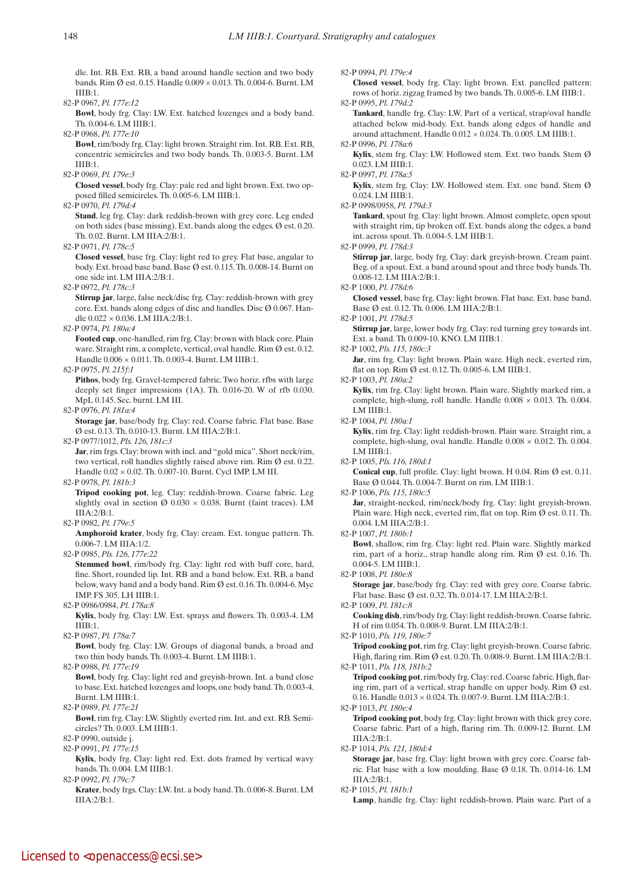dle. Int. RB. Ext. RB, a band around handle section and two body bands. Rim Ø est. 0.15. Handle 0.009 × 0.013. Th. 0.004-6. Burnt. LM IIIB:1.

82-P 0967, *Pl. 177e:12*

**Bowl**, body frg. Clay: LW. Ext. hatched lozenges and a body band. Th. 0.004-6. LM IIIB:1.

82-P 0968, *Pl. 177e:10*

 **Bowl**, rim/body frg. Clay: light brown. Straight rim. Int. RB. Ext. RB, concentric semicircles and two body bands. Th. 0.003-5. Burnt. LM IIIB:1.

82-P 0969, *Pl. 179e:3*

 **Closed vessel**, body frg. Clay: pale red and light brown. Ext. two opposed filled semicircles. Th. 0.005-6. LM IIIB:1.

82-P 0970, *Pl. 179d:4*

**Stand**, leg frg. Clay: dark reddish-brown with grey core. Leg ended on both sides (base missing). Ext. bands along the edges. Ø est. 0.20. Th. 0.02. Burnt. LM IIIA:2/B:1.

82-P 0971, *Pl. 178c:5*

 **Closed vessel**, base frg. Clay: light red to grey. Flat base, angular to body. Ext. broad base band. Base Ø est. 0.115. Th. 0.008-14. Burnt on one side int. LM IIIA:2/B:1.

82-P 0972, *Pl. 178c:3*

**Stirrup** jar, large, false neck/disc frg. Clay: reddish-brown with grey core. Ext. bands along edges of disc and handles. Disc Ø 0.067. Handle 0.022 × 0.036. LM IIIA:2/B:1.

82-P 0974, *Pl. 180a:4*

 **Footed cup**, one-handled, rim frg. Clay: brown with black core. Plain ware. Straight rim, a complete, vertical, oval handle. Rim Ø est. 0.12. Handle 0.006 × 0.011. Th. 0.003-4. Burnt. LM IIIB:1.

82-P 0975, *Pl. 215f:1*

Pithos, body frg. Gravel-tempered fabric. Two horiz. rfbs with large deeply set finger impressions (1A). Th. 0.016-20. W of rfb 0.030. MpL 0.145. Sec. burnt. LM III.

82-P 0976, *Pl. 181a:4*

 **Storage jar**, base/body frg. Clay: red. Coarse fabric. Flat base. Base Ø est. 0.13. Th. 0.010-13. Burnt. LM IIIA:2/B:1.

82-P 0977/1012, *Pls. 126, 181c:3*

Jar, rim frgs. Clay: brown with incl. and "gold mica". Short neck/rim, two vertical, roll handles slightly raised above rim. Rim Ø est. 0.22. Handle 0.02 × 0.02. Th. 0.007-10. Burnt. Cycl IMP. LM III.

82-P 0978, *Pl. 181b:3*

 **Tripod cooking pot**, leg. Clay: reddish-brown. Coarse fabric. Leg slightly oval in section  $\varnothing$  0.030  $\times$  0.038. Burnt (faint traces). LM IIIA:2/B:1.

82-P 0982, *Pl. 179e:5*

 **Amphoroid krater**, body frg. Clay: cream. Ext. tongue pattern. Th. 0.006-7. LM IIIA:1/2.

82-P 0985, *Pls. 126, 177e:22*

 **Stemmed bowl**, rim/body frg. Clay: light red with buff core, hard, fine. Short, rounded lip. Int. RB and a band below. Ext. RB, a band below, wavy band and a body band. Rim  $\emptyset$  est. 0.16. Th. 0.004-6. Myc IMP. FS 305. LH IIIB:1.

82-P 0986/0984, *Pl. 178a:8*

 **Kylix**, body frg. Clay: LW. Ext. sprays and flowers. Th. 0.003-4. LM IIIB:1.

82-P 0987, *Pl. 178a:7*

 **Bowl**, body frg. Clay: LW. Groups of diagonal bands, a broad and two thin body bands. Th. 0.003-4. Burnt. LM IIIB:1.

82-P 0988, *Pl. 177e:19*

 **Bowl**, body frg. Clay: light red and greyish-brown. Int. a band close to base. Ext. hatched lozenges and loops, one body band. Th. 0.003-4. Burnt. LM IIIB:1.

82-P 0989, *Pl. 177e:21*

 **Bowl**, rim frg. Clay: LW. Slightly everted rim. Int. and ext. RB. Semicircles? Th. 0.003. LM IIIB:1.

- 82-P 0990, outside j.
- 82-P 0991, *Pl. 177e:15*

Kylix, body frg. Clay: light red. Ext. dots framed by vertical wavy bands. Th. 0.004. LM IIIB:1.

82-P 0992, *Pl. 179c:7*

 **Krater**, body frgs. Clay: LW. Int. a body band. Th. 0.006-8. Burnt. LM III $A:2/R:1$ .

82-P 0994, *Pl. 179e:4*

 **Closed vessel**, body frg. Clay: light brown. Ext. panelled pattern: rows of horiz. zigzag framed by two bands. Th. 0.005-6. LM IIIB:1. 82-P 0995, *Pl. 179d:2*

 **Tankard**, handle frg. Clay: LW. Part of a vertical, strap/oval handle attached below mid-body. Ext. bands along edges of handle and around attachment. Handle  $0.012 \times 0.024$  .Th. 0.005. LM IIIB:1.

82-P 0996, *Pl. 178a:6*

**Kylix**, stem frg. Clay: LW. Hollowed stem. Ext. two bands. Stem  $\emptyset$ 0.023. LM IIIB:1.

82-P 0997, *Pl. 178a:5*

 **Kylix**, stem frg. Clay: LW. Hollowed stem. Ext. one band. Stem Ø 0.024. LM IIIB:1.

82-P 0998/0958, *Pl. 179d:3*

Tankard, spout frg. Clay: light brown. Almost complete, open spout with straight rim, tip broken off. Ext. bands along the edges, a band int. across spout. Th. 0.004-5. LM IIIB:1.

82-P 0999, *Pl. 178d:3*

 **Stirrup jar**, large, body frg. Clay: dark greyish-brown. Cream paint. Beg. of a spout. Ext. a band around spout and three body bands. Th. 0.008-12. LM IIIA:2/B:1.

82-P 1000, *Pl. 178d:6*

 **Closed vessel**, base frg. Clay: light brown. Flat base. Ext. base band. Base Ø est. 0.12. Th. 0.006. LM IIIA:2/B:1.

82-P 1001, *Pl. 178d:5*

 **Stirrup jar**, large, lower body frg. Clay: red turning grey towards int. Ext. a band. Th 0.009-10. KNO. LM IIIB:1.

82-P 1002, *Pls. 115, 180c:3*

Jar, rim frg. Clay: light brown. Plain ware. High neck, everted rim, flat on top. Rim Ø est. 0.12. Th. 0.005-6. LM IIIB:1.

82-P 1003, *Pl. 180a:2*

 **Kylix**, rim frg. Clay: light brown. Plain ware. Slightly marked rim, a complete, high-slung, roll handle. Handle 0.008 × 0.013. Th. 0.004. LM IIIB:1.

82-P 1004, *Pl. 180a:1*

 **Kylix**, rim frg. Clay: light reddish-brown. Plain ware. Straight rim, a complete, high-slung, oval handle. Handle  $0.008 \times 0.012$ . Th. 0.004. LM IIIB:1.

82-P 1005, *Pls. 116, 180d:1*

 **Conical cup**, full profile. Clay: light brown. H 0.04. Rim Ø est. 0.11. Base Ø 0.044. Th. 0.004-7. Burnt on rim. LM IIIB:1.

82-P 1006, *Pls. 115, 180c:5*

 **Jar**, straight-necked, rim/neck/body frg. Clay: light greyish-brown. Plain ware. High neck, everted rim, flat on top. Rim Ø est. 0.11. Th. 0.004. LM IIIA:2/B:1.

82-P 1007, *Pl. 180b:1*

 **Bowl**, shallow, rim frg. Clay: light red. Plain ware. Slightly marked rim, part of a horiz., strap handle along rim. Rim Ø est. 0.16. Th. 0.004-5. LM IIIB:1.

82-P 1008, *Pl. 180e:8*

**Storage** jar, base/body frg. Clay: red with grey core. Coarse fabric. Flat base. Base Ø est. 0.32. Th. 0.014-17. LM IIIA:2/B:1.

82-P 1009, *Pl. 181c:8*

 **Cooking dish**, rim/body frg. Clay: light reddish-brown. Coarse fabric. H of rim 0.054. Th. 0.008-9. Burnt. LM IIIA:2/B:1.

82-P 1010, *Pls. 119, 180e:7*

 **Tripod cooking pot**, rim frg. Clay: light greyish-brown. Coarse fabric. High, flaring rim. Rim Ø est. 0.20. Th. 0.008-9. Burnt. LM IIIA:2/B:1. 82-P 1011, *Pls. 118, 181b:2*

 **Tripod cooking pot**, rim/body frg. Clay: red. Coarse fabric. High, flaring rim, part of a vertical, strap handle on upper body. Rim Ø est. 0.16. Handle 0.013 × 0.024. Th. 0.007-9. Burnt. LM IIIA:2/B:1.

82-P 1013, *Pl. 180e:4*

 **Tripod cooking pot**, body frg. Clay: light brown with thick grey core. Coarse fabric. Part of a high, flaring rim. Th. 0.009-12. Burnt. LM IIIA:2/B:1.

82-P 1014, *Pls. 121, 180d:4*

 **Storage jar**, base frg. Clay: light brown with grey core. Coarse fabric. Flat base with a low moulding. Base Ø 0.18. Th. 0.014-16. LM IIIA:2/B:1.

82-P 1015, *Pl. 181b:1*

Lamp, handle frg. Clay: light reddish-brown. Plain ware. Part of a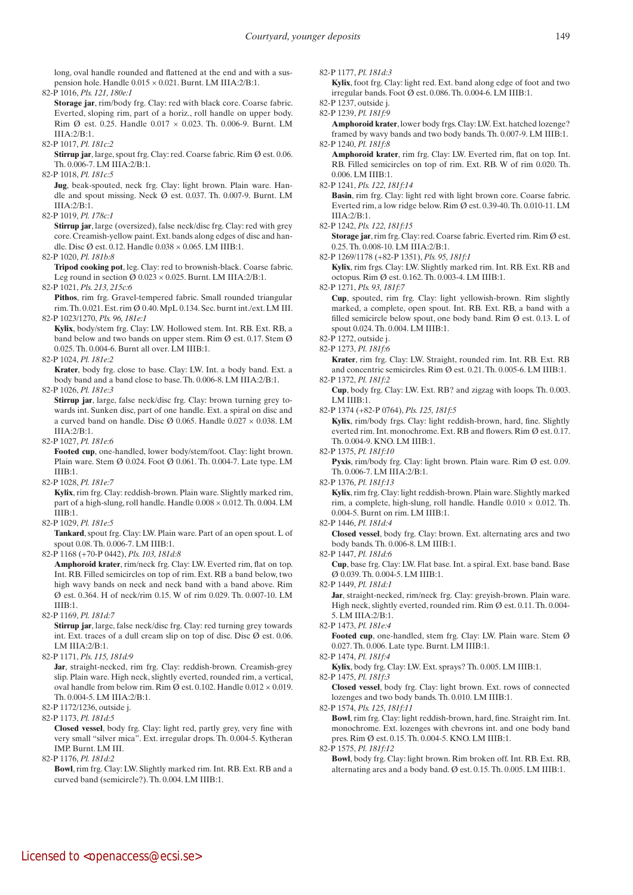long, oval handle rounded and flattened at the end and with a suspension hole. Handle 0.015 × 0.021. Burnt. LM IIIA:2/B:1.

82-P 1016, *Pls. 121, 180e:1*

 **Storage jar**, rim/body frg. Clay: red with black core. Coarse fabric. Everted, sloping rim, part of a horiz., roll handle on upper body. Rim Ø est. 0.25. Handle 0.017 × 0.023. Th. 0.006-9. Burnt. LM IIIA:2/B:1.

82-P 1017, *Pl. 181c:2*

 **Stirrup jar**, large, spout frg. Clay: red. Coarse fabric. Rim Ø est. 0.06. Th. 0.006-7. LM IIIA:2/B:1.

82-P 1018, *Pl. 181c:5*

Jug, beak-spouted, neck frg. Clay: light brown. Plain ware. Handle and spout missing. Neck Ø est. 0.037. Th. 0.007-9. Burnt. LM IIIA:2/B:1.

82-P 1019, *Pl. 178c:1*

 **Stirrup jar**, large (oversized), false neck/disc frg. Clay: red with grey core. Creamish-yellow paint. Ext. bands along edges of disc and handle. Disc  $\emptyset$  est. 0.12. Handle 0.038  $\times$  0.065. LM IIIB:1.

82-P 1020, *Pl. 181b:8*

 **Tripod cooking pot**, leg. Clay: red to brownish-black. Coarse fabric. Leg round in section  $\varnothing$  0.023 × 0.025. Burnt. LM IIIA:2/B:1.

82-P 1021, *Pls. 213, 215c:6*

Pithos, rim frg. Gravel-tempered fabric. Small rounded triangular rim. Th. 0.021. Est. rim Ø 0.40. MpL 0.134. Sec. burnt int./ext. LM III. 82-P 1023/1270, *Pls. 96, 181e:1*

 **Kylix**, body/stem frg. Clay: LW. Hollowed stem. Int. RB. Ext. RB, a band below and two bands on upper stem. Rim Ø est. 0.17. Stem Ø 0.025. Th. 0.004-6. Burnt all over. LM IIIB:1.

82-P 1024, *Pl. 181e:2*

 **Krater**, body frg. close to base. Clay: LW. Int. a body band. Ext. a body band and a band close to base. Th. 0.006-8. LM IIIA:2/B:1.

82-P 1026, *Pl. 181e:3*

 **Stirrup jar**, large, false neck/disc frg. Clay: brown turning grey towards int. Sunken disc, part of one handle. Ext. a spiral on disc and a curved band on handle. Disc  $\varnothing$  0.065. Handle 0.027  $\times$  0.038. LM  $IIIA:2/B:1$ .

82-P 1027, *Pl. 181e:6*

 **Footed cup**, one-handled, lower body/stem/foot. Clay: light brown. Plain ware. Stem Ø 0.024. Foot Ø 0.061. Th. 0.004-7. Late type. LM IIIB:1.

82-P 1028, *Pl. 181e:7*

**Kylix**, rim frg. Clay: reddish-brown. Plain ware. Slightly marked rim, part of a high-slung, roll handle. Handle 0.008 × 0.012. Th. 0.004. LM IIIB:1.

82-P 1029, *Pl. 181e:5*

Tankard, spout frg. Clay: LW. Plain ware. Part of an open spout. L of spout 0.08. Th. 0.006-7. LM IIIB:1.

82-P 1168 (+70-P 0442), *Pls. 103, 181d:8* 

 **Amphoroid krater**, rim/neck frg. Clay: LW. Everted rim, flat on top. Int. RB. Filled semicircles on top of rim. Ext. RB a band below, two high wavy bands on neck and neck band with a band above. Rim Ø est. 0.364. H of neck/rim 0.15. W of rim 0.029. Th. 0.007-10. LM IIIB:1.

82-P 1169, *Pl. 181d:7*

**Stirrup jar**, large, false neck/disc frg. Clay: red turning grey towards int. Ext. traces of a dull cream slip on top of disc. Disc  $\emptyset$  est. 0.06. LM IIIA:2/B:1.

82-P 1171, *Pls. 115, 181d:9*

Jar, straight-necked, rim frg. Clay: reddish-brown. Creamish-grey slip. Plain ware. High neck, slightly everted, rounded rim, a vertical, oval handle from below rim. Rim Ø est. 0.102. Handle  $0.012 \times 0.019$ . Th. 0.004-5. LM IIIA:2/B:1.

82-P 1172/1236, outside j.

82-P 1173, *Pl. 181d:5*

 **Closed vessel**, body frg. Clay: light red, partly grey, very fine with very small "silver mica". Ext. irregular drops. Th. 0.004-5. Kytheran IMP. Burnt. LM III.

82-P 1176, *Pl. 181d:2*

 **Bowl**, rim frg. Clay: LW. Slightly marked rim. Int. RB. Ext. RB and a curved band (semicircle?). Th. 0.004. LM IIIB:1.

82-P 1177, *Pl. 181d:3*

 **Kylix**, foot frg. Clay: light red. Ext. band along edge of foot and two irregular bands. Foot Ø est. 0.086. Th. 0.004-6. LM IIIB:1.

82-P 1237, outside j.

82-P 1239, *Pl. 181f:9*

 **Amphoroid krater**, lower body frgs. Clay: LW. Ext. hatched lozenge? framed by wavy bands and two body bands. Th. 0.007-9. LM IIIB:1. 82-P 1240, *Pl. 181f:8*

 **Amphoroid krater**, rim frg. Clay: LW. Everted rim, flat on top. Int. RB. Filled semicircles on top of rim. Ext. RB. W of rim 0.020. Th. 0.006. LM IIIB:1.

82-P 1241, *Pls. 122, 181f:14*

Basin, rim frg. Clay: light red with light brown core. Coarse fabric. Everted rim, a low ridge below. Rim Ø est. 0.39-40. Th. 0.010-11. LM  $IIIA:2/B:1$ .

82-P 1242, *Pls. 122, 181f:15*

 **Storage jar**, rim frg. Clay: red. Coarse fabric. Everted rim. Rim Ø est. 0.25. Th. 0.008-10. LM IIIA:2/B:1.

82-P 1269/1178 (+82-P 1351), *Pls. 95, 181f:1* 

 **Kylix**, rim frgs. Clay: LW. Slightly marked rim. Int. RB. Ext. RB and octopus. Rim Ø est. 0.162. Th. 0.003-4. LM IIIB:1.

82-P 1271, *Pls. 93, 181f:7* 

 **Cup**, spouted, rim frg. Clay: light yellowish-brown. Rim slightly marked, a complete, open spout. Int. RB. Ext. RB, a band with a filled semicircle below spout, one body band. Rim Ø est. 0.13. L of spout 0.024. Th. 0.004. LM IIIB:1.

82-P 1272, outside j.

82-P 1273, *Pl. 181f:6*

 **Krater**, rim frg. Clay: LW. Straight, rounded rim. Int. RB. Ext. RB and concentric semicircles. Rim Ø est. 0.21. Th. 0.005-6. LM IIIB:1. 82-P 1372, *Pl. 181f:2*

 **Cup**, body frg. Clay: LW. Ext. RB? and zigzag with loops. Th. 0.003. LM IIIB:1.

82-P 1374 (+82-P 0764), *Pls. 125, 181f:5* 

 **Kylix**, rim/body frgs. Clay: light reddish-brown, hard, fine. Slightly everted rim. Int. monochrome. Ext. RB and flowers. Rim Ø est. 0.17. Th. 0.004-9. KNO. LM IIIB:1.

82-P 1375, *Pl. 181f:10*

Pyxis, rim/body frg. Clay: light brown. Plain ware. Rim Ø est. 0.09. Th. 0.006-7. LM IIIA:2/B:1.

82-P 1376, *Pl. 181f:13*

 **Kylix**, rim frg. Clay: light reddish-brown. Plain ware. Slightly marked rim, a complete, high-slung, roll handle. Handle 0.010 × 0.012. Th. 0.004-5. Burnt on rim. LM IIIB:1.

82-P 1446, *Pl. 181d:4*

 **Closed vessel**, body frg. Clay: brown. Ext. alternating arcs and two body bands. Th. 0.006-8. LM IIIB:1.

 **Cup**, base frg. Clay: LW. Flat base. Int. a spiral. Ext. base band. Base Ø 0.039. Th. 0.004-5. LM IIIB:1.

82-P 1449, *Pl. 181d:1*

Jar, straight-necked, rim/neck frg. Clay: greyish-brown. Plain ware. High neck, slightly everted, rounded rim. Rim Ø est. 0.11. Th. 0.004-5. LM IIIA:2/B:1.

82-P 1473, *Pl. 181e:4*

 **Footed cup**, one-handled, stem frg. Clay: LW. Plain ware. Stem Ø 0.027. Th. 0.006. Late type. Burnt. LM IIIB:1.

82-P 1474, *Pl. 181f:4*

 **Kylix**, body frg. Clay: LW. Ext. sprays? Th. 0.005. LM IIIB:1.

82-P 1475, *Pl. 181f:3*

 **Closed vessel**, body frg. Clay: light brown. Ext. rows of connected lozenges and two body bands. Th. 0.010. LM IIIB:1.

82-P 1574, *Pls. 125, 181f:11*

 **Bowl**, rim frg. Clay: light reddish-brown, hard, fine. Straight rim. Int. monochrome. Ext. lozenges with chevrons int. and one body band pres. Rim Ø est. 0.15. Th. 0.004-5. KNO. LM IIIB:1.

82-P 1575, *Pl. 181f:12*

 **Bowl**, body frg. Clay: light brown. Rim broken off. Int. RB. Ext. RB, alternating arcs and a body band. Ø est. 0.15. Th. 0.005. LM IIIB:1.

<sup>82-</sup>P 1447, *Pl. 181d:6*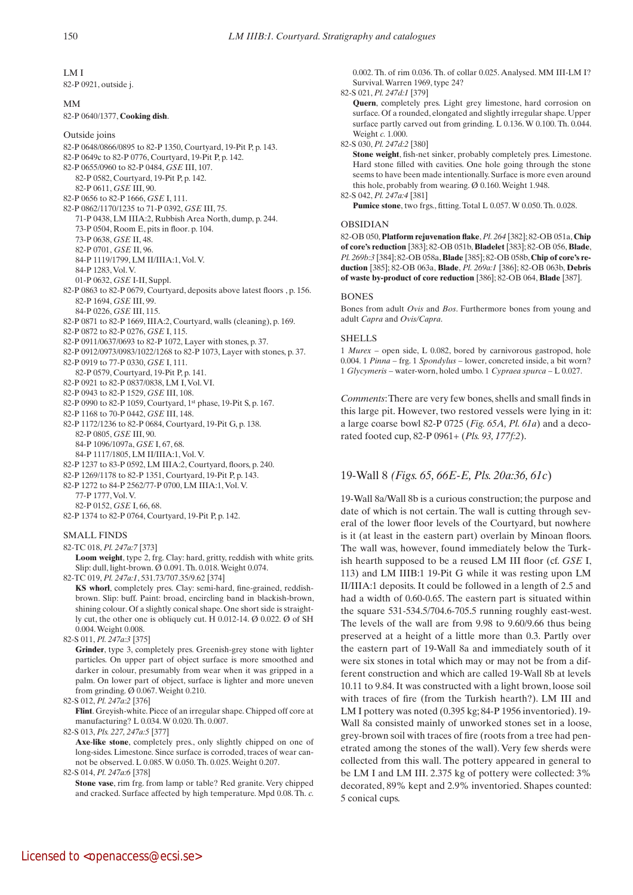## LM I

82-P 0921, outside j.

## MM

82-P 0640/1377, **Cooking dish**.

## Outside joins

82-P 0648/0866/0895 to 82-P 1350, Courtyard, 19-Pit P, p. 143. 82-P 0649c to 82-P 0776, Courtyard, 19-Pit P, p. 142. 82-P 0655/0960 to 82-P 0484, *GSE* III, 107. 82-P 0582, Courtyard, 19-Pit P, p. 142. 82-P 0611, *GSE* III, 90. 82-P 0656 to 82-P 1666, *GSE* I, 111. 82-P 0862/1170/1235 to 71-P 0392, *GSE* III, 75. 71-P 0438, LM IIIA:2, Rubbish Area North, dump, p. 244. 73-P 0504, Room E, pits in floor. p. 104. 73-P 0638, *GSE* II, 48. 82-P 0701, *GSE* II, 96. 84-P 1119/1799, LM II/IIIA:1, Vol. V. 84-P 1283, Vol. V. 01-P 0632, *GSE* I-II, Suppl. 82-P 0863 to 82-P 0679, Courtyard, deposits above latest floors , p. 156. 82-P 1694, *GSE* III, 99. 84-P 0226, *GSE* III, 115. 82-P 0871 to 82-P 1669, IIIA:2, Courtyard, walls (cleaning), p. 169. 82-P 0872 to 82-P 0276, *GSE* I, 115. 82-P 0911/0637/0693 to 82-P 1072, Layer with stones, p. 37. 82-P 0912/0973/0983/1022/1268 to 82-P 1073, Layer with stones, p. 37. 82-P 0919 to 77-P 0330, *GSE* I, 111. 82-P 0579, Courtyard, 19-Pit P, p. 141. 82-P 0921 to 82-P 0837/0838, LM I, Vol. VI. 82-P 0943 to 82-P 1529, *GSE* III, 108. 82-P 0990 to 82-P 1059, Courtyard, 1st phase, 19-Pit S, p. 167. 82-P 1168 to 70-P 0442, *GSE* III, 148. 82-P 1172/1236 to 82-P 0684, Courtyard, 19-Pit G, p. 138. 82-P 0805, *GSE* III, 90.

84-P 1096/1097a, *GSE* I, 67, 68. 84-P 1117/1805, LM II/IIIA:1, Vol. V.

82-P 1237 to 83-P 0592, LM IIIA:2, Courtyard, floors, p. 240.

82-P 1269/1178 to 82-P 1351, Courtyard, 19-Pit P, p. 143.

82-P 1272 to 84-P 2562/77-P 0700, LM IIIA:1, Vol. V. 77-P 1777, Vol. V.

82-P 0152, *GSE* I, 66, 68.

82-P 1374 to 82-P 0764, Courtyard, 19-Pit P, p. 142.

## SMALL FINDS

82-TC 018, *Pl. 247a:7* [373]

 **Loom weight**, type 2, frg. Clay: hard, gritty, reddish with white grits. Slip: dull, light-brown. Ø 0.091. Th. 0.018. Weight 0.074.

82-TC 019, *Pl. 247a:1*, 531.73/707.35/9.62 [374]

 **KS whorl**, completely pres. Clay: semi-hard, fine-grained, reddishbrown. Slip: buff. Paint: broad, encircling band in blackish-brown, shining colour. Of a slightly conical shape. One short side is straightly cut, the other one is obliquely cut. H 0.012-14. Ø 0.022. Ø of SH 0.004. Weight 0.008.

82-S 011, *Pl. 247a:3* [375]

Grinder, type 3, completely pres. Greenish-grey stone with lighter particles. On upper part of object surface is more smoothed and darker in colour, presumably from wear when it was gripped in a palm. On lower part of object, surface is lighter and more uneven from grinding. Ø 0.067. Weight 0.210.

82-S 012, *Pl. 247a:2* [376]

 **Flint**. Greyish-white. Piece of an irregular shape. Chipped off core at manufacturing? L 0.034. W 0.020. Th. 0.007.

82-S 013, *Pls. 227, 247a:5* [377]

 **Axe**-**like stone**, completely pres., only slightly chipped on one of long-sides. Limestone. Since surface is corroded, traces of wear cannot be observed. L 0.085. W 0.050. Th. 0.025. Weight 0.207.

82-S 014, *Pl. 247a:6* [378]

 **Stone vase**, rim frg. from lamp or table? Red granite. Very chipped and cracked. Surface affected by high temperature. Mpd 0.08. Th. *c.* 

0.002. Th. of rim 0.036. Th. of collar 0.025. Analysed. MM III-LM I? Survival. Warren 1969, type 24?

## 82-S 021, *Pl. 247d:1* [379]

 **Quern**, completely pres. Light grey limestone, hard corrosion on surface. Of a rounded, elongated and slightly irregular shape. Upper surface partly carved out from grinding. L 0.136. W 0.100. Th. 0.044. Weight *c.* 1.000.

82-S 030, *Pl. 247d:2* [380]

 **Stone weight**, fish-net sinker, probably completely pres. Limestone. Hard stone filled with cavities. One hole going through the stone seems to have been made intentionally. Surface is more even around this hole, probably from wearing. Ø 0.160. Weight 1.948. 82-S 042, *Pl. 247a:4* [381]

 **Pumice stone**, two frgs., fitting. Total L 0.057. W 0.050. Th. 0.028.

## OBSIDIAN

82-OB 050, **Platform rejuvenation flake**, *Pl. 264* [382]; 82-OB 051a, **Chip of core's reduction** [383]; 82-OB 051b, **Bladelet** [383]; 82-OB 056, **Blade**, *Pl. 269b:3* [384]; 82-OB 058a, **Blade** [385]; 82-OB 058b, **Chip of core's reduction** [385]; 82-OB 063a, **Blade**, *Pl. 269a:1* [386]; 82-OB 063b, **Debris of waste by-product of core reduction** [386]; 82-OB 064, **Blade** [387].

## **BONES**

Bones from adult *Ovis* and *Bos*. Furthermore bones from young and adult *Capra* and *Ovis/Capra*.

## SHELL<sub>S</sub>

1 *Murex* – open side, L 0.082, bored by carnivorous gastropod, hole 0.004. 1 *Pinna* – frg. 1 *Spondylus* – lower, concreted inside, a bit worn? 1 *Glycymeris* – water-worn, holed umbo. 1 *Cypraea spurca* – L 0.027.

*Comments*: There are very few bones, shells and small finds in this large pit. However, two restored vessels were lying in it: a large coarse bowl 82-P 0725 (*Fig. 65A, Pl. 61a*) and a decorated footed cup, 82-P 0961+ (*Pls. 93, 177f:2*).

## 19-Wall 8 *(Figs. 65, 66E-E, Pls. 20a:36, 61c*)

19-Wall 8a/Wall 8b is a curious construction; the purpose and date of which is not certain. The wall is cutting through several of the lower floor levels of the Courtyard, but nowhere is it (at least in the eastern part) overlain by Minoan floors. The wall was, however, found immediately below the Turkish hearth supposed to be a reused LM III floor (cf. *GSE* I, 113) and LM IIIB:1 19-Pit G while it was resting upon LM II/IIIA:1 deposits. It could be followed in a length of 2.5 and had a width of 0.60-0.65. The eastern part is situated within the square 531-534.5/704.6-705.5 running roughly east-west. The levels of the wall are from 9.98 to 9.60/9.66 thus being preserved at a height of a little more than 0.3. Partly over the eastern part of 19-Wall 8a and immediately south of it were six stones in total which may or may not be from a different construction and which are called 19-Wall 8b at levels 10.11 to 9.84. It was constructed with a light brown, loose soil with traces of fire (from the Turkish hearth?). LM III and LM I pottery was noted (0.395 kg; 84-P 1956 inventoried). 19- Wall 8a consisted mainly of unworked stones set in a loose, grey-brown soil with traces of fire (roots from a tree had penetrated among the stones of the wall). Very few sherds were collected from this wall. The pottery appeared in general to be LM I and LM III. 2.375 kg of pottery were collected: 3% decorated, 89% kept and 2.9% inventoried. Shapes counted: 5 conical cups.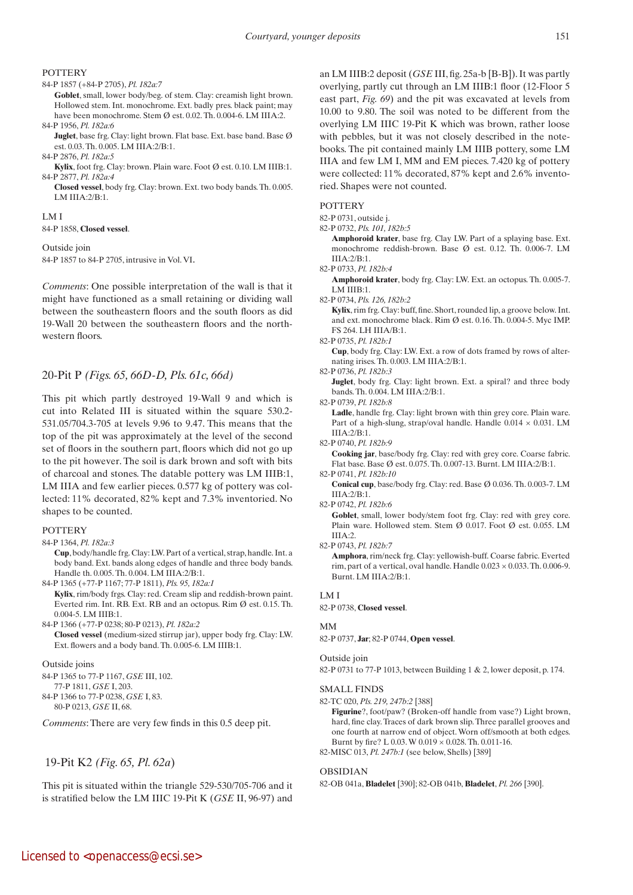#### **POTTERY**

84-P 1857 (+84-P 2705), *Pl. 182a:7*

Goblet, small, lower body/beg. of stem. Clay: creamish light brown. Hollowed stem. Int. monochrome. Ext. badly pres. black paint; may have been monochrome. Stem Ø est. 0.02. Th. 0.004-6. LM IIIA:2. 84-P 1956, *Pl. 182a:6*

**Juglet**, base frg. Clay: light brown. Flat base. Ext. base band. Base Ø est. 0.03. Th. 0.005. LM IIIA:2/B:1.

84-P 2876, *Pl. 182a:5*

**Kylix**, foot frg. Clay: brown. Plain ware. Foot  $\emptyset$  est. 0.10. LM IIIB:1. 84-P 2877, *Pl. 182a:4*

 **Closed vessel**, body frg. Clay: brown. Ext. two body bands. Th. 0.005. LM IIIA:2/B:1.

#### LM I

84-P 1858, **Closed vessel**.

#### Outside join

84-P 1857 to 84-P 2705, intrusive in Vol. VI.

*Comments*: One possible interpretation of the wall is that it might have functioned as a small retaining or dividing wall between the southeastern floors and the south floors as did 19-Wall 20 between the southeastern floors and the northwestern floors.

## 20-Pit P *(Figs. 65, 66D-D, Pls. 61c, 66d)*

This pit which partly destroyed 19-Wall 9 and which is cut into Related III is situated within the square 530.2- 531.05/704.3-705 at levels 9.96 to 9.47. This means that the top of the pit was approximately at the level of the second set of floors in the southern part, floors which did not go up to the pit however. The soil is dark brown and soft with bits of charcoal and stones. The datable pottery was LM IIIB:1, LM IIIA and few earlier pieces. 0.577 kg of pottery was collected: 11% decorated, 82% kept and 7.3% inventoried. No shapes to be counted.

## **POTTERY**

```
84-P 1364, Pl. 182a:3
```
 **Cup**, body/handle frg. Clay: LW. Part of a vertical, strap, handle. Int. a body band. Ext. bands along edges of handle and three body bands. Handle th. 0.005. Th. 0.004. LM IIIA:2/B:1.

84-P 1365 (+77-P 1167; 77-P 1811), *Pls. 95, 182a:1* **Kylix**, rim/body frgs. Clay: red. Cream slip and reddish-brown paint. Everted rim. Int. RB. Ext. RB and an octopus. Rim Ø est. 0.15. Th. 0.004-5. LM IIIB:1.

84-P 1366 (+77-P 0238; 80-P 0213), *Pl. 182a:2*

 **Closed vessel** (medium-sized stirrup jar), upper body frg. Clay: LW. Ext. flowers and a body band. Th. 0.005-6. LM IIIB:1.

## Outside joins

84-P 1365 to 77-P 1167, *GSE* III, 102.

77-P 1811, *GSE* I, 203.

84-P 1366 to 77-P 0238, *GSE* I, 83.

80-P 0213, *GSE* II, 68.

*Comments*: There are very few finds in this 0.5 deep pit.

## 19-Pit K2 *(Fig. 65, Pl. 62a*)

This pit is situated within the triangle 529-530/705-706 and it is stratified below the LM IIIC 19-Pit K (*GSE* II, 96-97) and

an LM IIIB:2 deposit (*GSE* III, fig. 25a-b [B-B]). It was partly overlying, partly cut through an LM IIIB:1 floor (12-Floor 5 east part, *Fig. 69*) and the pit was excavated at levels from 10.00 to 9.80. The soil was noted to be different from the overlying LM IIIC 19-Pit K which was brown, rather loose with pebbles, but it was not closely described in the notebooks. The pit contained mainly LM IIIB pottery, some LM IIIA and few LM I, MM and EM pieces. 7.420 kg of pottery were collected: 11% decorated, 87% kept and 2.6% inventoried. Shapes were not counted.

## **POTTERY**

82-P 0731, outside j.

82-P 0732, *Pls. 101, 182b:5*

 **Amphoroid krater**, base frg. Clay LW. Part of a splaying base. Ext. monochrome reddish-brown. Base Ø est. 0.12. Th. 0.006-7. LM IIIA:2/B:1.

82-P 0733, *Pl. 182b:4*

 **Amphoroid krater**, body frg. Clay: LW. Ext. an octopus. Th. 0.005-7. LM IIIB:1.

82-P 0734, *Pls. 126, 182b:2*

 **Kylix**, rim frg. Clay: buff, fine. Short, rounded lip, a groove below. Int. and ext. monochrome black. Rim Ø est. 0.16. Th. 0.004-5. Myc IMP. FS 264. LH IIIA/B:1.

82-P 0735, *Pl. 182b:1*

 **Cup**, body frg. Clay: LW. Ext. a row of dots framed by rows of alternating irises. Th. 0.003. LM IIIA:2/B:1.

82-P 0736, *Pl. 182b:3*  **Juglet**, body frg. Clay: light brown. Ext. a spiral? and three body bands. Th. 0.004. LM IIIA:2/B:1.

82-P 0739, *Pl. 182b:8*

Ladle, handle frg. Clay: light brown with thin grey core. Plain ware. Part of a high-slung, strap/oval handle. Handle 0.014 × 0.031. LM IIIA:2/B:1.

82-P 0740, *Pl. 182b:9*

 **Cooking jar**, base/body frg. Clay: red with grey core. Coarse fabric. Flat base. Base Ø est. 0.075. Th. 0.007-13. Burnt. LM IIIA:2/B:1.

82-P 0741, *Pl. 182b:10*

 **Conical cup**, base/body frg. Clay: red. Base Ø 0.036. Th. 0.003-7. LM IIIA:2/B:1.

82-P 0742, *Pl. 182b:6*

Goblet, small, lower body/stem foot frg. Clay: red with grey core. Plain ware. Hollowed stem. Stem Ø 0.017. Foot Ø est. 0.055. LM IIIA:2.

82-P 0743, *Pl. 182b:7*

 **Amphora**, rim/neck frg. Clay: yellowish-buff. Coarse fabric. Everted rim, part of a vertical, oval handle. Handle  $0.023 \times 0.033$ . Th. 0.006-9. Burnt. LM IIIA:2/B:1.

### LM I

82-P 0738, **Closed vessel**.

#### MM

82-P 0737, **Jar**; 82-P 0744, **Open vessel**.

## Outside join

82-P 0731 to 77-P 1013, between Building 1 & 2, lower deposit, p. 174.

#### SMALL FINDS

82-TC 020, *Pls. 219, 247b:2* [388]

 **Figurine**?, foot/paw? (Broken-off handle from vase?) Light brown, hard, fine clay. Traces of dark brown slip. Three parallel grooves and one fourth at narrow end of object. Worn off/smooth at both edges. Burnt by fire? L 0.03. W 0.019 × 0.028. Th. 0.011-16. 82-MISC 013, *Pl. 247b:1* (see below, Shells) [389]

#### OBSIDIAN

82-OB 041a, **Bladelet** [390]; 82-OB 041b, **Bladelet**, *Pl. 266* [390].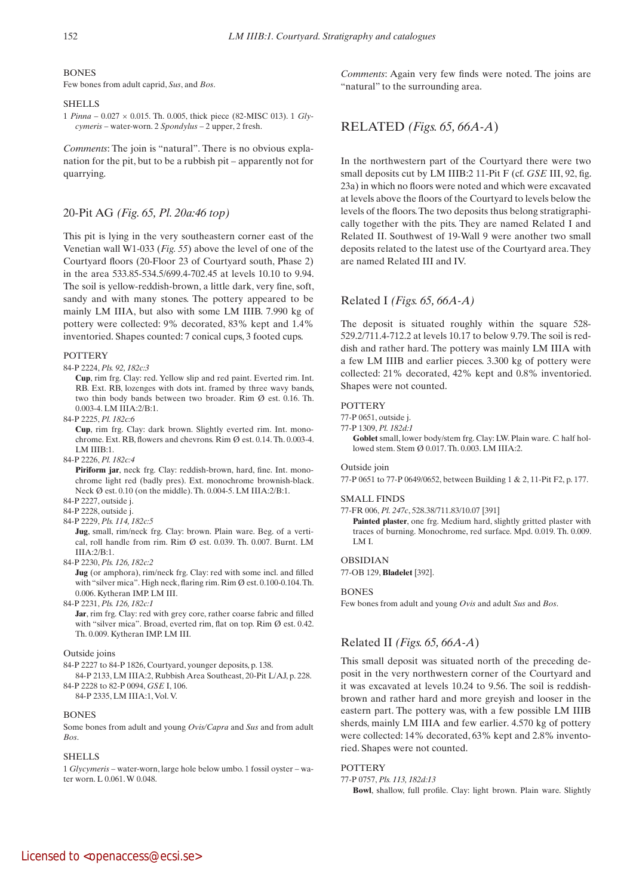## **BONES**

Few bones from adult caprid, *Sus*, and *Bos*.

## **SHELLS**

1 *Pinna* – 0.027 × 0.015. Th. 0.005, thick piece (82-MISC 013). 1 *Glycymeris* – water-worn. 2 *Spondylus* – 2 upper, 2 fresh.

*Comments*: The join is "natural". There is no obvious explanation for the pit, but to be a rubbish pit – apparently not for quarrying.

## 20-Pit AG *(Fig. 65, Pl. 20a:46 top)*

This pit is lying in the very southeastern corner east of the Venetian wall W1-033 (*Fig. 55*) above the level of one of the Courtyard floors (20-Floor 23 of Courtyard south, Phase 2) in the area 533.85-534.5/699.4-702.45 at levels 10.10 to 9.94. The soil is yellow-reddish-brown, a little dark, very fine, soft, sandy and with many stones. The pottery appeared to be mainly LM IIIA, but also with some LM IIIB. 7.990 kg of pottery were collected: 9% decorated, 83% kept and 1.4% inventoried. Shapes counted: 7 conical cups, 3 footed cups.

## **POTTERY**

84-P 2224, *Pls. 92, 182c:3*

 **Cup**, rim frg. Clay: red. Yellow slip and red paint. Everted rim. Int. RB. Ext. RB, lozenges with dots int. framed by three wavy bands, two thin body bands between two broader. Rim Ø est. 0.16. Th. 0.003-4. LM IIIA:2/B:1.

84-P 2225, *Pl. 182c:6*

 **Cup**, rim frg. Clay: dark brown. Slightly everted rim. Int. monochrome. Ext. RB, flowers and chevrons. Rim Ø est. 0.14. Th. 0.003-4. LM IIIB:1.

84-P 2226, *Pl. 182c:4*

 **Piriform jar**, neck frg. Clay: reddish-brown, hard, fine. Int. monochrome light red (badly pres). Ext. monochrome brownish-black. Neck Ø est. 0.10 (on the middle). Th. 0.004-5. LM IIIA:2/B:1.

- 84-P 2227, outside j.
- 84-P 2228, outside j.
- 84-P 2229, *Pls. 114, 182c:5*

 **Jug**, small, rim/neck frg. Clay: brown. Plain ware. Beg. of a vertical, roll handle from rim. Rim Ø est. 0.039. Th. 0.007. Burnt. LM IIIA:2/B:1.

84-P 2230, *Pls. 126, 182c:2*

**Jug** (or amphora), rim/neck frg. Clay: red with some incl. and filled with "silver mica". High neck, flaring rim. Rim Ø est. 0.100-0.104. Th. 0.006. Kytheran IMP. LM III.

84-P 2231, *Pls. 126, 182c:1* Jar, rim frg. Clay: red with grey core, rather coarse fabric and filled with "silver mica". Broad, everted rim, flat on top. Rim Ø est. 0.42. Th. 0.009. Kytheran IMP. LM III.

## Outside joins

84-P 2227 to 84-P 1826, Courtyard, younger deposits, p. 138.

- 84-P 2133, LM IIIA:2, Rubbish Area Southeast, 20-Pit L/AJ, p. 228. 84-P 2228 to 82-P 0094, *GSE* I, 106.
	- 84-P 2335, LM IIIA:1, Vol. V.

## **BONES**

Some bones from adult and young *Ovis/Capra* and *Sus* and from adult *Bos*.

## **SHELLS**

1 *Glycymeris* – water-worn, large hole below umbo. 1 fossil oyster – water worn. L 0.061. W 0.048.

*Comments*: Again very few finds were noted. The joins are "natural" to the surrounding area.

## RELATED *(Figs. 65, 66A-A*)

In the northwestern part of the Courtyard there were two small deposits cut by LM IIIB:2 11-Pit F (cf. *GSE* III, 92, fig. 23a) in which no floors were noted and which were excavated at levels above the floors of the Courtyard to levels below the levels of the floors. The two deposits thus belong stratigraphically together with the pits. They are named Related I and Related II. Southwest of 19-Wall 9 were another two small deposits related to the latest use of the Courtyard area. They are named Related III and IV.

## Related I *(Figs. 65, 66A-A)*

The deposit is situated roughly within the square 528- 529.2/711.4-712.2 at levels 10.17 to below 9.79. The soil is reddish and rather hard. The pottery was mainly LM IIIA with a few LM IIIB and earlier pieces. 3.300 kg of pottery were collected: 21% decorated, 42% kept and 0.8% inventoried. Shapes were not counted.

## **POTTERY**

- 77-P 0651, outside j.
- 77-P 1309, *Pl. 182d:1*
	- **Goblet** small, lower body/stem frg. Clay: LW. Plain ware. *C.* half hollowed stem. Stem Ø 0.017. Th. 0.003. LM IIIA:2.

## Outside join

77-P 0651 to 77-P 0649/0652, between Building 1 & 2, 11-Pit F2, p. 177.

## SMALL FINDS

77-FR 006, *Pl. 247c*, 528.38/711.83/10.07 [391]

Painted plaster, one frg. Medium hard, slightly gritted plaster with traces of burning. Monochrome, red surface. Mpd. 0.019. Th. 0.009. LM I.

## OBSIDIAN

77-OB 129, **Bladelet** [392].

## BONES

Few bones from adult and young *Ovis* and adult *Sus* and *Bos*.

## Related II *(Figs. 65, 66A-A*)

This small deposit was situated north of the preceding deposit in the very northwestern corner of the Courtyard and it was excavated at levels 10.24 to 9.56. The soil is reddishbrown and rather hard and more greyish and looser in the eastern part. The pottery was, with a few possible LM IIIB sherds, mainly LM IIIA and few earlier. 4.570 kg of pottery were collected: 14% decorated, 63% kept and 2.8% inventoried. Shapes were not counted.

## **POTTERY**

77-P 0757, *Pls. 113, 182d:13*

Bowl, shallow, full profile. Clay: light brown. Plain ware. Slightly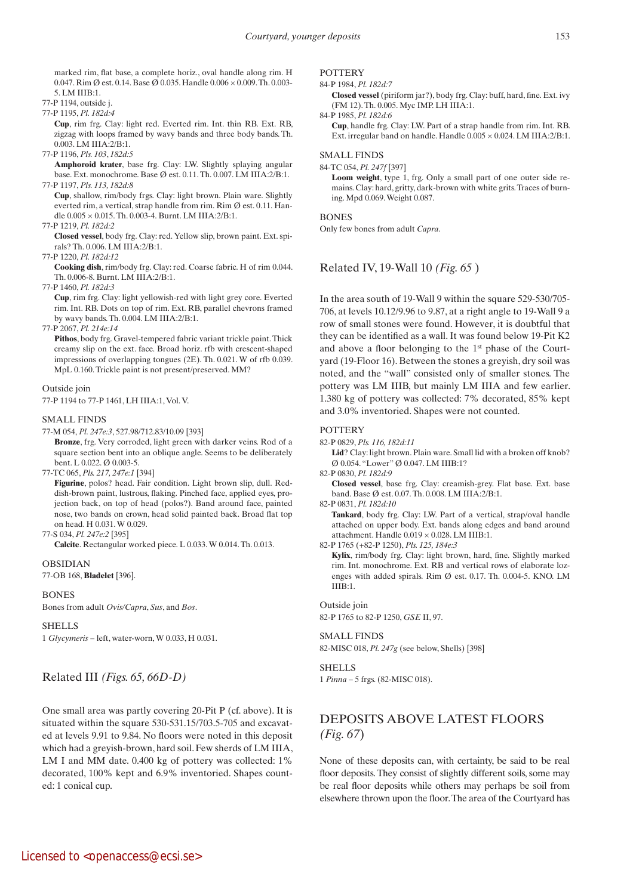marked rim, flat base, a complete horiz., oval handle along rim. H 0.047. Rim Ø est. 0.14. Base Ø 0.035. Handle 0.006 × 0.009. Th. 0.003- 5. LM IIIB:1.

#### 77-P 1194, outside j.

77-P 1195, *Pl. 182d:4*

 **Cup**, rim frg. Clay: light red. Everted rim. Int. thin RB. Ext. RB, zigzag with loops framed by wavy bands and three body bands. Th. 0.003. LM IIIA:2/B:1.

#### 77-P 1196, *Pls. 103*, *182d:5*

 **Amphoroid krater**, base frg. Clay: LW. Slightly splaying angular base. Ext. monochrome. Base Ø est. 0.11. Th. 0.007. LM IIIA:2/B:1. 77-P 1197, *Pls. 113, 182d:8*

 **Cup**, shallow, rim/body frgs. Clay: light brown. Plain ware. Slightly everted rim, a vertical, strap handle from rim. Rim Ø est. 0.11. Handle  $0.005 \times 0.015$ . Th.  $0.003-4$ . Burnt. LM IIIA:2/B:1.

## 77-P 1219, *Pl. 182d:2*

 **Closed vessel**, body frg. Clay: red. Yellow slip, brown paint. Ext. spirals? Th. 0.006. LM IIIA:2/B:1.

77-P 1220, *Pl. 182d:12*

 **Cooking dish**, rim/body frg. Clay: red. Coarse fabric. H of rim 0.044. Th. 0.006-8. Burnt. LM IIIA:2/B:1.

77-P 1460, *Pl. 182d:3*

 **Cup**, rim frg. Clay: light yellowish-red with light grey core. Everted rim. Int. RB. Dots on top of rim. Ext. RB, parallel chevrons framed by wavy bands. Th. 0.004. LM IIIA:2/B:1.

77-P 2067, *Pl. 214e:14*

 **Pithos**, body frg. Gravel-tempered fabric variant trickle paint. Thick creamy slip on the ext. face. Broad horiz. rfb with crescent-shaped impressions of overlapping tongues (2E). Th. 0.021. W of rfb 0.039. MpL 0.160. Trickle paint is not present/preserved. MM?

#### Outside join

77-P 1194 to 77-P 1461, LH IIIA:1, Vol. V.

### SMALL FINDS

77-M 054, *Pl. 247e:3*, 527.98/712.83/10.09 [393]

 **Bronze**, frg. Very corroded, light green with darker veins. Rod of a square section bent into an oblique angle. Seems to be deliberately bent. L 0.022. Ø 0.003-5.

77-TC 065, *Pls. 217, 247e:1* [394]

 **Figurine**, polos? head. Fair condition. Light brown slip, dull. Reddish-brown paint, lustrous, flaking. Pinched face, applied eyes, projection back, on top of head (polos?). Band around face, painted nose, two bands on crown, head solid painted back. Broad flat top on head. H 0.031. W 0.029.

77-S 034, *Pl. 247e:2* [395]

 **Calcite**. Rectangular worked piece. L 0.033. W 0.014. Th. 0.013.

OBSIDIAN

77-OB 168, **Bladelet** [396].

# **BONES**

Bones from adult *Ovis/Capra*, *Sus*, and *Bos*.

## SHELL<sub>S</sub>

1 *Glycymeris* – left, water-worn, W 0.033, H 0.031.

## Related III *(Figs. 65, 66D-D)*

One small area was partly covering 20-Pit P (cf. above). It is situated within the square 530-531.15/703.5-705 and excavated at levels 9.91 to 9.84. No floors were noted in this deposit which had a greyish-brown, hard soil. Few sherds of LM IIIA, LM I and MM date. 0.400 kg of pottery was collected: 1% decorated, 100% kept and 6.9% inventoried. Shapes counted: 1 conical cup.

## **POTTERY**

84-P 1984, *Pl. 182d:7*

 **Closed vessel** (piriform jar?), body frg. Clay: buff, hard, fine. Ext. ivy (FM 12). Th. 0.005. Myc IMP. LH IIIA:1.

84-P 1985, *Pl. 182d:6*  **Cup**, handle frg. Clay: LW. Part of a strap handle from rim. Int. RB. Ext. irregular band on handle. Handle 0.005 × 0.024. LM IIIA:2/B:1.

## SMALL FINDS

84-TC 054, *Pl. 247f* [397]

 **Loom weight**, type 1, frg. Only a small part of one outer side remains. Clay: hard, gritty, dark-brown with white grits. Traces of burning. Mpd 0.069. Weight 0.087.

#### **BONES**

Only few bones from adult *Capra*.

## Related IV, 19-Wall 10 *(Fig. 65* )

In the area south of 19-Wall 9 within the square 529-530/705- 706, at levels 10.12/9.96 to 9.87, at a right angle to 19-Wall 9 a row of small stones were found. However, it is doubtful that they can be identified as a wall. It was found below 19-Pit K2 and above a floor belonging to the 1st phase of the Courtyard (19-Floor 16). Between the stones a greyish, dry soil was noted, and the "wall" consisted only of smaller stones. The pottery was LM IIIB, but mainly LM IIIA and few earlier. 1.380 kg of pottery was collected: 7% decorated, 85% kept and 3.0% inventoried. Shapes were not counted.

## **POTTERY**

82-P 0829, *Pls. 116, 182d:11*

Lid? Clay: light brown. Plain ware. Small lid with a broken off knob? Ø 0.054. "Lower" Ø 0.047. LM IIIB:1?

82-P 0830, *Pl. 182d:9*

 **Closed vessel**, base frg. Clay: creamish-grey. Flat base. Ext. base band. Base Ø est. 0.07. Th. 0.008. LM IIIA:2/B:1.

82-P 0831, *Pl. 182d:10*

 **Tankard**, body frg. Clay: LW. Part of a vertical, strap/oval handle attached on upper body. Ext. bands along edges and band around attachment. Handle  $0.019 \times 0.028$ . LM IIIB:1.

82-P 1765 (+82-P 1250), *Pls. 125, 184e:3*

 **Kylix**, rim/body frg. Clay: light brown, hard, fine. Slightly marked rim. Int. monochrome. Ext. RB and vertical rows of elaborate lozenges with added spirals. Rim Ø est. 0.17. Th. 0.004-5. KNO. LM IIIB:1.

### Outside join

82-P 1765 to 82-P 1250, *GSE* II, 97.

#### SMALL FINDS

82-MISC 018, *Pl. 247g* (see below, Shells) [398]

## SHELLS

1 *Pinna* – 5 frgs. (82-MISC 018).

## DEPOSITS ABOVE LATEST FLOORS *(Fig. 67*)

None of these deposits can, with certainty, be said to be real floor deposits. They consist of slightly different soils, some may be real floor deposits while others may perhaps be soil from elsewhere thrown upon the floor. The area of the Courtyard has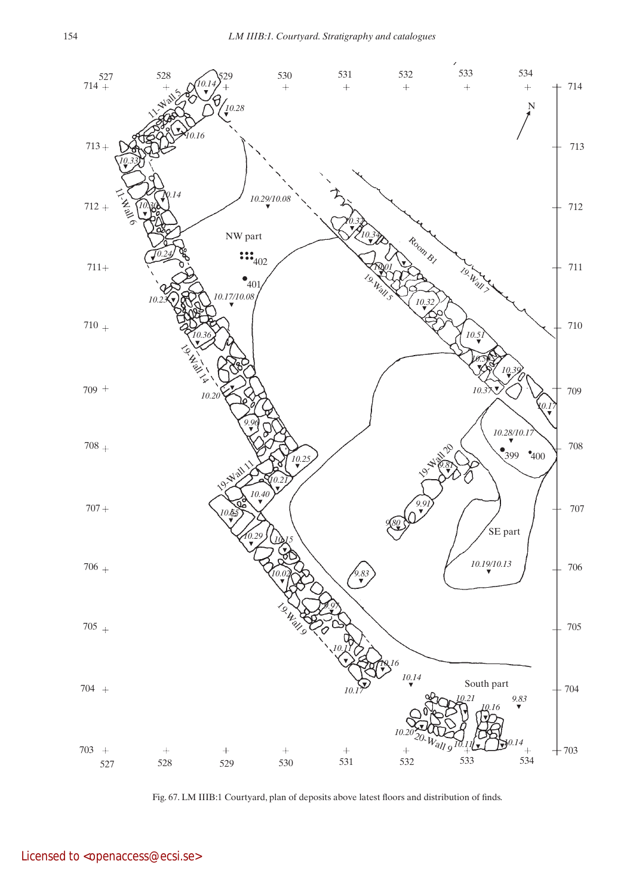

Fig. 67. LM IIIB:1 Courtyard, plan of deposits above latest floors and distribution of finds.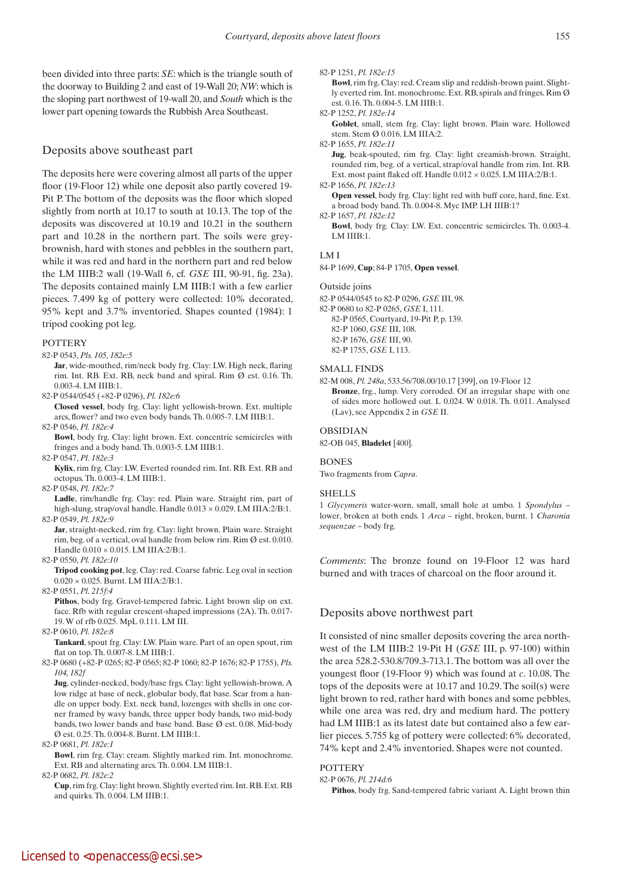been divided into three parts: *SE*: which is the triangle south of the doorway to Building 2 and east of 19-Wall 20; *NW*: which is the sloping part northwest of 19-wall 20, and *South* which is the lower part opening towards the Rubbish Area Southeast.

## Deposits above southeast part

The deposits here were covering almost all parts of the upper floor (19-Floor 12) while one deposit also partly covered 19- Pit P. The bottom of the deposits was the floor which sloped slightly from north at 10.17 to south at 10.13. The top of the deposits was discovered at 10.19 and 10.21 in the southern part and 10.28 in the northern part. The soils were greybrownish, hard with stones and pebbles in the southern part, while it was red and hard in the northern part and red below the LM IIIB:2 wall (19-Wall 6, cf. *GSE* III, 90-91, fig. 23a). The deposits contained mainly LM IIIB:1 with a few earlier pieces. 7.499 kg of pottery were collected: 10% decorated, 95% kept and 3.7% inventoried. Shapes counted (1984): 1 tripod cooking pot leg.

### POTTERY

82-P 0543, *Pls. 105, 182e:5*

 **Jar**, wide-mouthed, rim/neck body frg. Clay: LW. High neck, flaring rim. Int. RB. Ext. RB, neck band and spiral. Rim Ø est. 0.16. Th. 0.003-4. LM IIIB:1.

- 82-P 0544/0545 (+82-P 0296), *Pl. 182e:6*
- **Closed vessel**, body frg. Clay: light yellowish-brown. Ext. multiple arcs, flower? and two even body bands. Th. 0.005-7. LM IIIB:1. 82-P 0546, *Pl. 182e:4*
- **Bowl**, body frg. Clay: light brown. Ext. concentric semicircles with fringes and a body band. Th. 0.003-5. LM IIIB:1.
- 82-P 0547, *Pl. 182e:3*

 **Kylix**, rim frg. Clay: LW. Everted rounded rim. Int. RB. Ext. RB and octopus. Th. 0.003-4. LM IIIB:1.

82-P 0548, *Pl. 182e:7*

Ladle, rim/handle frg. Clay: red. Plain ware. Straight rim, part of high-slung, strap/oval handle. Handle  $0.013 \times 0.029$ . LM IIIA:2/B:1. 82-P 0549, *Pl. 182e:9*

Jar, straight-necked, rim frg. Clay: light brown. Plain ware. Straight rim, beg. of a vertical, oval handle from below rim. Rim Ø est. 0.010. Handle 0.010 × 0.015. LM IIIA:2/B:1.

82-P 0550, *Pl. 182e:10*

 **Tripod cooking pot**, leg. Clay: red. Coarse fabric. Leg oval in section 0.020 × 0.025. Burnt. LM IIIA:2/B:1.

82-P 0551, *Pl. 215f:4*

Pithos, body frg. Gravel-tempered fabric. Light brown slip on ext. face. Rfb with regular crescent-shaped impressions (2A). Th. 0.017- 19. W of rfb 0.025. MpL 0.111. LM III.

82-P 0610, *Pl. 182e:8*

 **Tankard**, spout frg. Clay: LW. Plain ware. Part of an open spout, rim flat on top. Th. 0.007-8. LM IIIB:1.

82-P 0680 (+82-P 0265; 82-P 0565; 82-P 1060; 82-P 1676; 82-P 1755), *Pls. 104, 182f* 

 **Jug**, cylinder-necked, body/base frgs. Clay: light yellowish-brown. A low ridge at base of neck, globular body, flat base. Scar from a handle on upper body. Ext. neck band, lozenges with shells in one corner framed by wavy bands, three upper body bands, two mid-body bands, two lower bands and base band. Base Ø est. 0.08. Mid-body Ø est. 0.25. Th. 0.004-8. Burnt. LM IIIB:1.

82-P 0681, *Pl. 182e:1*

**Bowl**, rim frg. Clay: cream. Slightly marked rim. Int. monochrome. Ext. RB and alternating arcs. Th. 0.004. LM IIIB:1.

82-P 0682, *Pl. 182e:2*

 **Cup**, rim frg. Clay: light brown. Slightly everted rim. Int. RB. Ext. RB and quirks. Th. 0.004. LM IIIB:1.

82-P 1251, *Pl. 182e:15*

 **Bowl**, rim frg. Clay: red. Cream slip and reddish-brown paint. Slightly everted rim. Int. monochrome. Ext. RB, spirals and fringes. Rim Ø est. 0.16. Th. 0.004-5. LM IIIB:1.

82-P 1252, *Pl. 182e:14*

Goblet, small, stem frg. Clay: light brown. Plain ware. Hollowed stem. Stem Ø 0.016. LM IIIA:2.

82-P 1655, *Pl. 182e:11*

 **Jug**, beak-spouted, rim frg. Clay: light creamish-brown. Straight, rounded rim, beg. of a vertical, strap/oval handle from rim. Int. RB. Ext. most paint flaked off. Handle 0.012 × 0.025. LM IIIA:2/B:1. 82-P 1656, *Pl. 182e:13*

 **Open vessel**, body frg. Clay: light red with buff core, hard, fine. Ext. a broad body band. Th. 0.004-8. Myc IMP. LH IIIB:1?

82-P 1657, *Pl. 182e:12*

 **Bowl**, body frg. Clay: LW. Ext. concentric semicircles. Th. 0.003-4. LM IIIB:1.

## LM I

84-P 1699, **Cup**; 84-P 1705, **Open vessel**.

Outside joins

- 82-P 0544/0545 to 82-P 0296, *GSE* III, 98. 82-P 0680 to 82-P 0265, *GSE* I, 111.
	- 82-P 0565, Courtyard, 19-Pit P, p. 139. 82-P 1060, *GSE* III, 108. 82-P 1676, *GSE* III, 90. 82-P 1755, *GSE* I, 113.

#### SMALL FINDS

82-M 008, *Pl. 248a*, 533.56/708.00/10.17 [399], on 19-Floor 12 **Bronze**, frg., lump. Very corroded. Of an irregular shape with one of sides more hollowed out. L 0.024. W 0.018. Th. 0.011. Analysed (Lav), see Appendix 2 in *GSE* II.

#### OBSIDIAN

82-OB 045, **Bladelet** [400].

#### **BONES**

Two fragments from *Capra*.

#### **SHELLS**

1 *Glycymeris* water-worn, small, small hole at umbo. 1 *Spondylus* – lower, broken at both ends. 1 *Arca* – right, broken, burnt. 1 *Charonia sequenzae* – body frg.

*Comments*: The bronze found on 19-Floor 12 was hard burned and with traces of charcoal on the floor around it.

## Deposits above northwest part

It consisted of nine smaller deposits covering the area northwest of the LM IIIB:2 19-Pit H (*GSE* III, p. 97-100) within the area 528.2-530.8/709.3-713.1. The bottom was all over the youngest floor (19-Floor 9) which was found at *c*. 10.08. The tops of the deposits were at 10.17 and 10.29. The soil(s) were light brown to red, rather hard with bones and some pebbles, while one area was red, dry and medium hard. The pottery had LM IIIB:1 as its latest date but contained also a few earlier pieces. 5.755 kg of pottery were collected: 6% decorated, 74% kept and 2.4% inventoried. Shapes were not counted.

## **POTTERY**

## 82-P 0676, *Pl. 214d:6*

Pithos, body frg. Sand-tempered fabric variant A. Light brown thin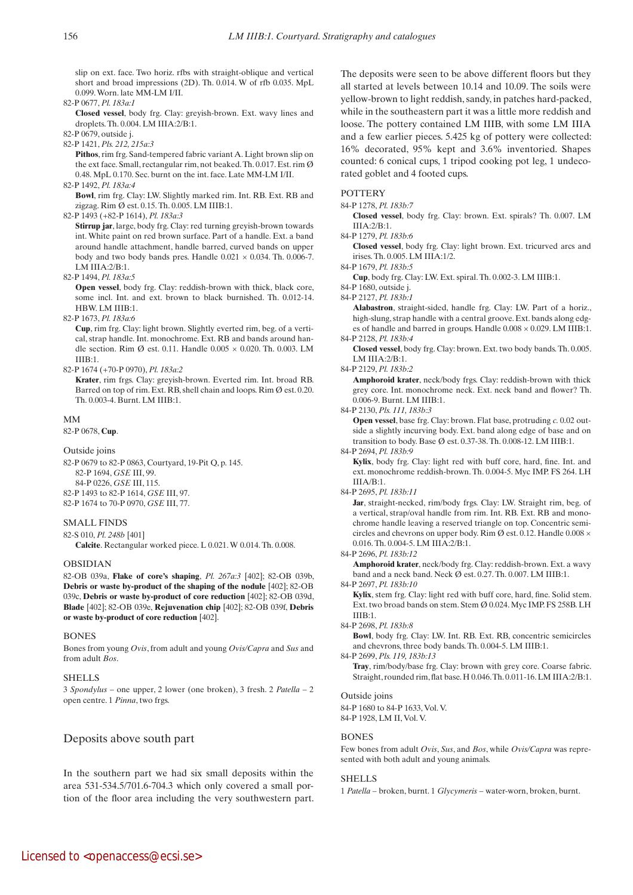slip on ext. face. Two horiz. rfbs with straight-oblique and vertical short and broad impressions (2D). Th. 0.014. W of rfb 0.035. MpL 0.099. Worn. late MM-LM I/II.

82-P 0677, *Pl. 183a:1*

 **Closed vessel**, body frg. Clay: greyish-brown. Ext. wavy lines and droplets. Th. 0.004. LM IIIA:2/B:1.

- 82-P 0679, outside j.
- 82-P 1421, *Pls. 212, 215a:3*

 **Pithos**, rim frg. Sand-tempered fabric variant A. Light brown slip on the ext face. Small, rectangular rim, not beaked. Th. 0.017. Est. rim Ø 0.48. MpL 0.170. Sec. burnt on the int. face. Late MM-LM I/II.

82-P 1492, *Pl. 183a:4*

 **Bowl**, rim frg. Clay: LW. Slightly marked rim. Int. RB. Ext. RB and zigzag. Rim Ø est. 0.15. Th. 0.005. LM IIIB:1.

82-P 1493 (+82-P 1614), *Pl. 183a:3*

 **Stirrup jar**, large, body frg. Clay: red turning greyish-brown towards int. White paint on red brown surface. Part of a handle. Ext. a band around handle attachment, handle barred, curved bands on upper body and two body bands pres. Handle  $0.021 \times 0.034$ . Th. 0.006-7. LM IIIA:2/B:1.

82-P 1494, *Pl. 183a:5*

 **Open vessel**, body frg. Clay: reddish-brown with thick, black core, some incl. Int. and ext. brown to black burnished. Th. 0.012-14. HBW. LM IIIB:1.

82-P 1673, *Pl. 183a:6*

 **Cup**, rim frg. Clay: light brown. Slightly everted rim, beg. of a vertical, strap handle. Int. monochrome. Ext. RB and bands around handle section. Rim  $\emptyset$  est. 0.11. Handle 0.005  $\times$  0.020. Th. 0.003. LM  $I I I R·1.$ 

82-P 1674 (+70-P 0970), *Pl. 183a:2*

 **Krater**, rim frgs. Clay: greyish-brown. Everted rim. Int. broad RB. Barred on top of rim. Ext. RB, shell chain and loops. Rim Ø est. 0.20. Th. 0.003-4. Burnt. LM IIIB:1.

#### MM

82-P 0678, **Cup**.

## Outside joins

82-P 0679 to 82-P 0863, Courtyard, 19-Pit Q, p. 145. 82-P 1694, *GSE* III, 99. 84-P 0226, *GSE* III, 115. 82-P 1493 to 82-P 1614, *GSE* III, 97.

82-P 1674 to 70-P 0970, *GSE* III, 77.

#### SMALL FINDS

82-S 010, *Pl. 248b* [401]

 **Calcite**. Rectangular worked piece. L 0.021. W 0.014. Th. 0.008.

### OBSIDIAN

82-OB 039a, **Flake of core's shaping**, *Pl. 267a:3* [402]; 82-OB 039b, **Debris or waste by-product of the shaping of the nodule** [402]; 82-OB 039c, **Debris or waste by-product of core reduction** [402]; 82-OB 039d, **Blade** [402]; 82-OB 039e, **Rejuvenation chip** [402]; 82-OB 039f, **Debris or waste by-product of core reduction** [402].

## **BONES**

Bones from young *Ovis*, from adult and young *Ovis/Capra* and *Sus* and from adult *Bos*.

#### SHELL<sub>S</sub>

3 *Spondylus* – one upper, 2 lower (one broken), 3 fresh. 2 *Patella* – 2 open centre. 1 *Pinna*, two frgs.

## Deposits above south part

In the southern part we had six small deposits within the area 531-534.5/701.6-704.3 which only covered a small portion of the floor area including the very southwestern part. The deposits were seen to be above different floors but they all started at levels between 10.14 and 10.09. The soils were yellow-brown to light reddish, sandy, in patches hard-packed, while in the southeastern part it was a little more reddish and loose. The pottery contained LM IIIB, with some LM IIIA and a few earlier pieces. 5.425 kg of pottery were collected: 16% decorated, 95% kept and 3.6% inventoried. Shapes counted: 6 conical cups, 1 tripod cooking pot leg, 1 undecorated goblet and 4 footed cups.

#### **POTTERY**

84-P 1278, *Pl. 183b:7*

 **Closed vessel**, body frg. Clay: brown. Ext. spirals? Th. 0.007. LM IIIA:2/B:1.

#### 84-P 1279, *Pl. 183b:6*

 **Closed vessel**, body frg. Clay: light brown. Ext. tricurved arcs and irises. Th. 0.005. LM IIIA:1/2.

84-P 1679, *Pl. 183b:5*

 **Cup**, body frg. Clay: LW. Ext. spiral. Th. 0.002-3. LM IIIB:1.

84-P 1680, outside j.

84-P 2127, *Pl. 183b:1*

 **Alabastron**, straight-sided, handle frg. Clay: LW. Part of a horiz., high-slung, strap handle with a central groove. Ext. bands along edges of handle and barred in groups. Handle 0.008 × 0.029. LM IIIB:1. 84-P 2128, *Pl. 183b:4*

 **Closed vessel**, body frg. Clay: brown. Ext. two body bands. Th. 0.005. LM IIIA $\cdot$ 2/B $\cdot$ 1.

#### 84-P 2129, *Pl. 183b:2*

 **Amphoroid krater**, neck/body frgs. Clay: reddish-brown with thick grey core. Int. monochrome neck. Ext. neck band and flower? Th. 0.006-9. Burnt. LM IIIB:1.

#### 84-P 2130, *Pls. 111, 183b:3*

**Open vessel**, base frg. Clay: brown. Flat base, protruding *c.* 0.02 outside a slightly incurving body. Ext. band along edge of base and on transition to body. Base Ø est. 0.37-38. Th. 0.008-12. LM IIIB:1.

84-P 2694, *Pl. 183b:9*

 **Kylix**, body frg. Clay: light red with buff core, hard, fine. Int. and ext. monochrome reddish-brown. Th. 0.004-5. Myc IMP. FS 264. LH IIIA/B:1.

#### 84-P 2695, *Pl. 183b:11*

Jar, straight-necked, rim/body frgs. Clay: LW. Straight rim, beg. of a vertical, strap/oval handle from rim. Int. RB. Ext. RB and monochrome handle leaving a reserved triangle on top. Concentric semicircles and chevrons on upper body. Rim Ø est. 0.12. Handle  $0.008 \times$ 0.016. Th. 0.004-5. LM IIIA:2/B:1.

84-P 2696, *Pl. 183b:12*

 **Amphoroid krater**, neck/body frg. Clay: reddish-brown. Ext. a wavy band and a neck band. Neck Ø est. 0.27. Th. 0.007. LM IIIB:1.

84-P 2697, *Pl. 183b:10*

 **Kylix**, stem frg. Clay: light red with buff core, hard, fine. Solid stem. Ext. two broad bands on stem. Stem Ø 0.024. Myc IMP. FS 258B. LH  $I I I R:1.$ 

#### 84-P 2698, *Pl. 183b:8*

 **Bowl**, body frg. Clay: LW. Int. RB. Ext. RB, concentric semicircles and chevrons, three body bands. Th. 0.004-5. LM IIIB:1.

84-P 2699, *Pls. 119, 183b:13*

 **Tray**, rim/body/base frg. Clay: brown with grey core. Coarse fabric. Straight, rounded rim, flat base. H 0.046. Th. 0.011-16. LM IIIA:2/B:1.

### Outside joins

84-P 1680 to 84-P 1633, Vol. V. 84-P 1928, LM II, Vol. V.

#### **BONES**

Few bones from adult *Ovis*, *Sus*, and *Bos*, while *Ovis/Capra* was represented with both adult and young animals.

#### **SHELLS**

1 *Patella* – broken, burnt. 1 *Glycymeris* – water-worn, broken, burnt.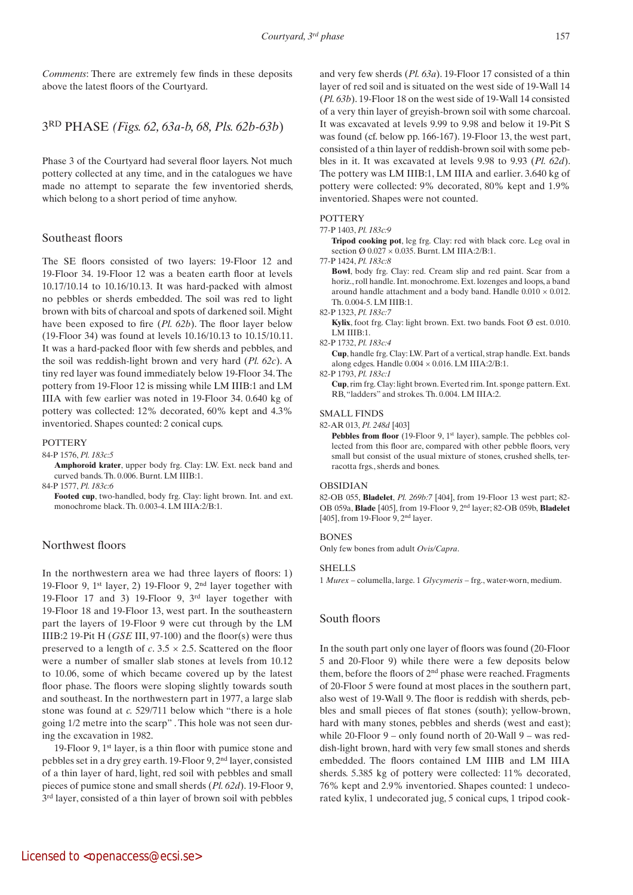3RD PHASE *(Figs. 62, 63a-b, 68, Pls. 62b-63b*)

Phase 3 of the Courtyard had several floor layers. Not much pottery collected at any time, and in the catalogues we have made no attempt to separate the few inventoried sherds, which belong to a short period of time anyhow.

## Southeast floors

The SE floors consisted of two layers: 19-Floor 12 and 19-Floor 34. 19-Floor 12 was a beaten earth floor at levels 10.17/10.14 to 10.16/10.13. It was hard-packed with almost no pebbles or sherds embedded. The soil was red to light brown with bits of charcoal and spots of darkened soil. Might have been exposed to fire (*Pl. 62b*). The floor layer below (19-Floor 34) was found at levels 10.16/10.13 to 10.15/10.11. It was a hard-packed floor with few sherds and pebbles, and the soil was reddish-light brown and very hard (*Pl. 62c*). A tiny red layer was found immediately below 19-Floor 34. The pottery from 19-Floor 12 is missing while LM IIIB:1 and LM IIIA with few earlier was noted in 19-Floor 34. 0.640 kg of pottery was collected: 12% decorated, 60% kept and 4.3% inventoried. Shapes counted: 2 conical cups.

#### **POTTERY**

84-P 1576, *Pl. 183c:5*

 **Amphoroid krater**, upper body frg. Clay: LW. Ext. neck band and curved bands. Th. 0.006. Burnt. LM IIIB:1.

84-P 1577, *Pl. 183c:6*

 **Footed cup**, two-handled, body frg. Clay: light brown. Int. and ext. monochrome black. Th. 0.003-4. LM IIIA:2/B:1.

## Northwest floors

In the northwestern area we had three layers of floors: 1) 19-Floor 9, 1st layer, 2) 19-Floor 9, 2nd layer together with 19-Floor 17 and 3) 19-Floor 9, 3rd layer together with 19-Floor 18 and 19-Floor 13, west part. In the southeastern part the layers of 19-Floor 9 were cut through by the LM IIIB:2 19-Pit H (*GSE* III, 97-100) and the floor(s) were thus preserved to a length of  $c$ .  $3.5 \times 2.5$ . Scattered on the floor were a number of smaller slab stones at levels from 10.12 to 10.06, some of which became covered up by the latest floor phase. The floors were sloping slightly towards south and southeast. In the northwestern part in 1977, a large slab stone was found at *c.* 529/711 below which "there is a hole going 1/2 metre into the scarp" . This hole was not seen during the excavation in 1982.

19-Floor 9, 1st layer, is a thin floor with pumice stone and pebbles set in a dry grey earth. 19-Floor 9, 2nd layer, consisted of a thin layer of hard, light, red soil with pebbles and small pieces of pumice stone and small sherds (*Pl. 62d*). 19-Floor 9, 3rd layer, consisted of a thin layer of brown soil with pebbles

and very few sherds (*Pl. 63a*). 19-Floor 17 consisted of a thin layer of red soil and is situated on the west side of 19-Wall 14 (*Pl. 63b*). 19-Floor 18 on the west side of 19-Wall 14 consisted of a very thin layer of greyish-brown soil with some charcoal. It was excavated at levels 9.99 to 9.98 and below it 19-Pit S was found (cf. below pp. 166-167). 19-Floor 13, the west part, consisted of a thin layer of reddish-brown soil with some pebbles in it. It was excavated at levels 9.98 to 9.93 (*Pl. 62d*). The pottery was LM IIIB:1, LM IIIA and earlier. 3.640 kg of pottery were collected: 9% decorated, 80% kept and 1.9% inventoried. Shapes were not counted.

## **POTTERY**

77-P 1403, *Pl. 183c:9*

 **Tripod cooking pot**, leg frg. Clay: red with black core. Leg oval in section  $\varnothing$  0.027  $\times$  0.035. Burnt. LM IIIA:2/B:1.

77-P 1424, *Pl. 183c:8*

Bowl, body frg. Clay: red. Cream slip and red paint. Scar from a horiz., roll handle. Int. monochrome. Ext. lozenges and loops, a band around handle attachment and a body band. Handle  $0.010 \times 0.012$ . Th. 0.004-5. LM IIIB:1.

82-P 1323, *Pl. 183c:7*

**Kylix**, foot frg. Clay: light brown. Ext. two bands. Foot  $\emptyset$  est. 0.010. LM IIIB:1.

 **Cup**, handle frg. Clay: LW. Part of a vertical, strap handle. Ext. bands along edges. Handle  $0.004 \times 0.016$ . LM IIIA:2/B:1.

82-P 1793, *Pl. 183c:1*

 **Cup**, rim frg. Clay: light brown. Everted rim. Int. sponge pattern. Ext. RB, "ladders" and strokes. Th. 0.004. LM IIIA:2.

#### SMALL FINDS

82-AR 013, *Pl. 248d* [403]

**Pebbles from floor** (19-Floor 9, 1<sup>st</sup> layer), sample. The pebbles collected from this floor are, compared with other pebble floors, very small but consist of the usual mixture of stones, crushed shells, terracotta frgs., sherds and bones.

## OBSIDIAN

82-OB 055, **Bladelet**, *Pl. 269b:7* [404], from 19-Floor 13 west part; 82- OB 059a, **Blade** [405], from 19-Floor 9, 2nd layer; 82-OB 059b, **Bladelet** [405], from 19-Floor 9, 2nd layer.

### BONES

Only few bones from adult *Ovis/Capra*.

#### **SHELLS**

1 *Murex* – columella, large. 1 *Glycymeris* – frg., water-worn, medium.

## South floors

In the south part only one layer of floors was found (20-Floor 5 and 20-Floor 9) while there were a few deposits below them, before the floors of 2nd phase were reached. Fragments of 20-Floor 5 were found at most places in the southern part, also west of 19-Wall 9. The floor is reddish with sherds, pebbles and small pieces of flat stones (south); yellow-brown, hard with many stones, pebbles and sherds (west and east); while 20-Floor 9 – only found north of 20-Wall 9 – was reddish-light brown, hard with very few small stones and sherds embedded. The floors contained LM IIIB and LM IIIA sherds. 5.385 kg of pottery were collected: 11% decorated, 76% kept and 2.9% inventoried. Shapes counted: 1 undecorated kylix, 1 undecorated jug, 5 conical cups, 1 tripod cook-

<sup>82-</sup>P 1732, *Pl. 183c:4*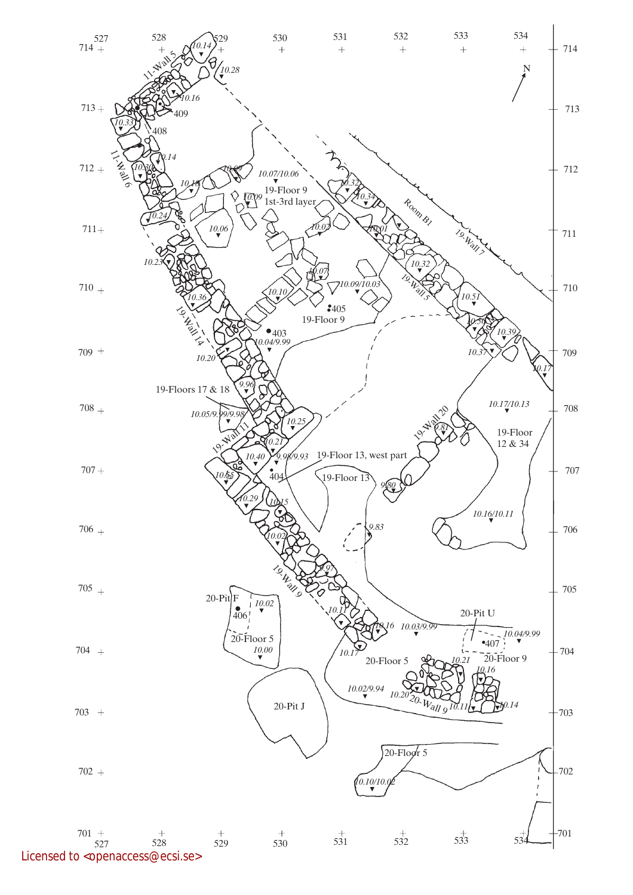

Licensed to <openaccess@ecsi.se>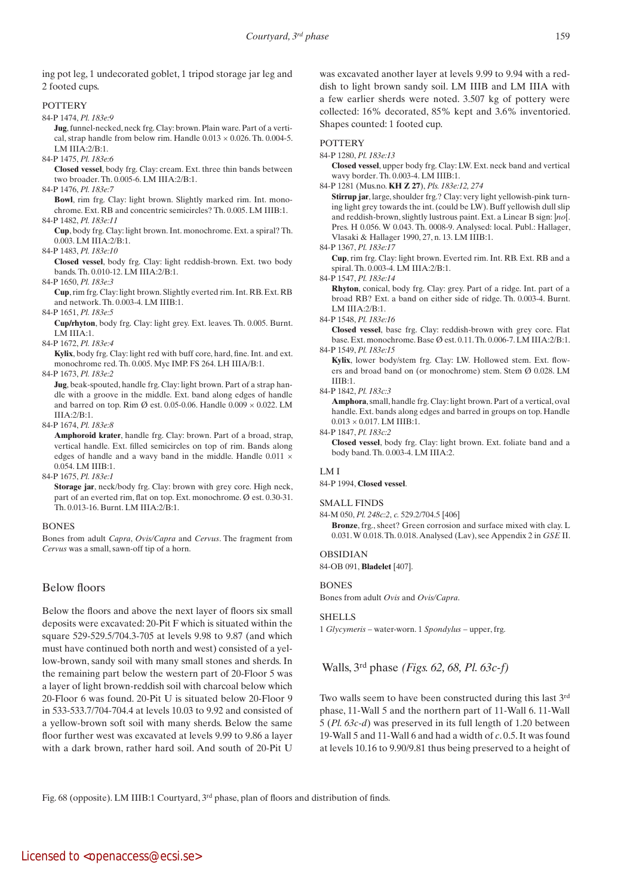ing pot leg, 1 undecorated goblet, 1 tripod storage jar leg and 2 footed cups.

## **POTTERY**

84-P 1474, *Pl. 183e:9*

- **Jug**, funnel-necked, neck frg. Clay: brown. Plain ware. Part of a vertical, strap handle from below rim. Handle  $0.013 \times 0.026$ . Th. 0.004-5. LM IIIA:2/B:1.
- 84-P 1475, *Pl. 183e:6*

 **Closed vessel**, body frg. Clay: cream. Ext. three thin bands between two broader. Th. 0.005-6. LM IIIA:2/B:1.

84-P 1476, *Pl. 183e:7*

 **Bowl**, rim frg. Clay: light brown. Slightly marked rim. Int. monochrome. Ext. RB and concentric semicircles? Th. 0.005. LM IIIB:1. 84-P 1482, *Pl. 183e:11*

 **Cup**, body frg. Clay: light brown. Int. monochrome. Ext. a spiral? Th. 0.003. LM IIIA:2/B:1.

84-P 1483, *Pl. 183e:10*

 **Closed vessel**, body frg. Clay: light reddish-brown. Ext. two body bands. Th. 0.010-12. LM IIIA:2/B:1.

84-P 1650, *Pl. 183e:3*

 **Cup**, rim frg. Clay: light brown. Slightly everted rim. Int. RB. Ext. RB and network. Th. 0.003-4. LM IIIB:1.

84-P 1651, *Pl. 183e:5*

 **Cup/rhyton**, body frg. Clay: light grey. Ext. leaves. Th. 0.005. Burnt. LM IIIA:1.

84-P 1672, *Pl. 183e:4*

 **Kylix**, body frg. Clay: light red with buff core, hard, fine. Int. and ext. monochrome red. Th. 0.005. Myc IMP. FS 264. LH IIIA/B:1.

84-P 1673, *Pl. 183e:2*

 **Jug**, beak-spouted, handle frg. Clay: light brown. Part of a strap handle with a groove in the middle. Ext. band along edges of handle and barred on top. Rim Ø est. 0.05-0.06. Handle  $0.009 \times 0.022$ . LM IIIA:2/B:1.

84-P 1674, *Pl. 183e:8*

 **Amphoroid krater**, handle frg. Clay: brown. Part of a broad, strap, vertical handle. Ext. filled semicircles on top of rim. Bands along edges of handle and a wavy band in the middle. Handle 0.011  $\times$ 0.054. LM IIIB:1.

84-P 1675, *Pl. 183e:1*

 **Storage jar**, neck/body frg. Clay: brown with grey core. High neck, part of an everted rim, flat on top. Ext. monochrome. Ø est. 0.30-31. Th. 0.013-16. Burnt. LM IIIA:2/B:1.

BONES

Bones from adult *Capra*, *Ovis/Capra* and *Cervus*. The fragment from *Cervus* was a small, sawn-off tip of a horn.

## Below floors

Below the floors and above the next layer of floors six small deposits were excavated: 20-Pit F which is situated within the square 529-529.5/704.3-705 at levels 9.98 to 9.87 (and which must have continued both north and west) consisted of a yellow-brown, sandy soil with many small stones and sherds. In the remaining part below the western part of 20-Floor 5 was a layer of light brown-reddish soil with charcoal below which 20-Floor 6 was found. 20-Pit U is situated below 20-Floor 9 in 533-533.7/704-704.4 at levels 10.03 to 9.92 and consisted of a yellow-brown soft soil with many sherds. Below the same floor further west was excavated at levels 9.99 to 9.86 a layer with a dark brown, rather hard soil. And south of 20-Pit U

was excavated another layer at levels 9.99 to 9.94 with a reddish to light brown sandy soil. LM IIIB and LM IIIA with a few earlier sherds were noted. 3.507 kg of pottery were collected: 16% decorated, 85% kept and 3.6% inventoried. Shapes counted: 1 footed cup.

## **POTTERY**

84-P 1280, *Pl. 183e:13*

 **Closed vessel**, upper body frg. Clay: LW. Ext. neck band and vertical wavy border. Th. 0.003-4. LM IIIB:1.

84-P 1281 (Mus.no. **KH Z 27**), *Pls. 183e:12, 274*

**Stirrup jar**, large, shoulder frg.? Clay: very light yellowish-pink turning light grey towards the int. (could be LW). Buff yellowish dull slip and reddish-brown, slightly lustrous paint. Ext. a Linear B sign: ]*no*[. Pres. H 0.056. W 0.043. Th. 0008-9. Analysed: local. Publ.: Hallager, Vlasaki & Hallager 1990, 27, n. 13. LM IIIB:1.

84-P 1367, *Pl. 183e:17*

 **Cup**, rim frg. Clay: light brown. Everted rim. Int. RB. Ext. RB and a spiral. Th. 0.003-4. LM IIIA:2/B:1.

84-P 1547, *Pl. 183e:14*

 **Rhyton**, conical, body frg. Clay: grey. Part of a ridge. Int. part of a broad RB? Ext. a band on either side of ridge. Th. 0.003-4. Burnt. LM IIIA:2/B:1.

84-P 1548, *Pl. 183e:16*

 **Closed vessel**, base frg. Clay: reddish-brown with grey core. Flat base. Ext. monochrome. Base Ø est. 0.11. Th. 0.006-7. LM IIIA:2/B:1. 84-P 1549, *Pl. 183e:15*

 **Kylix**, lower body/stem frg. Clay: LW. Hollowed stem. Ext. flowers and broad band on (or monochrome) stem. Stem Ø 0.028. LM IIIB:1.

84-P 1842, *Pl. 183c:3*

 **Amphora**, small, handle frg. Clay: light brown. Part of a vertical, oval handle. Ext. bands along edges and barred in groups on top. Handle  $0.013 \times 0.017$ . LM IIIB:1.

84-P 1847, *Pl. 183c:2*

 **Closed vessel**, body frg. Clay: light brown. Ext. foliate band and a body band. Th. 0.003-4. LM IIIA:2.

## LM I

84-P 1994, **Closed vessel**.

## SMALL FINDS

84-M 050, *Pl. 248c:2*, *c.* 529.2/704.5 [406]

**Bronze**, frg., sheet? Green corrosion and surface mixed with clay. L 0.031. W 0.018. Th. 0.018. Analysed (Lav), see Appendix 2 in *GSE* II.

## OBSIDIAN

84-OB 091, **Bladelet** [407].

## BONES

Bones from adult *Ovis* and *Ovis/Capra*.

## SHELLS

1 *Glycymeris* – water-worn. 1 *Spondylus* – upper, frg.

Walls, 3rd phase *(Figs. 62, 68, Pl. 63c-f)*

Two walls seem to have been constructed during this last 3rd phase, 11-Wall 5 and the northern part of 11-Wall 6. 11-Wall 5 (*Pl. 63c-d*) was preserved in its full length of 1.20 between 19-Wall 5 and 11-Wall 6 and had a width of *c*. 0.5. It was found at levels 10.16 to 9.90/9.81 thus being preserved to a height of

Fig. 68 (opposite). LM IIIB:1 Courtyard,  $3<sup>rd</sup>$  phase, plan of floors and distribution of finds.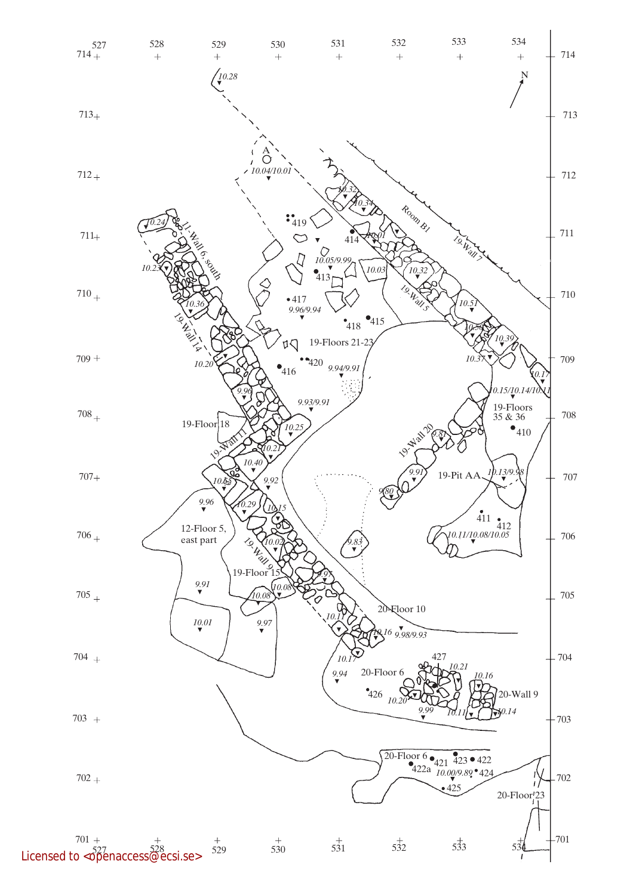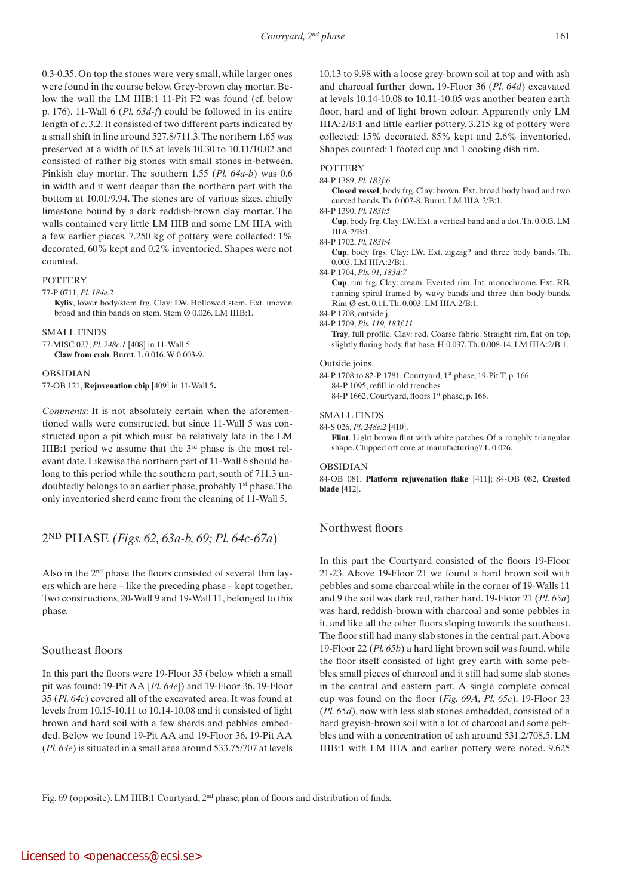0.3-0.35. On top the stones were very small, while larger ones were found in the course below. Grey-brown clay mortar. Below the wall the LM IIIB:1 11-Pit F2 was found (cf. below p. 176). 11-Wall 6 (*Pl. 63d-f*) could be followed in its entire length of *c*. 3.2. It consisted of two different parts indicated by a small shift in line around 527.8/711.3. The northern 1.65 was preserved at a width of 0.5 at levels 10.30 to 10.11/10.02 and consisted of rather big stones with small stones in-between. Pinkish clay mortar. The southern 1.55 (*Pl. 64a-b*) was 0.6 in width and it went deeper than the northern part with the bottom at 10.01/9.94. The stones are of various sizes, chiefly limestone bound by a dark reddish-brown clay mortar. The walls contained very little LM IIIB and some LM IIIA with a few earlier pieces. 7.250 kg of pottery were collected: 1% decorated, 60% kept and 0.2% inventoried. Shapes were not counted.

## **POTTERY**

77-P 0711, *Pl. 184e:2*

 **Kylix**, lower body/stem frg. Clay: LW. Hollowed stem. Ext. uneven broad and thin bands on stem. Stem Ø 0.026. LM IIIB:1.

#### SMALL FINDS

77-MISC 027, *Pl. 248c:1* [408] in 11-Wall 5 **Claw from crab**. Burnt. L 0.016. W 0.003-9.

#### OBSIDIAN

77-OB 121, **Rejuvenation chip** [409] in 11-Wall 5.

*Comments*: It is not absolutely certain when the aforementioned walls were constructed, but since 11-Wall 5 was constructed upon a pit which must be relatively late in the LM IIIB:1 period we assume that the 3rd phase is the most relevant date. Likewise the northern part of 11-Wall 6 should belong to this period while the southern part, south of 711.3 undoubtedly belongs to an earlier phase, probably 1st phase. The only inventoried sherd came from the cleaning of 11-Wall 5.

## 2ND PHASE *(Figs. 62, 63a-b, 69; Pl. 64c-67a*)

Also in the 2nd phase the floors consisted of several thin layers which are here – like the preceding phase – kept together. Two constructions, 20-Wall 9 and 19-Wall 11, belonged to this phase.

## Southeast floors

In this part the floors were 19-Floor 35 (below which a small pit was found: 19-Pit AA [*Pl. 64e*]) and 19-Floor 36. 19-Floor 35 (*Pl. 64c*) covered all of the excavated area. It was found at levels from 10.15-10.11 to 10.14-10.08 and it consisted of light brown and hard soil with a few sherds and pebbles embedded. Below we found 19-Pit AA and 19-Floor 36. 19-Pit AA (*Pl. 64e*) is situated in a small area around 533.75/707 at levels

10.13 to 9.98 with a loose grey-brown soil at top and with ash and charcoal further down. 19-Floor 36 (*Pl. 64d*) excavated at levels 10.14-10.08 to 10.11-10.05 was another beaten earth floor, hard and of light brown colour. Apparently only LM IIIA:2/B:1 and little earlier pottery. 3.215 kg of pottery were collected: 15% decorated, 85% kept and 2.6% inventoried. Shapes counted: 1 footed cup and 1 cooking dish rim.

## **POTTERY**

84-P 1389, *Pl. 183f:6*

 **Closed vessel**, body frg. Clay: brown. Ext. broad body band and two curved bands. Th. 0.007-8. Burnt. LM IIIA:2/B:1. 84-P 1390, *Pl. 183f:5*

 **Cup**, body frg. Clay: LW. Ext. a vertical band and a dot. Th. 0.003. LM IIIA:2/B:1.

84-P 1702, *Pl. 183f:4*

 **Cup**, body frgs. Clay: LW. Ext. zigzag? and three body bands. Th. 0.003. LM IIIA:2/B:1.

84-P 1704, *Pls. 91, 183d:7* 

 **Cup**, rim frg. Clay: cream. Everted rim. Int. monochrome. Ext. RB, running spiral framed by wavy bands and three thin body bands. Rim Ø est. 0.11. Th. 0.003. LM IIIA:2/B:1.

84-P 1708, outside j.

84-P 1709, *Pls. 119, 183f:11* **Tray**, full profile. Clay: red. Coarse fabric. Straight rim, flat on top, slightly flaring body, flat base. H 0.037. Th. 0.008-14. LM IIIA:2/B:1.

#### Outside joins

84-P 1708 to 82-P 1781, Courtyard, 1st phase, 19-Pit T, p. 166. 84-P 1095, refill in old trenches. 84-P 1662, Courtyard, floors 1<sup>st</sup> phase, p. 166.

SMALL FINDS

## 84-S 026, *Pl. 248e:2* [410].

 **Flint**. Light brown flint with white patches. Of a roughly triangular shape. Chipped off core at manufacturing? L 0.026.

#### OBSIDIAN

84-OB 081, **Platform rejuvenation flake** [411]; 84-OB 082, **Crested blade** [412].

## Northwest floors

In this part the Courtyard consisted of the floors 19-Floor 21-23. Above 19-Floor 21 we found a hard brown soil with pebbles and some charcoal while in the corner of 19-Walls 11 and 9 the soil was dark red, rather hard. 19-Floor 21 (*Pl. 65a*) was hard, reddish-brown with charcoal and some pebbles in it, and like all the other floors sloping towards the southeast. The floor still had many slab stones in the central part. Above 19-Floor 22 (*Pl. 65b*) a hard light brown soil was found, while the floor itself consisted of light grey earth with some pebbles, small pieces of charcoal and it still had some slab stones in the central and eastern part. A single complete conical cup was found on the floor (*Fig. 69A, Pl. 65c*). 19-Floor 23 (*Pl. 65d*), now with less slab stones embedded, consisted of a hard greyish-brown soil with a lot of charcoal and some pebbles and with a concentration of ash around 531.2/708.5. LM IIIB:1 with LM IIIA and earlier pottery were noted. 9.625

Fig. 69 (opposite). LM IIIB:1 Courtyard, 2nd phase, plan of floors and distribution of finds.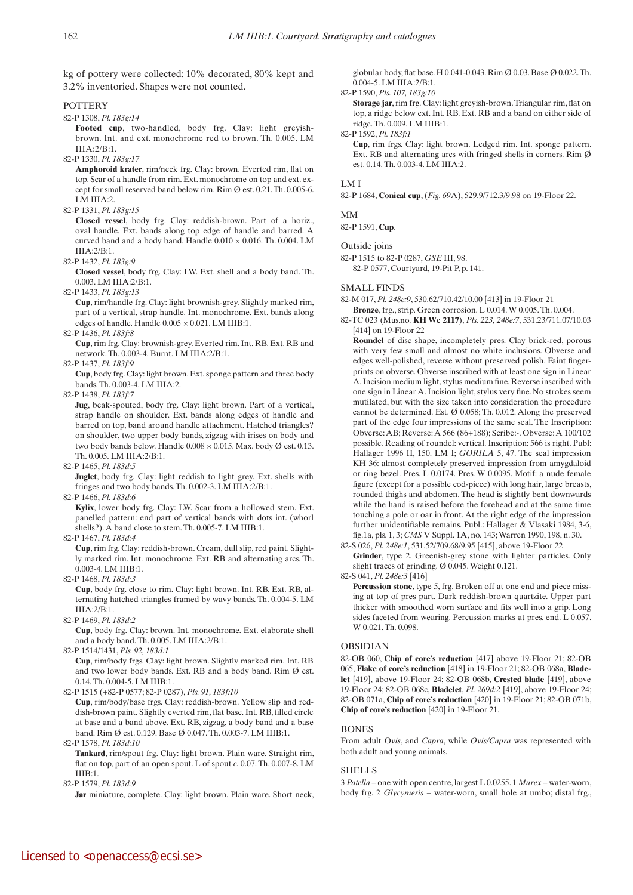kg of pottery were collected: 10% decorated, 80% kept and 3.2% inventoried. Shapes were not counted.

## **POTTERY**

82-P 1308, *Pl. 183g:14*

 **Footed cup**, two-handled, body frg. Clay: light greyishbrown. Int. and ext. monochrome red to brown. Th. 0.005. LM IIIA:2/B:1.

82-P 1330, *Pl. 183g:17*

 **Amphoroid krater**, rim/neck frg. Clay: brown. Everted rim, flat on top. Scar of a handle from rim. Ext. monochrome on top and ext. except for small reserved band below rim. Rim Ø est. 0.21. Th. 0.005-6. LM IIIA:2.

82-P 1331, *Pl. 183g:15*

 **Closed vessel**, body frg. Clay: reddish-brown. Part of a horiz., oval handle. Ext. bands along top edge of handle and barred. A curved band and a body band. Handle 0.010 × 0.016. Th. 0.004. LM IIIA:2/B:1.

82-P 1432, *Pl. 183g:9*

 **Closed vessel**, body frg. Clay: LW. Ext. shell and a body band. Th. 0.003. LM IIIA:2/B:1.

82-P 1433, *Pl. 183g:13*

 **Cup**, rim/handle frg. Clay: light brownish-grey. Slightly marked rim, part of a vertical, strap handle. Int. monochrome. Ext. bands along edges of handle. Handle  $0.005 \times 0.021$ . LM IIIB:1.

82-P 1436, *Pl. 183f:8*

 **Cup**, rim frg. Clay: brownish-grey. Everted rim. Int. RB. Ext. RB and network. Th. 0.003-4. Burnt. LM IIIA:2/B:1.

82-P 1437, *Pl. 183f:9*

 **Cup**, body frg. Clay: light brown. Ext. sponge pattern and three body bands. Th. 0.003-4. LM IIIA:2.

82-P 1438, *Pl. 183f:7*

 **Jug**, beak-spouted, body frg. Clay: light brown. Part of a vertical, strap handle on shoulder. Ext. bands along edges of handle and barred on top, band around handle attachment. Hatched triangles? on shoulder, two upper body bands, zigzag with irises on body and two body bands below. Handle  $0.008 \times 0.015$ . Max. body Ø est. 0.13. Th. 0.005. LM IIIA:2/B:1.

82-P 1465, *Pl. 183d:5*

 **Juglet**, body frg. Clay: light reddish to light grey. Ext. shells with fringes and two body bands. Th. 0.002-3. LM IIIA:2/B:1.

82-P 1466, *Pl. 183d:6*

**Kylix**, lower body frg. Clay: LW. Scar from a hollowed stem. Ext. panelled pattern: end part of vertical bands with dots int. (whorl shells?). A band close to stem. Th. 0.005-7. LM IIIB:1.

82-P 1467, *Pl. 183d:4*

 **Cup**, rim frg. Clay: reddish-brown. Cream, dull slip, red paint. Slightly marked rim. Int. monochrome. Ext. RB and alternating arcs. Th. 0.003-4. LM IIIB:1.

82-P 1468, *Pl. 183d:3*

 **Cup**, body frg. close to rim. Clay: light brown. Int. RB. Ext. RB, alternating hatched triangles framed by wavy bands. Th. 0.004-5. LM IIIA:2/B:1.

82-P 1469, *Pl. 183d:2*

 **Cup**, body frg. Clay: brown. Int. monochrome. Ext. elaborate shell and a body band. Th. 0.005. LM IIIA:2/B:1.

82-P 1514/1431, *Pls. 92, 183d:1*

 **Cup**, rim/body frgs. Clay: light brown. Slightly marked rim. Int. RB and two lower body bands. Ext. RB and a body band. Rim Ø est. 0.14. Th. 0.004-5. LM IIIB:1.

82-P 1515 (+82-P 0577; 82-P 0287), *Pls. 91, 183f:10*

 **Cup**, rim/body/base frgs. Clay: reddish-brown. Yellow slip and reddish-brown paint. Slightly everted rim, flat base. Int. RB, filled circle at base and a band above. Ext. RB, zigzag, a body band and a base band. Rim Ø est. 0.129. Base Ø 0.047. Th. 0.003-7. LM IIIB:1.

82-P 1578, *Pl. 183d:10*

 **Tankard**, rim/spout frg. Clay: light brown. Plain ware. Straight rim, flat on top, part of an open spout. L of spout *c.* 0.07. Th. 0.007-8. LM IIIB:1.

82-P 1579, *Pl. 183d:9*

Jar miniature, complete. Clay: light brown. Plain ware. Short neck,

globular body, flat base. H 0.041-0.043. Rim Ø 0.03. Base Ø 0.022. Th. 0.004-5. LM IIIA:2/B:1.

## 82-P 1590, *Pls. 107, 183g:10*

 **Storage jar**, rim frg. Clay: light greyish-brown. Triangular rim, flat on top, a ridge below ext. Int. RB. Ext. RB and a band on either side of ridge. Th. 0.009. LM IIIB:1.

82-P 1592, *Pl. 183f:1*

 **Cup**, rim frgs. Clay: light brown. Ledged rim. Int. sponge pattern. Ext. RB and alternating arcs with fringed shells in corners. Rim  $\emptyset$ est. 0.14. Th. 0.003-4. LM IIIA:2.

## LM I

82-P 1684, **Conical cup**, (*Fig. 69*A), 529.9/712.3/9.98 on 19-Floor 22.

## MM

82-P 1591, **Cup**.

## Outside joins

82-P 1515 to 82-P 0287, *GSE* III, 98.

82-P 0577, Courtyard, 19-Pit P, p. 141.

## SMALL FINDS

- 82-M 017, *Pl. 248e:9*, 530.62/710.42/10.00 [413] in 19-Floor 21
- **Bronze**, frg., strip. Green corrosion. L 0.014. W 0.005. Th. 0.004. 82-TC 023 (Mus.no. **KH Wc 2117**), *Pls. 223, 248e:7*, 531.23/711.07/10.03

[414] on 19-Floor 22  **Roundel** of disc shape, incompletely pres. Clay brick-red, porous with very few small and almost no white inclusions. Obverse and edges well-polished, reverse without preserved polish. Faint fingerprints on obverse. Obverse inscribed with at least one sign in Linear

A. Incision medium light, stylus medium fine. Reverse inscribed with one sign in Linear A. Incision light, stylus very fine. No strokes seem mutilated, but with the size taken into consideration the procedure cannot be determined. Est. Ø 0.058; Th. 0.012. Along the preserved part of the edge four impressions of the same seal. The Inscription: Obverse: AB; Reverse: A 566 (86+188); Scribe:-. Obverse: A 100/102 possible. Reading of roundel: vertical. Inscription: 566 is right. Publ: Hallager 1996 II, 150. LM I; *GORILA* 5, 47. The seal impression KH 36: almost completely preserved impression from amygdaloid or ring bezel. Pres. L 0.0174. Pres. W 0.0095. Motif: a nude female figure (except for a possible cod-piece) with long hair, large breasts, rounded thighs and abdomen. The head is slightly bent downwards while the hand is raised before the forehead and at the same time touching a pole or oar in front. At the right edge of the impression further unidentifiable remains. Publ.: Hallager & Vlasaki 1984, 3-6, fig.1a, pls. 1, 3; *CMS* V Suppl. 1A, no. 143; Warren 1990, 198, n. 30.

82-S 026, *Pl. 248e:1*, 531.52/709.68/9.95 [415], above 19-Floor 22 Grinder, type 2. Greenish-grey stone with lighter particles. Only slight traces of grinding. Ø 0.045. Weight 0.121.

82-S 041, *Pl. 248e:3* [416]

Percussion stone, type 5, frg. Broken off at one end and piece missing at top of pres part. Dark reddish-brown quartzite. Upper part thicker with smoothed worn surface and fits well into a grip. Long sides faceted from wearing. Percussion marks at pres. end. L 0.057. W 0.021. Th. 0.098.

## OBSIDIAN

82-OB 060, **Chip of core's reduction** [417] above 19-Floor 21; 82-OB 065, **Flake of core's reduction** [418] in 19-Floor 21; 82-OB 068a, **Bladelet** [419], above 19-Floor 24; 82-OB 068b, **Crested blade** [419], above 19-Floor 24; 82-OB 068c, **Bladelet**, *Pl. 269d:2* [419], above 19-Floor 24; 82-OB 071a, **Chip of core's reduction** [420] in 19-Floor 21; 82-OB 071b, **Chip of core's reduction** [420] in 19-Floor 21.

## BONES

From adult O*vis*, and *Capra*, while *Ovis/Capra* was represented with both adult and young animals.

## SHELLS

3 *Patella* – one with open centre, largest L 0.0255. 1 *Murex* – water-worn, body frg. 2 *Glycymeris* – water-worn, small hole at umbo; distal frg.,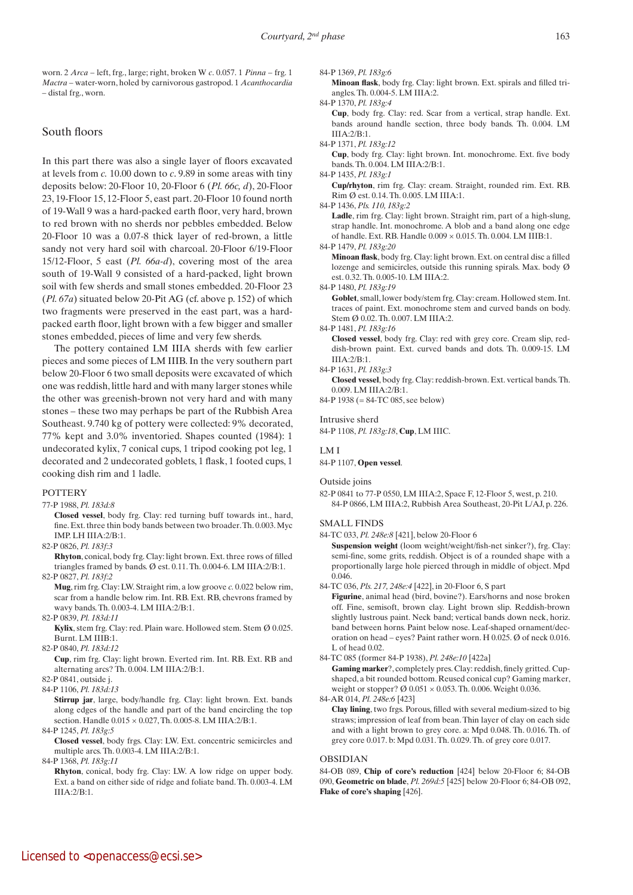worn. 2 *Arca* – left, frg., large; right, broken W *c*. 0.057. 1 *Pinna* – frg. 1 *Mactra* – water-worn, holed by carnivorous gastropod. 1 *Acanthocardia* – distal frg., worn.

## South floors

In this part there was also a single layer of floors excavated at levels from *c.* 10.00 down to *c*. 9.89 in some areas with tiny deposits below: 20-Floor 10, 20-Floor 6 (*Pl. 66c, d*), 20-Floor 23, 19-Floor 15, 12-Floor 5, east part. 20-Floor 10 found north of 19-Wall 9 was a hard-packed earth floor, very hard, brown to red brown with no sherds nor pebbles embedded. Below 20-Floor 10 was a 0.07-8 thick layer of red-brown, a little sandy not very hard soil with charcoal. 20-Floor 6/19-Floor 15/12-Floor, 5 east (*Pl. 66a-d*), covering most of the area south of 19-Wall 9 consisted of a hard-packed, light brown soil with few sherds and small stones embedded. 20-Floor 23 (*Pl. 67a*) situated below 20-Pit AG (cf. above p. 152) of which two fragments were preserved in the east part, was a hardpacked earth floor, light brown with a few bigger and smaller stones embedded, pieces of lime and very few sherds.

The pottery contained LM IIIA sherds with few earlier pieces and some pieces of LM IIIB. In the very southern part below 20-Floor 6 two small deposits were excavated of which one was reddish, little hard and with many larger stones while the other was greenish-brown not very hard and with many stones – these two may perhaps be part of the Rubbish Area Southeast. 9.740 kg of pottery were collected: 9% decorated, 77% kept and 3.0% inventoried. Shapes counted (1984): 1 undecorated kylix, 7 conical cups, 1 tripod cooking pot leg, 1 decorated and 2 undecorated goblets, 1 flask, 1 footed cups, 1 cooking dish rim and 1 ladle.

## **POTTERY**

## 77-P 1988, *Pl. 183d:8*

 **Closed vessel**, body frg. Clay: red turning buff towards int., hard, fine. Ext. three thin body bands between two broader. Th. 0.003. Myc IMP. LH IIIA:2/B:1.

82-P 0826, *Pl. 183f:3*

 **Rhyton**, conical, body frg. Clay: light brown. Ext. three rows of filled triangles framed by bands.  $\varnothing$  est. 0.11. Th. 0.004-6. LM IIIA:2/B:1. 82-P 0827, *Pl. 183f:2*

 **Mug**, rim frg. Clay: LW. Straight rim, a low groove *c.* 0.022 below rim, scar from a handle below rim. Int. RB. Ext. RB, chevrons framed by wavy bands. Th. 0.003-4. LM IIIA:2/B:1.

82-P 0839, *Pl. 183d:11*

**Kylix**, stem frg. Clay: red. Plain ware. Hollowed stem. Stem Ø 0.025. Burnt. LM IIIB:1.

82-P 0840, *Pl. 183d:12*

 **Cup**, rim frg. Clay: light brown. Everted rim. Int. RB. Ext. RB and alternating arcs? Th. 0.004. LM IIIA:2/B:1.

- 82-P 0841, outside j.
- 84-P 1106, *Pl. 183d:13*

 **Stirrup jar**, large, body/handle frg. Clay: light brown. Ext. bands along edges of the handle and part of the band encircling the top section. Handle 0.015 × 0.027, Th. 0.005-8. LM IIIA:2/B:1.

84-P 1245, *Pl. 183g:5*

 **Closed vessel**, body frgs. Clay: LW. Ext. concentric semicircles and multiple arcs. Th. 0.003-4. LM IIIA:2/B:1.

84-P 1368, *Pl. 183g:11*

 **Rhyton**, conical, body frg. Clay: LW. A low ridge on upper body. Ext. a band on either side of ridge and foliate band. Th. 0.003-4. LM IIIA:2/B:1.

84-P 1369, *Pl. 183g:6*

 **Minoan flask**, body frg. Clay: light brown. Ext. spirals and filled triangles. Th. 0.004-5. LM IIIA:2.

```
84-P 1370, Pl. 183g:4
```
 **Cup**, body frg. Clay: red. Scar from a vertical, strap handle. Ext. bands around handle section, three body bands. Th. 0.004. LM IIIA:2/B:1.

84-P 1371, *Pl. 183g:12*

 **Cup**, body frg. Clay: light brown. Int. monochrome. Ext. five body bands. Th. 0.004. LM IIIA:2/B:1.

84-P 1435, *Pl. 183g:1*

 **Cup/rhyton**, rim frg. Clay: cream. Straight, rounded rim. Ext. RB. Rim Ø est. 0.14. Th. 0.005. LM IIIA:1.

84-P 1436, *Pls. 110, 183g:2*

Ladle, rim frg. Clay: light brown. Straight rim, part of a high-slung, strap handle. Int. monochrome. A blob and a band along one edge of handle. Ext. RB. Handle 0.009 × 0.015. Th. 0.004. LM IIIB:1.

84-P 1479, *Pl. 183g:20*

 **Minoan flask**, body frg. Clay: light brown. Ext. on central disc a filled lozenge and semicircles, outside this running spirals. Max. body Ø est. 0.32. Th. 0.005-10. LM IIIA:2.

84-P 1480, *Pl. 183g:19*

Goblet, small, lower body/stem frg. Clay: cream. Hollowed stem. Int. traces of paint. Ext. monochrome stem and curved bands on body. Stem Ø 0.02. Th. 0.007. LM IIIA:2.

84-P 1481, *Pl. 183g:16*

 **Closed vessel**, body frg. Clay: red with grey core. Cream slip, reddish-brown paint. Ext. curved bands and dots. Th. 0.009-15. LM  $IIIA:2/B:1.$ 

 **Closed vessel**, body frg. Clay: reddish-brown. Ext. vertical bands. Th. 0.009. LM IIIA:2/B:1.

84-P 1938 (= 84-TC 085, see below)

#### Intrusive sherd

84-P 1108, *Pl. 183g:18*, **Cup**, LM IIIC.

## LM I

84-P 1107, **Open vessel**.

#### Outside joins

82-P 0841 to 77-P 0550, LM IIIA:2, Space F, 12-Floor 5, west, p. 210. 84-P 0866, LM IIIA:2, Rubbish Area Southeast, 20-Pit L/AJ, p. 226.

#### SMALL FINDS

84-TC 033, *Pl. 248e:8* [421], below 20-Floor 6

**Suspension weight** (loom weight/weight/fish-net sinker?), frg. Clay: semi-fine, some grits, reddish. Object is of a rounded shape with a proportionally large hole pierced through in middle of object. Mpd 0.046.

84-TC 036, *Pls. 217, 248e:4* [422], in 20-Floor 6, S part

 **Figurine**, animal head (bird, bovine?). Ears/horns and nose broken off. Fine, semisoft, brown clay. Light brown slip. Reddish-brown slightly lustrous paint. Neck band; vertical bands down neck, horiz. band between horns. Paint below nose. Leaf-shaped ornament/decoration on head – eyes? Paint rather worn. H 0.025. Ø of neck 0.016. L of head 0.02.

84-TC 085 (former 84-P 1938), *Pl. 248e:10* [422a]

 **Gaming marker**?, completely pres. Clay: reddish, finely gritted. Cupshaped, a bit rounded bottom. Reused conical cup? Gaming marker, weight or stopper?  $\varnothing$  0.051  $\times$  0.053. Th. 0.006. Weight 0.036.

84-AR 014, *Pl. 248e:6* [423]

 **Clay lining**, two frgs. Porous, filled with several medium-sized to big straws; impression of leaf from bean. Thin layer of clay on each side and with a light brown to grey core. a: Mpd 0.048. Th. 0.016. Th. of grey core 0.017. b: Mpd 0.031. Th. 0.029. Th. of grey core 0.017.

#### OBSIDIAN

84-OB 089, **Chip of core's reduction** [424] below 20-Floor 6; 84-OB 090, **Geometric on blade**, *Pl. 269d:5* [425] below 20-Floor 6; 84-OB 092, **Flake of core's shaping** [426].

<sup>84-</sup>P 1631, *Pl. 183g:3*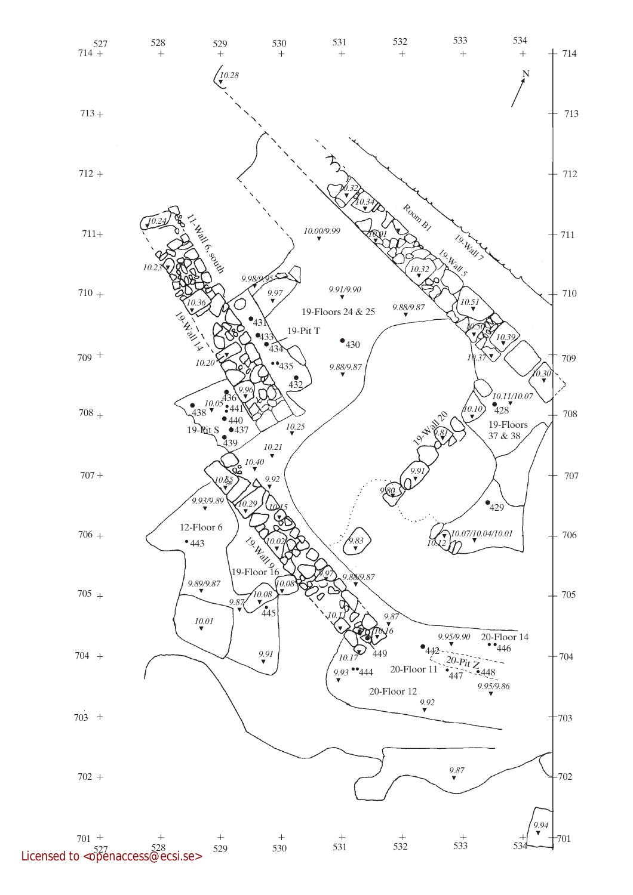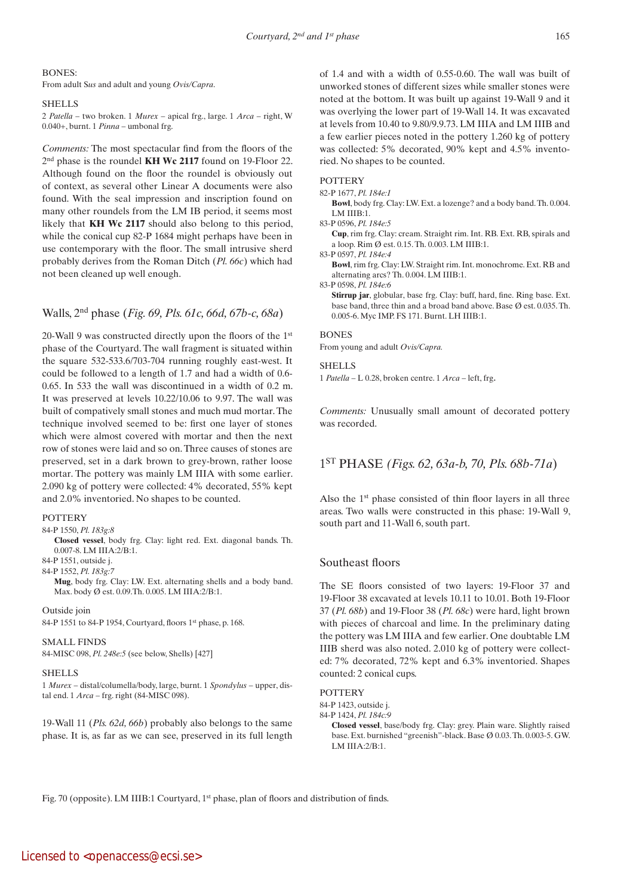#### BONES:

From adult S*us* and adult and young *Ovis/Capra*.

### **SHELLS**

2 *Patella* – two broken. 1 *Murex* – apical frg., large. 1 *Arca* – right, W 0.040+, burnt. 1 *Pinna* – umbonal frg.

*Comments:* The most spectacular find from the floors of the 2nd phase is the roundel **KH Wc 2117** found on 19-Floor 22. Although found on the floor the roundel is obviously out of context, as several other Linear A documents were also found. With the seal impression and inscription found on many other roundels from the LM IB period, it seems most likely that **KH Wc 2117** should also belong to this period, while the conical cup 82-P 1684 might perhaps have been in use contemporary with the floor. The small intrusive sherd probably derives from the Roman Ditch (*Pl. 66c*) which had not been cleaned up well enough.

## Walls, 2nd phase (*Fig. 69, Pls. 61c, 66d, 67b-c, 68a*)

20-Wall 9 was constructed directly upon the floors of the 1st phase of the Courtyard. The wall fragment is situated within the square 532-533.6/703-704 running roughly east-west. It could be followed to a length of 1.7 and had a width of 0.6- 0.65. In 533 the wall was discontinued in a width of 0.2 m. It was preserved at levels 10.22/10.06 to 9.97. The wall was built of compatively small stones and much mud mortar. The technique involved seemed to be: first one layer of stones which were almost covered with mortar and then the next row of stones were laid and so on. Three causes of stones are preserved, set in a dark brown to grey-brown, rather loose mortar. The pottery was mainly LM IIIA with some earlier. 2.090 kg of pottery were collected: 4% decorated, 55% kept and 2.0% inventoried. No shapes to be counted.

#### **POTTERY**

#### 84-P 1550, *Pl. 183g:8*

 **Closed vessel**, body frg. Clay: light red. Ext. diagonal bands. Th. 0.007-8. LM IIIA:2/B:1.

```
84-P 1551, outside j.
```

```
84-P 1552, Pl. 183g:7
```
 **Mug**, body frg. Clay: LW. Ext. alternating shells and a body band. Max. body Ø est. 0.09.Th. 0.005. LM IIIA:2/B:1.

## Outside join

84-P 1551 to 84-P 1954, Courtyard, floors 1st phase, p. 168.

## SMALL FINDS

84-MISC 098, *Pl. 248e:5* (see below, Shells) [427]

#### **SHELLS**

1 *Murex* – distal/columella/body, large, burnt. 1 *Spondylus* – upper, distal end. 1 *Arca* – frg. right (84-MISC 098).

19-Wall 11 (*Pls. 62d, 66b*) probably also belongs to the same phase. It is, as far as we can see, preserved in its full length of 1.4 and with a width of 0.55-0.60. The wall was built of unworked stones of different sizes while smaller stones were noted at the bottom. It was built up against 19-Wall 9 and it was overlying the lower part of 19-Wall 14. It was excavated at levels from 10.40 to 9.80/9.9.73. LM IIIA and LM IIIB and a few earlier pieces noted in the pottery 1.260 kg of pottery was collected: 5% decorated, 90% kept and 4.5% inventoried. No shapes to be counted.

## **POTTERY**

82-P 1677, *Pl. 184e:1*

 **Bowl**, body frg. Clay: LW. Ext. a lozenge? and a body band. Th. 0.004. LM IIIB:1.

83-P 0596, *Pl. 184e:5*

 **Cup**, rim frg. Clay: cream. Straight rim. Int. RB. Ext. RB, spirals and a loop. Rim Ø est. 0.15. Th. 0.003. LM IIIB:1. 83-P 0597, *Pl. 184e:4*

 **Bowl**, rim frg. Clay: LW. Straight rim. Int. monochrome. Ext. RB and alternating arcs? Th. 0.004. LM IIIB:1.

83-P 0598, *Pl. 184e:6*

**Stirrup jar**, globular, base frg. Clay: buff, hard, fine. Ring base. Ext. base band, three thin and a broad band above. Base Ø est. 0.035. Th. 0.005-6. Myc IMP. FS 171. Burnt. LH IIIB:1.

#### **BONES**

From young and adult *Ovis/Capra.*

#### **SHELLS**

1 *Patella* – L 0.28, broken centre. 1 *Arca* – left, frg.

*Comments:* Unusually small amount of decorated pottery was recorded.

## 1ST PHASE *(Figs. 62, 63a-b, 70, Pls. 68b-71a*)

Also the 1st phase consisted of thin floor layers in all three areas. Two walls were constructed in this phase: 19-Wall 9, south part and 11-Wall 6, south part.

## Southeast floors

The SE floors consisted of two layers: 19-Floor 37 and 19-Floor 38 excavated at levels 10.11 to 10.01. Both 19-Floor 37 (*Pl. 68b*) and 19-Floor 38 (*Pl. 68c*) were hard, light brown with pieces of charcoal and lime. In the preliminary dating the pottery was LM IIIA and few earlier. One doubtable LM IIIB sherd was also noted. 2.010 kg of pottery were collected: 7% decorated, 72% kept and 6.3% inventoried. Shapes counted: 2 conical cups.

## **POTTERY**

84-P 1423, outside j.

84-P 1424, *Pl. 184c:9*

 **Closed vessel**, base/body frg. Clay: grey. Plain ware. Slightly raised base. Ext. burnished "greenish"-black. Base Ø 0.03. Th. 0.003-5. GW. LM IIIA:2/B:1.

Fig. 70 (opposite). LM IIIB:1 Courtyard, 1<sup>st</sup> phase, plan of floors and distribution of finds.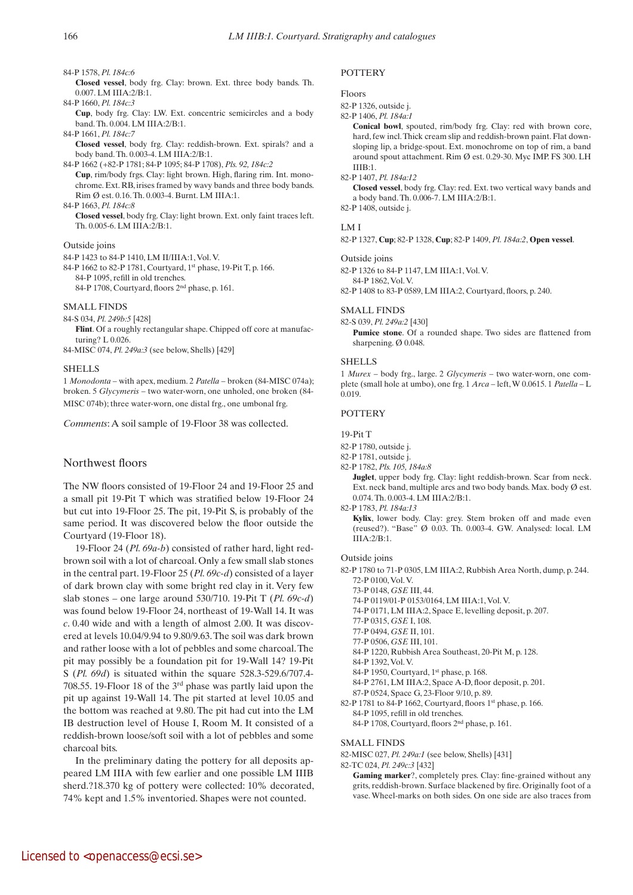84-P 1578, *Pl. 184c:6*  **Closed vessel**, body frg. Clay: brown. Ext. three body bands. Th. 0.007. LM IIIA:2/B:1.

84-P 1660, *Pl. 184c:3*  **Cup**, body frg. Clay: LW. Ext. concentric semicircles and a body band. Th. 0.004. LM IIIA:2/B:1.

- 84-P 1661, *Pl. 184c:7*  **Closed vessel**, body frg. Clay: reddish-brown. Ext. spirals? and a body band. Th. 0.003-4. LM IIIA:2/B:1.
- 84-P 1662 (+82-P 1781; 84-P 1095; 84-P 1708), *Pls. 92, 184c:2*   **Cup**, rim/body frgs. Clay: light brown. High, flaring rim. Int. monochrome. Ext. RB, irises framed by wavy bands and three body bands. Rim Ø est. 0.16. Th. 0.003-4. Burnt. LM IIIA:1.

84-P 1663, *Pl. 184c:8*

 **Closed vessel**, body frg. Clay: light brown. Ext. only faint traces left. Th. 0.005-6. LM IIIA:2/B:1.

#### Outside joins

- 84-P 1423 to 84-P 1410, LM II/IIIA:1, Vol. V.
- 84-P 1662 to 82-P 1781, Courtyard, 1st phase, 19-Pit T, p. 166. 84-P 1095, refill in old trenches. 84-P 1708, Courtyard, floors 2nd phase, p. 161.

### SMALL FINDS

84-S 034, *Pl. 249b:5* [428]

 **Flint**. Of a roughly rectangular shape. Chipped off core at manufacturing? L 0.026.

84-MISC 074, *Pl. 249a:3* (see below, Shells) [429]

#### **SHELLS**

1 *Monodonta* – with apex, medium. 2 *Patella* – broken (84-MISC 074a); broken. 5 *Glycymeris* – two water-worn, one unholed, one broken (84- MISC 074b); three water-worn, one distal frg., one umbonal frg.

*Comments*: A soil sample of 19-Floor 38 was collected.

## Northwest floors

The NW floors consisted of 19-Floor 24 and 19-Floor 25 and a small pit 19-Pit T which was stratified below 19-Floor 24 but cut into 19-Floor 25. The pit, 19-Pit S, is probably of the same period. It was discovered below the floor outside the Courtyard (19-Floor 18).

19-Floor 24 (*Pl. 69a-b*) consisted of rather hard, light redbrown soil with a lot of charcoal. Only a few small slab stones in the central part. 19-Floor 25 (*Pl. 69c-d*) consisted of a layer of dark brown clay with some bright red clay in it. Very few slab stones – one large around 530/710. 19-Pit T (*Pl. 69c-d*) was found below 19-Floor 24, northeast of 19-Wall 14. It was *c*. 0.40 wide and with a length of almost 2.00. It was discovered at levels 10.04/9.94 to 9.80/9.63. The soil was dark brown and rather loose with a lot of pebbles and some charcoal. The pit may possibly be a foundation pit for 19-Wall 14? 19-Pit S (*Pl. 69d*) is situated within the square 528.3-529.6/707.4- 708.55. 19-Floor 18 of the 3rd phase was partly laid upon the pit up against 19-Wall 14. The pit started at level 10.05 and the bottom was reached at 9.80. The pit had cut into the LM IB destruction level of House I, Room M. It consisted of a reddish-brown loose/soft soil with a lot of pebbles and some charcoal bits.

In the preliminary dating the pottery for all deposits appeared LM IIIA with few earlier and one possible LM IIIB sherd.?18.370 kg of pottery were collected: 10% decorated, 74% kept and 1.5% inventoried. Shapes were not counted.

## **POTTERY**

#### Floors

82-P 1326, outside j.

82-P 1406, *Pl. 184a:1*

 **Conical bowl**, spouted, rim/body frg. Clay: red with brown core, hard, few incl. Thick cream slip and reddish-brown paint. Flat downsloping lip, a bridge-spout. Ext. monochrome on top of rim, a band around spout attachment. Rim Ø est. 0.29-30. Myc IMP. FS 300. LH IIIB:1.

82-P 1407, *Pl. 184a:12*

 **Closed vessel**, body frg. Clay: red. Ext. two vertical wavy bands and a body band. Th. 0.006-7. LM IIIA:2/B:1.

82-P 1408, outside j.

## LM I

82-P 1327, **Cup**; 82-P 1328, **Cup**; 82-P 1409, *Pl. 184a:2*, **Open vessel**.

Outside joins

82-P 1326 to 84-P 1147, LM IIIA:1, Vol. V.

84-P 1862, Vol. V.

82-P 1408 to 83-P 0589, LM IIIA:2, Courtyard, floors, p. 240.

SMALL FINDS

82-S 039, *Pl. 249a:2* [430]

 **Pumice stone**. Of a rounded shape. Two sides are flattened from sharpening. Ø 0.048.

#### **SHELLS**

1 *Murex* – body frg., large. 2 *Glycymeris* – two water-worn, one complete (small hole at umbo), one frg. 1 *Arca* – left, W 0.0615. 1 *Patella* – L 0.019.

## POTTERY

19-Pit T

- 82-P 1780, outside j.
- 82-P 1781, outside j.
- 82-P 1782, *Pls. 105, 184a:8*

**Juglet**, upper body frg. Clay: light reddish-brown. Scar from neck. Ext. neck band, multiple arcs and two body bands. Max. body  $\emptyset$  est. 0.074. Th. 0.003-4. LM IIIA:2/B:1.

82-P 1783, *Pl. 184a:13*

 **Kylix**, lower body. Clay: grey. Stem broken off and made even (reused?). "Base" Ø 0.03. Th. 0.003-4. GW. Analysed: local. LM IIIA:2/B:1.

Outside joins

82-P 1780 to 71-P 0305, LM IIIA:2, Rubbish Area North, dump, p. 244.

- 72-P 0100, Vol. V. 73-P 0148, *GSE* III, 44.
- 74-P 0119/01-P 0153/0164, LM IIIA:1, Vol. V.
- 74-P 0171, LM IIIA:2, Space E, levelling deposit, p. 207.
- 77-P 0315, *GSE* I, 108.
- 77-P 0494, *GSE* II, 101.
- 77-P 0506, *GSE* III, 101.
- 84-P 1220, Rubbish Area Southeast, 20-Pit M, p. 128.
- 84-P 1392, Vol. V.
- 84-P 1950, Courtyard, 1<sup>st</sup> phase, p. 168.
- 84-P 2761, LM IIIA:2, Space A-D, floor deposit, p. 201. 87-P 0524, Space G, 23-Floor 9/10, p. 89.
- 82-P 1781 to 84-P 1662, Courtyard, floors 1<sup>st</sup> phase, p. 166.
- 84-P 1095, refill in old trenches. 84-P 1708, Courtyard, floors 2nd phase, p. 161.

#### SMALL FINDS

82-MISC 027, *Pl. 249a:1* (see below, Shells) [431]

82-TC 024, *Pl. 249c:3* [432]

**Gaming marker**?, completely pres. Clay: fine-grained without any grits, reddish-brown. Surface blackened by fire. Originally foot of a vase. Wheel-marks on both sides. On one side are also traces from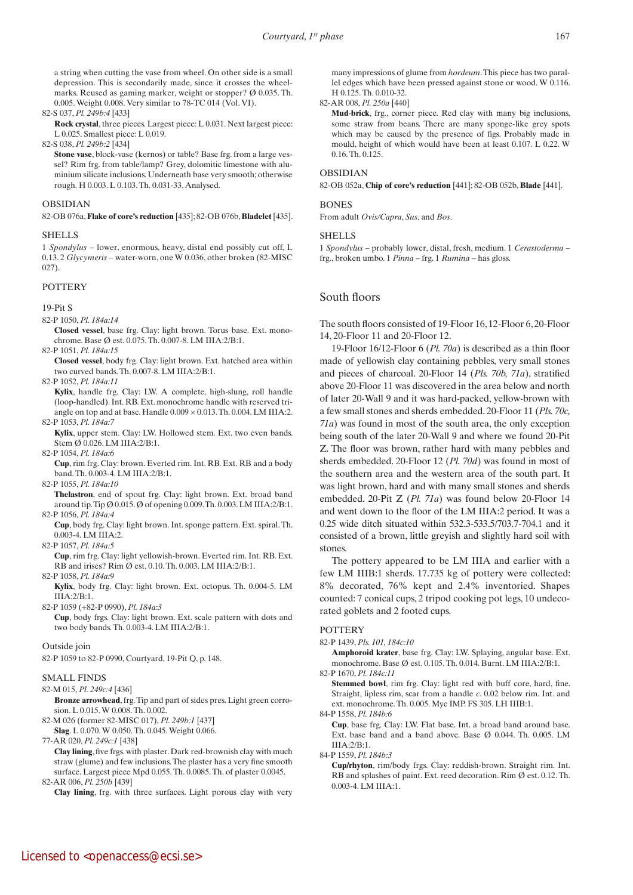a string when cutting the vase from wheel. On other side is a small depression. This is secondarily made, since it crosses the wheelmarks. Reused as gaming marker, weight or stopper? Ø 0.035. Th. 0.005. Weight 0.008. Very similar to 78-TC 014 (Vol. VI).

82-S 037, *Pl. 249b:4* [433]

 **Rock crystal**, three pieces. Largest piece: L 0.031. Next largest piece: L 0.025. Smallest piece: L 0.019.

82-S 038, *Pl. 249b:2* [434]

**Stone vase**, block-vase (kernos) or table? Base frg. from a large vessel? Rim frg. from table/lamp? Grey, dolomitic limestone with aluminium silicate inclusions. Underneath base very smooth; otherwise rough. H 0.003. L 0.103. Th. 0.031-33. Analysed.

#### OBSIDIAN

82-OB 076a, **Flake of core's reduction** [435]; 82-OB 076b, **Bladelet** [435].

#### **SHELLS**

1 *Spondylus* – lower, enormous, heavy, distal end possibly cut off, L 0.13. 2 *Glycymeris* – water-worn, one W 0.036, other broken (82-MISC 027).

## **POTTERY**

19-Pit S

82-P 1050, *Pl. 184a:14*

 **Closed vessel**, base frg. Clay: light brown. Torus base. Ext. monochrome. Base Ø est. 0.075. Th. 0.007-8. LM IIIA:2/B:1.

82-P 1051, *Pl. 184a:15*

 **Closed vessel**, body frg. Clay: light brown. Ext. hatched area within two curved bands. Th. 0.007-8. LM IIIA:2/B:1.

82-P 1052, *Pl. 184a:11*

 **Kylix**, handle frg. Clay: LW. A complete, high-slung, roll handle (loop-handled). Int. RB. Ext. monochrome handle with reserved triangle on top and at base. Handle 0.009 × 0.013. Th. 0.004. LM IIIA:2. 82-P 1053, *Pl. 184a:7*

Kylix, upper stem. Clay: LW. Hollowed stem. Ext. two even bands. Stem Ø 0.026. LM IIIA:2/B:1.

82-P 1054, *Pl. 184a:6*

 **Cup**, rim frg. Clay: brown. Everted rim. Int. RB. Ext. RB and a body band. Th. 0.003-4. LM IIIA:2/B:1.

82-P 1055, *Pl. 184a:10*

 **Thelastron**, end of spout frg. Clay: light brown. Ext. broad band around tip. Tip Ø 0.015. Ø of opening 0.009. Th. 0.003. LM IIIA:2/B:1. 82-P 1056, *Pl. 184a:4*

 **Cup**, body frg. Clay: light brown. Int. sponge pattern. Ext. spiral. Th. 0.003-4. LM IIIA:2.

82-P 1057, *Pl. 184a:5*

 **Cup**, rim frg. Clay: light yellowish-brown. Everted rim. Int. RB. Ext. RB and irises? Rim Ø est. 0.10. Th. 0.003. LM IIIA:2/B:1.

82-P 1058, *Pl. 184a:9*

 **Kylix**, body frg. Clay: light brown. Ext. octopus. Th. 0.004-5. LM  $IIIA:2/B:1$ .

82-P 1059 (+82-P 0990), *Pl. 184a:3*

 **Cup**, body frgs. Clay: light brown. Ext. scale pattern with dots and two body bands. Th. 0.003-4. LM IIIA:2/B:1.

## Outside join

82-P 1059 to 82-P 0990, Courtyard, 19-Pit Q, p. 148.

### SMALL FINDS

82-M 015, *Pl. 249c:4* [436]

 **Bronze arrowhead**, frg. Tip and part of sides pres. Light green corrosion. L 0.015. W 0.008. Th. 0.002.

82-M 026 (former 82-MISC 017), *Pl. 249b:1* [437]

 **Slag**. L 0.070. W 0.050. Th. 0.045. Weight 0.066.

77-AR 020, *Pl. 249c:1* [438]

 **Clay lining**, five frgs. with plaster. Dark red-brownish clay with much straw (glume) and few inclusions. The plaster has a very fine smooth surface. Largest piece Mpd 0.055. Th. 0.0085. Th. of plaster 0.0045. 82-AR 006, *Pl. 250b* [439]

 **Clay lining**, frg. with three surfaces. Light porous clay with very

many impressions of glume from *hordeum*. This piece has two parallel edges which have been pressed against stone or wood. W 0.116. H 0.125. Th. 0.010-32.

82-AR 008, *Pl. 250a* [440]

 **Mud**-**brick**, frg., corner piece. Red clay with many big inclusions, some straw from beans. There are many sponge-like grey spots which may be caused by the presence of figs. Probably made in mould, height of which would have been at least 0.107. L 0.22. W 0.16. Th. 0.125.

#### OBSIDIAN

82-OB 052a, **Chip of core's reduction** [441]; 82-OB 052b, **Blade** [441].

#### BONES

From adult *Ovis/Capra*, *Sus*, and *Bos*.

## SHELLS

1 *Spondylus* – probably lower, distal, fresh, medium. 1 *Cerastoderma* – frg., broken umbo. 1 *Pinna* – frg. 1 *Rumina* – has gloss.

## South floors

The south floors consisted of 19-Floor 16, 12-Floor 6, 20-Floor 14, 20-Floor 11 and 20-Floor 12.

19-Floor 16/12-Floor 6 (*Pl. 70a*) is described as a thin floor made of yellowish clay containing pebbles, very small stones and pieces of charcoal. 20-Floor 14 (*Pls. 70b, 71a*), stratified above 20-Floor 11 was discovered in the area below and north of later 20-Wall 9 and it was hard-packed, yellow-brown with a few small stones and sherds embedded. 20-Floor 11 (*Pls. 70c, 71a*) was found in most of the south area, the only exception being south of the later 20-Wall 9 and where we found 20-Pit Z. The floor was brown, rather hard with many pebbles and sherds embedded. 20-Floor 12 (*Pl. 70d*) was found in most of the southern area and the western area of the south part. It was light brown, hard and with many small stones and sherds embedded. 20-Pit Z (*Pl. 71a*) was found below 20-Floor 14 and went down to the floor of the LM IIIA:2 period. It was a 0.25 wide ditch situated within 532.3-533.5/703.7-704.1 and it consisted of a brown, little greyish and slightly hard soil with stones.

The pottery appeared to be LM IIIA and earlier with a few LM IIIB:1 sherds. 17.735 kg of pottery were collected: 8% decorated, 76% kept and 2.4% inventoried. Shapes counted: 7 conical cups, 2 tripod cooking pot legs, 10 undecorated goblets and 2 footed cups.

#### **POTTERY**

82-P 1439, *Pls. 101, 184c:10*

 **Amphoroid krater**, base frg. Clay: LW. Splaying, angular base. Ext. monochrome. Base Ø est. 0.105. Th. 0.014. Burnt. LM IIIA:2/B:1.

82-P 1670, *Pl. 184c:11*

**Stemmed bowl**, rim frg. Clay: light red with buff core, hard, fine. Straight, lipless rim, scar from a handle *c*. 0.02 below rim. Int. and ext. monochrome. Th. 0.005. Myc IMP. FS 305. LH IIIB:1.

84-P 1558, *Pl. 184b:6*

 **Cup**, base frg. Clay: LW. Flat base. Int. a broad band around base. Ext. base band and a band above. Base Ø 0.044. Th. 0.005. LM IIIA:2/B:1.

84-P 1559, *Pl. 184b:3*

 **Cup/rhyton**, rim/body frgs. Clay: reddish-brown. Straight rim. Int. RB and splashes of paint. Ext. reed decoration. Rim Ø est. 0.12. Th. 0.003-4. LM IIIA:1.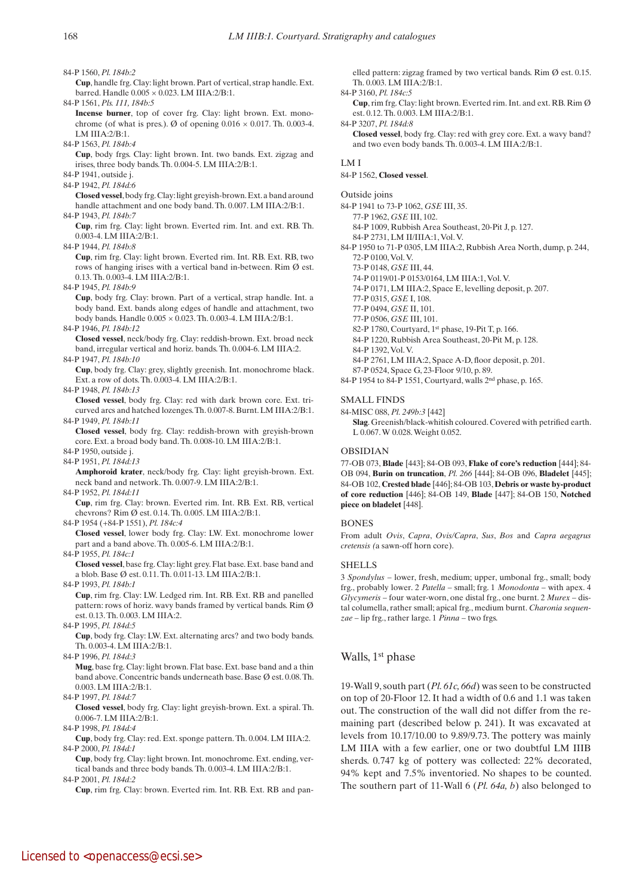```
84-P 1560, Pl. 184b:2
```
 **Cup**, handle frg. Clay: light brown. Part of vertical, strap handle. Ext. barred. Handle 0.005 × 0.023. LM IIIA:2/B:1.

84-P 1561, *Pls. 111, 184b:5* 

- **Incense burner**, top of cover frg. Clay: light brown. Ext. monochrome (of what is pres.). Ø of opening  $0.016 \times 0.017$ . Th. 0.003-4. LM IIIA:2/B:1.
- 84-P 1563, *Pl. 184b:4*  **Cup**, body frgs. Clay: light brown. Int. two bands. Ext. zigzag and
	- irises, three body bands. Th. 0.004-5. LM IIIA:2/B:1.
- 84-P 1941, outside j.
- 84-P 1942, *Pl. 184d:6*

 **Closed vessel**, body frg. Clay: light greyish-brown. Ext. a band around handle attachment and one body band. Th. 0.007. LM IIIA:2/B:1. 84-P 1943, *Pl. 184b:7*

 **Cup**, rim frg. Clay: light brown. Everted rim. Int. and ext. RB. Th. 0.003-4. LM IIIA:2/B:1.

84-P 1944, *Pl. 184b:8*

 **Cup**, rim frg. Clay: light brown. Everted rim. Int. RB. Ext. RB, two rows of hanging irises with a vertical band in-between. Rim Ø est. 0.13. Th. 0.003-4. LM IIIA:2/B:1.

84-P 1945, *Pl. 184b:9*

 **Cup**, body frg. Clay: brown. Part of a vertical, strap handle. Int. a body band. Ext. bands along edges of handle and attachment, two body bands. Handle 0.005 × 0.023. Th. 0.003-4. LM IIIA:2/B:1.

84-P 1946, *Pl. 184b:12*

 **Closed vessel**, neck/body frg. Clay: reddish-brown. Ext. broad neck band, irregular vertical and horiz. bands. Th. 0.004-6. LM IIIA:2.

84-P 1947, *Pl. 184b:10*

 **Cup**, body frg. Clay: grey, slightly greenish. Int. monochrome black. Ext. a row of dots. Th. 0.003-4. LM IIIA:2/B:1.

84-P 1948, *Pl. 184b:13*

 **Closed vessel**, body frg. Clay: red with dark brown core. Ext. tricurved arcs and hatched lozenges. Th. 0.007-8. Burnt. LM IIIA:2/B:1. 84-P 1949, *Pl. 184b:11*

 **Closed vessel**, body frg. Clay: reddish-brown with greyish-brown core. Ext. a broad body band. Th. 0.008-10. LM IIIA:2/B:1.

- 84-P 1950, outside j.
- 84-P 1951, *Pl. 184d:13*

 **Amphoroid krater**, neck/body frg. Clay: light greyish-brown. Ext. neck band and network. Th. 0.007-9. LM IIIA:2/B:1.

84-P 1952, *Pl. 184d:11*

 **Cup**, rim frg. Clay: brown. Everted rim. Int. RB. Ext. RB, vertical chevrons? Rim Ø est. 0.14. Th. 0.005. LM IIIA:2/B:1.

84-P 1954 (+84-P 1551), *Pl. 184c:4*

 **Closed vessel**, lower body frg. Clay: LW. Ext. monochrome lower part and a band above. Th. 0.005-6. LM IIIA:2/B:1.

84-P 1955, *Pl. 184c:1*  **Closed vessel**, base frg. Clay: light grey. Flat base. Ext. base band and

a blob. Base Ø est. 0.11. Th. 0.011-13. LM IIIA:2/B:1.

84-P 1993, *Pl. 184b:1*

 **Cup**, rim frg. Clay: LW. Ledged rim. Int. RB. Ext. RB and panelled pattern: rows of horiz. wavy bands framed by vertical bands. Rim Ø est. 0.13. Th. 0.003. LM IIIA:2.

84-P 1995, *Pl. 184d:5*

 **Cup**, body frg. Clay: LW. Ext. alternating arcs? and two body bands. Th. 0.003-4. LM IIIA:2/B:1.

84-P 1996, *Pl. 184d:3*

 **Mug**, base frg. Clay: light brown. Flat base. Ext. base band and a thin band above. Concentric bands underneath base. Base Ø est. 0.08. Th. 0.003. LM IIIA:2/B:1.

84-P 1997, *Pl. 184d:7*

 **Closed vessel**, body frg. Clay: light greyish-brown. Ext. a spiral. Th. 0.006-7. LM IIIA:2/B:1. 84-P 1998, *Pl. 184d:4*

 **Cup**, body frg. Clay: red. Ext. sponge pattern. Th. 0.004. LM IIIA:2. 84-P 2000, *Pl. 184d:1*

 **Cup**, body frg. Clay: light brown. Int. monochrome. Ext. ending, vertical bands and three body bands. Th. 0.003-4. LM IIIA:2/B:1. 84-P 2001, *Pl. 184d:2*

 **Cup**, rim frg. Clay: brown. Everted rim. Int. RB. Ext. RB and pan-

elled pattern: zigzag framed by two vertical bands. Rim  $\emptyset$  est. 0.15. Th. 0.003. LM IIIA:2/B:1.

84-P 3160, *Pl. 184c:5*  **Cup**, rim frg. Clay: light brown. Everted rim. Int. and ext. RB. Rim Ø est. 0.12. Th. 0.003. LM IIIA:2/B:1.

84-P 3207, *Pl. 184d:8*

 **Closed vessel**, body frg. Clay: red with grey core. Ext. a wavy band? and two even body bands. Th. 0.003-4. LM IIIA:2/B:1.

LM I

84-P 1562, **Closed vessel**.

Outside joins

84-P 1941 to 73-P 1062, *GSE* III, 35. 77-P 1962, *GSE* III, 102. 84-P 1009, Rubbish Area Southeast, 20-Pit J, p. 127. 84-P 2731, LM II/IIIA:1, Vol. V. 84-P 1950 to 71-P 0305, LM IIIA:2, Rubbish Area North, dump, p. 244, 72-P 0100, Vol. V. 73-P 0148, *GSE* III, 44. 74-P 0119/01-P 0153/0164, LM IIIA:1, Vol. V. 74-P 0171, LM IIIA:2, Space E, levelling deposit, p. 207. 77-P 0315, *GSE* I, 108. 77-P 0494, *GSE* II, 101. 77-P 0506, *GSE* III, 101. 82-P 1780, Courtyard, 1st phase, 19-Pit T, p. 166. 84-P 1220, Rubbish Area Southeast, 20-Pit M, p. 128. 84-P 1392, Vol. V. 84-P 2761, LM IIIA:2, Space A-D, floor deposit, p. 201. 87-P 0524, Space G, 23-Floor 9/10, p. 89.

84-P 1954 to 84-P 1551, Courtyard, walls 2nd phase, p. 165.

## SMALL FINDS

84-MISC 088, *Pl. 249b:3* [442]

 **Slag**. Greenish/black-whitish coloured. Covered with petrified earth. L 0.067. W 0.028. Weight 0.052.

## **OBSIDIAN**

77-OB 073, **Blade** [443]; 84-OB 093, **Flake of core's reduction** [444]; 84- OB 094, **Burin on truncation**, *Pl. 266* [444]; 84-OB 096, **Bladelet** [445]; 84-OB 102, **Crested blade** [446]; 84-OB 103, **Debris or waste by-product of core reduction** [446]; 84-OB 149, **Blade** [447]; 84-OB 150, **Notched piece on bladelet** [448].

## **BONES**

From adult *Ovis*, *Capra*, *Ovis/Capra*, *Sus*, *Bos* and *Capra aegagrus cretensis (*a sawn-off horn core).

## SHELLS

3 *Spondylus* – lower, fresh, medium; upper, umbonal frg., small; body frg., probably lower. 2 *Patella* – small; frg. 1 *Monodonta* – with apex. 4 *Glycymeris* – four water-worn, one distal frg., one burnt. 2 *Murex* – distal columella, rather small; apical frg., medium burnt. *Charonia sequenzae* – lip frg., rather large. 1 *Pinna* – two frgs.

## Walls, 1<sup>st</sup> phase

19-Wall 9, south part (*Pl. 61c, 66d*) was seen to be constructed on top of 20-Floor 12. It had a width of 0.6 and 1.1 was taken out. The construction of the wall did not differ from the remaining part (described below p. 241). It was excavated at levels from 10.17/10.00 to 9.89/9.73. The pottery was mainly LM IIIA with a few earlier, one or two doubtful LM IIIB sherds. 0.747 kg of pottery was collected: 22% decorated, 94% kept and 7.5% inventoried. No shapes to be counted. The southern part of 11-Wall 6 (*Pl. 64a, b*) also belonged to